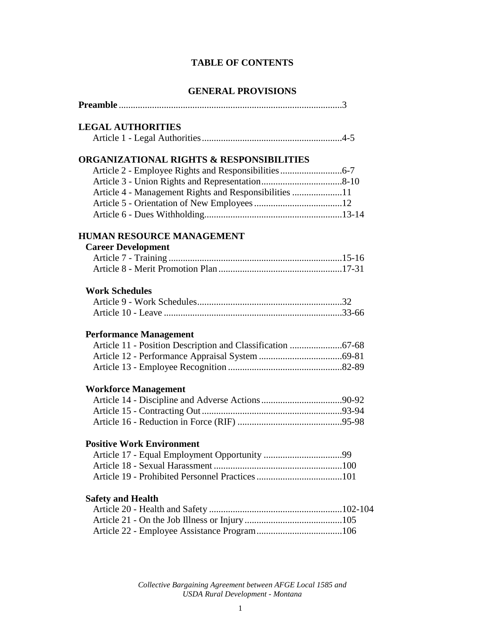# **TABLE OF CONTENTS**

# **GENERAL PROVISIONS**

| <b>LEGAL AUTHORITIES</b>                              |  |
|-------------------------------------------------------|--|
|                                                       |  |
| <b>ORGANIZATIONAL RIGHTS &amp; RESPONSIBILITIES</b>   |  |
|                                                       |  |
|                                                       |  |
| Article 4 - Management Rights and Responsibilities 11 |  |
|                                                       |  |
|                                                       |  |
| <b>HUMAN RESOURCE MANAGEMENT</b>                      |  |
| <b>Career Development</b>                             |  |
|                                                       |  |
| <b>Work Schedules</b>                                 |  |
|                                                       |  |
|                                                       |  |
| <b>Performance Management</b>                         |  |
|                                                       |  |
|                                                       |  |
|                                                       |  |
| <b>Workforce Management</b>                           |  |
|                                                       |  |
|                                                       |  |
|                                                       |  |
| <b>Positive Work Environment</b>                      |  |
|                                                       |  |
|                                                       |  |
|                                                       |  |
| <b>Safety and Health</b>                              |  |
|                                                       |  |
|                                                       |  |
|                                                       |  |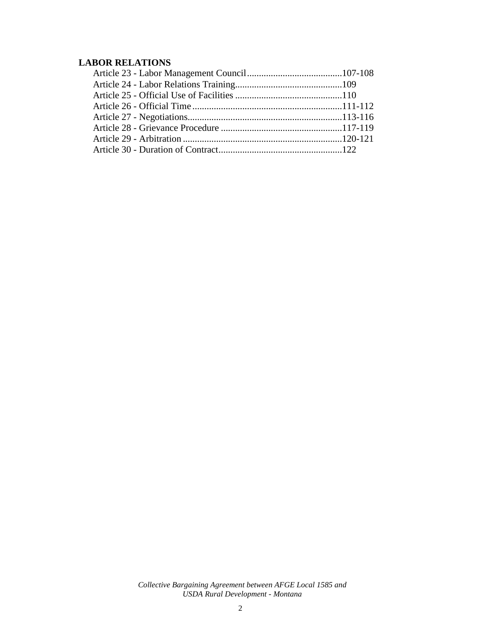# **LABOR RELATIONS**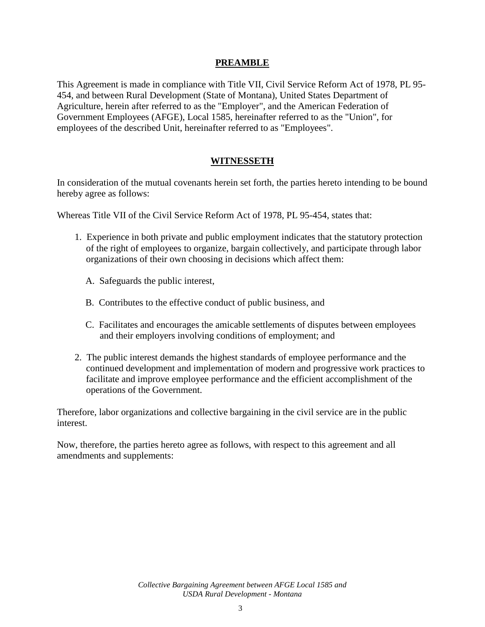#### **PREAMBLE**

This Agreement is made in compliance with Title VII, Civil Service Reform Act of 1978, PL 95- 454, and between Rural Development (State of Montana), United States Department of Agriculture, herein after referred to as the "Employer", and the American Federation of Government Employees (AFGE), Local 1585, hereinafter referred to as the "Union", for employees of the described Unit, hereinafter referred to as "Employees".

#### **WITNESSETH**

In consideration of the mutual covenants herein set forth, the parties hereto intending to be bound hereby agree as follows:

Whereas Title VII of the Civil Service Reform Act of 1978, PL 95-454, states that:

- 1. Experience in both private and public employment indicates that the statutory protection of the right of employees to organize, bargain collectively, and participate through labor organizations of their own choosing in decisions which affect them:
	- A. Safeguards the public interest,
	- B. Contributes to the effective conduct of public business, and
	- C. Facilitates and encourages the amicable settlements of disputes between employees and their employers involving conditions of employment; and
- 2. The public interest demands the highest standards of employee performance and the continued development and implementation of modern and progressive work practices to facilitate and improve employee performance and the efficient accomplishment of the operations of the Government.

Therefore, labor organizations and collective bargaining in the civil service are in the public interest.

Now, therefore, the parties hereto agree as follows, with respect to this agreement and all amendments and supplements: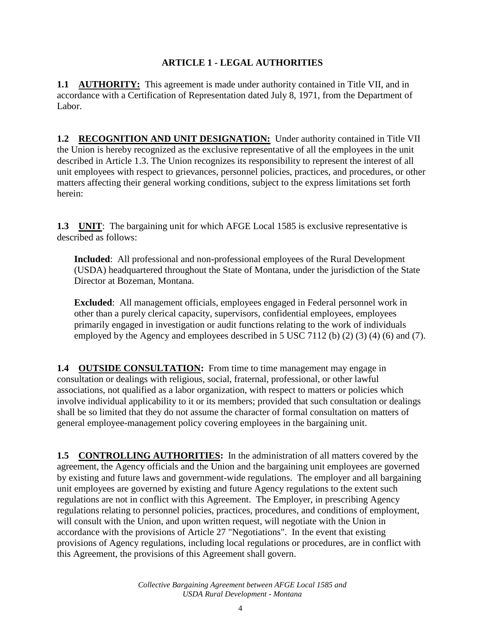## **ARTICLE 1 - LEGAL AUTHORITIES**

**1.1 AUTHORITY:** This agreement is made under authority contained in Title VII, and in accordance with a Certification of Representation dated July 8, 1971, from the Department of Labor.

**1.2 RECOGNITION AND UNIT DESIGNATION:** Under authority contained in Title VII the Union is hereby recognized as the exclusive representative of all the employees in the unit described in Article 1.3. The Union recognizes its responsibility to represent the interest of all unit employees with respect to grievances, personnel policies, practices, and procedures, or other matters affecting their general working conditions, subject to the express limitations set forth herein:

**1.3 UNIT**: The bargaining unit for which AFGE Local 1585 is exclusive representative is described as follows:

**Included**: All professional and non-professional employees of the Rural Development (USDA) headquartered throughout the State of Montana, under the jurisdiction of the State Director at Bozeman, Montana.

**Excluded**: All management officials, employees engaged in Federal personnel work in other than a purely clerical capacity, supervisors, confidential employees, employees primarily engaged in investigation or audit functions relating to the work of individuals employed by the Agency and employees described in 5 USC 7112 (b) (2) (3) (4) (6) and (7).

**1.4 OUTSIDE CONSULTATION:** From time to time management may engage in consultation or dealings with religious, social, fraternal, professional, or other lawful associations, not qualified as a labor organization, with respect to matters or policies which involve individual applicability to it or its members; provided that such consultation or dealings shall be so limited that they do not assume the character of formal consultation on matters of general employee-management policy covering employees in the bargaining unit.

**1.5 CONTROLLING AUTHORITIES:** In the administration of all matters covered by the agreement, the Agency officials and the Union and the bargaining unit employees are governed by existing and future laws and government-wide regulations. The employer and all bargaining unit employees are governed by existing and future Agency regulations to the extent such regulations are not in conflict with this Agreement. The Employer, in prescribing Agency regulations relating to personnel policies, practices, procedures, and conditions of employment, will consult with the Union, and upon written request, will negotiate with the Union in accordance with the provisions of Article 27 "Negotiations". In the event that existing provisions of Agency regulations, including local regulations or procedures, are in conflict with this Agreement, the provisions of this Agreement shall govern.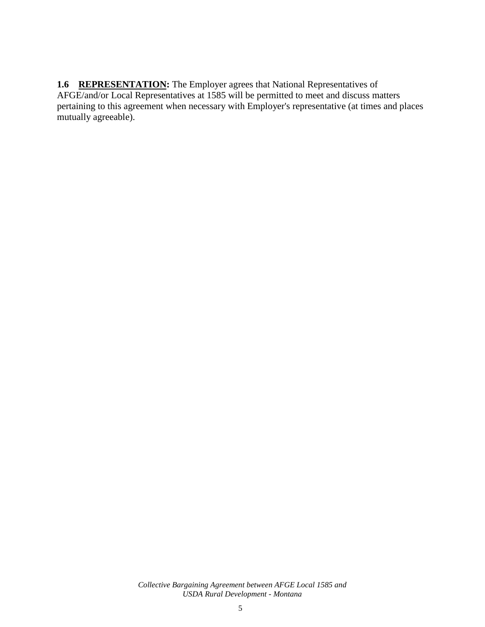1.6 REPRESENTATION: The Employer agrees that National Representatives of AFGE/and/or Local Representatives at 1585 will be permitted to meet and discuss matters pertaining to this agreement when necessary with Employer's representative (at times and places mutually agreeable).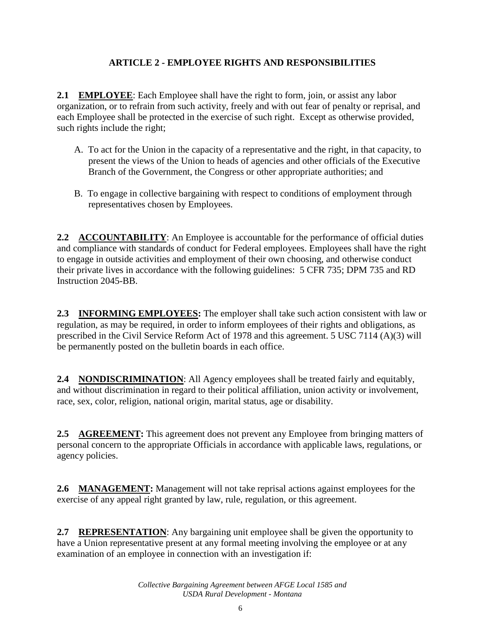# **ARTICLE 2 - EMPLOYEE RIGHTS AND RESPONSIBILITIES**

**2.1 EMPLOYEE**: Each Employee shall have the right to form, join, or assist any labor organization, or to refrain from such activity, freely and with out fear of penalty or reprisal, and each Employee shall be protected in the exercise of such right. Except as otherwise provided, such rights include the right;

- A. To act for the Union in the capacity of a representative and the right, in that capacity, to present the views of the Union to heads of agencies and other officials of the Executive Branch of the Government, the Congress or other appropriate authorities; and
- B. To engage in collective bargaining with respect to conditions of employment through representatives chosen by Employees.

**2.2 ACCOUNTABILITY**: An Employee is accountable for the performance of official duties and compliance with standards of conduct for Federal employees. Employees shall have the right to engage in outside activities and employment of their own choosing, and otherwise conduct their private lives in accordance with the following guidelines: 5 CFR 735; DPM 735 and RD Instruction 2045-BB.

**2.3 INFORMING EMPLOYEES:** The employer shall take such action consistent with law or regulation, as may be required, in order to inform employees of their rights and obligations, as prescribed in the Civil Service Reform Act of 1978 and this agreement. 5 USC 7114 (A)(3) will be permanently posted on the bulletin boards in each office.

**2.4 NONDISCRIMINATION**: All Agency employees shall be treated fairly and equitably, and without discrimination in regard to their political affiliation, union activity or involvement, race, sex, color, religion, national origin, marital status, age or disability.

**2.5 AGREEMENT:** This agreement does not prevent any Employee from bringing matters of personal concern to the appropriate Officials in accordance with applicable laws, regulations, or agency policies.

**2.6 MANAGEMENT:** Management will not take reprisal actions against employees for the exercise of any appeal right granted by law, rule, regulation, or this agreement.

**2.7 REPRESENTATION**: Any bargaining unit employee shall be given the opportunity to have a Union representative present at any formal meeting involving the employee or at any examination of an employee in connection with an investigation if: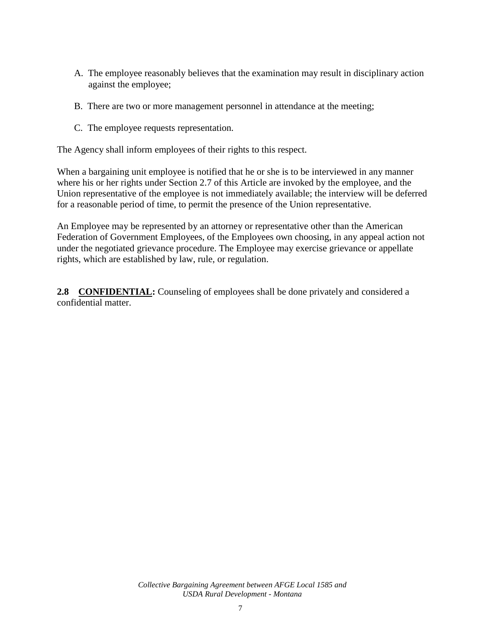- A. The employee reasonably believes that the examination may result in disciplinary action against the employee;
- B. There are two or more management personnel in attendance at the meeting;
- C. The employee requests representation.

The Agency shall inform employees of their rights to this respect.

When a bargaining unit employee is notified that he or she is to be interviewed in any manner where his or her rights under Section 2.7 of this Article are invoked by the employee, and the Union representative of the employee is not immediately available; the interview will be deferred for a reasonable period of time, to permit the presence of the Union representative.

An Employee may be represented by an attorney or representative other than the American Federation of Government Employees, of the Employees own choosing, in any appeal action not under the negotiated grievance procedure. The Employee may exercise grievance or appellate rights, which are established by law, rule, or regulation.

**2.8 CONFIDENTIAL:** Counseling of employees shall be done privately and considered a confidential matter.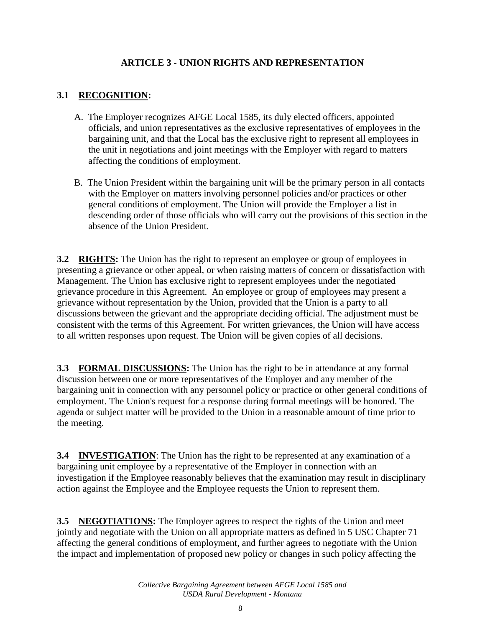## **ARTICLE 3 - UNION RIGHTS AND REPRESENTATION**

# **3.1 RECOGNITION:**

- A. The Employer recognizes AFGE Local 1585, its duly elected officers, appointed officials, and union representatives as the exclusive representatives of employees in the bargaining unit, and that the Local has the exclusive right to represent all employees in the unit in negotiations and joint meetings with the Employer with regard to matters affecting the conditions of employment.
- B. The Union President within the bargaining unit will be the primary person in all contacts with the Employer on matters involving personnel policies and/or practices or other general conditions of employment. The Union will provide the Employer a list in descending order of those officials who will carry out the provisions of this section in the absence of the Union President.

**3.2 RIGHTS:** The Union has the right to represent an employee or group of employees in presenting a grievance or other appeal, or when raising matters of concern or dissatisfaction with Management. The Union has exclusive right to represent employees under the negotiated grievance procedure in this Agreement. An employee or group of employees may present a grievance without representation by the Union, provided that the Union is a party to all discussions between the grievant and the appropriate deciding official. The adjustment must be consistent with the terms of this Agreement. For written grievances, the Union will have access to all written responses upon request. The Union will be given copies of all decisions.

**3.3 FORMAL DISCUSSIONS:** The Union has the right to be in attendance at any formal discussion between one or more representatives of the Employer and any member of the bargaining unit in connection with any personnel policy or practice or other general conditions of employment. The Union's request for a response during formal meetings will be honored. The agenda or subject matter will be provided to the Union in a reasonable amount of time prior to the meeting.

**3.4 INVESTIGATION**: The Union has the right to be represented at any examination of a bargaining unit employee by a representative of the Employer in connection with an investigation if the Employee reasonably believes that the examination may result in disciplinary action against the Employee and the Employee requests the Union to represent them.

**3.5 NEGOTIATIONS:** The Employer agrees to respect the rights of the Union and meet jointly and negotiate with the Union on all appropriate matters as defined in 5 USC Chapter 71 affecting the general conditions of employment, and further agrees to negotiate with the Union the impact and implementation of proposed new policy or changes in such policy affecting the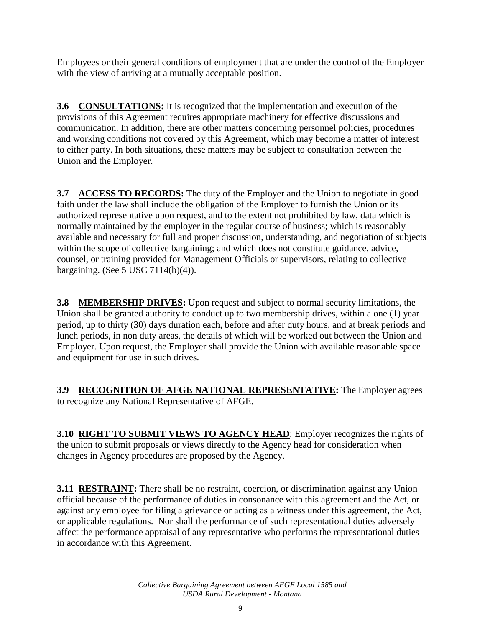Employees or their general conditions of employment that are under the control of the Employer with the view of arriving at a mutually acceptable position.

**3.6 CONSULTATIONS:** It is recognized that the implementation and execution of the provisions of this Agreement requires appropriate machinery for effective discussions and communication. In addition, there are other matters concerning personnel policies, procedures and working conditions not covered by this Agreement, which may become a matter of interest to either party. In both situations, these matters may be subject to consultation between the Union and the Employer.

**3.7 ACCESS TO RECORDS:** The duty of the Employer and the Union to negotiate in good faith under the law shall include the obligation of the Employer to furnish the Union or its authorized representative upon request, and to the extent not prohibited by law, data which is normally maintained by the employer in the regular course of business; which is reasonably available and necessary for full and proper discussion, understanding, and negotiation of subjects within the scope of collective bargaining; and which does not constitute guidance, advice, counsel, or training provided for Management Officials or supervisors, relating to collective bargaining. (See 5 USC 7114(b)(4)).

**3.8 MEMBERSHIP DRIVES:** Upon request and subject to normal security limitations, the Union shall be granted authority to conduct up to two membership drives, within a one (1) year period, up to thirty (30) days duration each, before and after duty hours, and at break periods and lunch periods, in non duty areas, the details of which will be worked out between the Union and Employer. Upon request, the Employer shall provide the Union with available reasonable space and equipment for use in such drives.

**3.9 RECOGNITION OF AFGE NATIONAL REPRESENTATIVE:** The Employer agrees to recognize any National Representative of AFGE.

**3.10 RIGHT TO SUBMIT VIEWS TO AGENCY HEAD**: Employer recognizes the rights of the union to submit proposals or views directly to the Agency head for consideration when changes in Agency procedures are proposed by the Agency.

**3.11 RESTRAINT:** There shall be no restraint, coercion, or discrimination against any Union official because of the performance of duties in consonance with this agreement and the Act, or against any employee for filing a grievance or acting as a witness under this agreement, the Act, or applicable regulations. Nor shall the performance of such representational duties adversely affect the performance appraisal of any representative who performs the representational duties in accordance with this Agreement.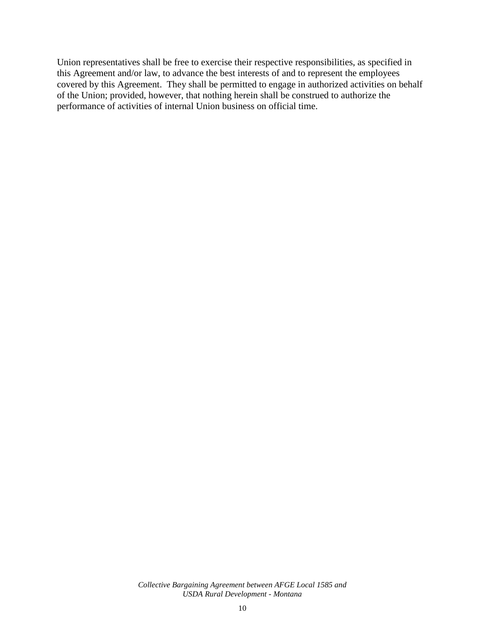Union representatives shall be free to exercise their respective responsibilities, as specified in this Agreement and/or law, to advance the best interests of and to represent the employees covered by this Agreement. They shall be permitted to engage in authorized activities on behalf of the Union; provided, however, that nothing herein shall be construed to authorize the performance of activities of internal Union business on official time.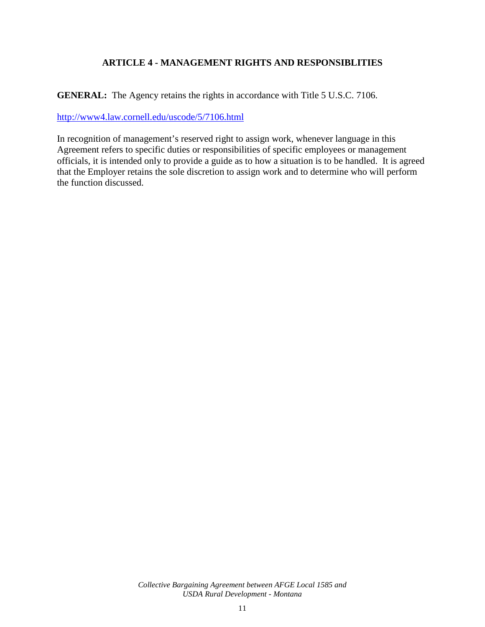# **ARTICLE 4 - MANAGEMENT RIGHTS AND RESPONSIBLITIES**

**GENERAL:** The Agency retains the rights in accordance with Title 5 U.S.C. 7106.

<http://www4.law.cornell.edu/uscode/5/7106.html>

In recognition of management's reserved right to assign work, whenever language in this Agreement refers to specific duties or responsibilities of specific employees or management officials, it is intended only to provide a guide as to how a situation is to be handled. It is agreed that the Employer retains the sole discretion to assign work and to determine who will perform the function discussed.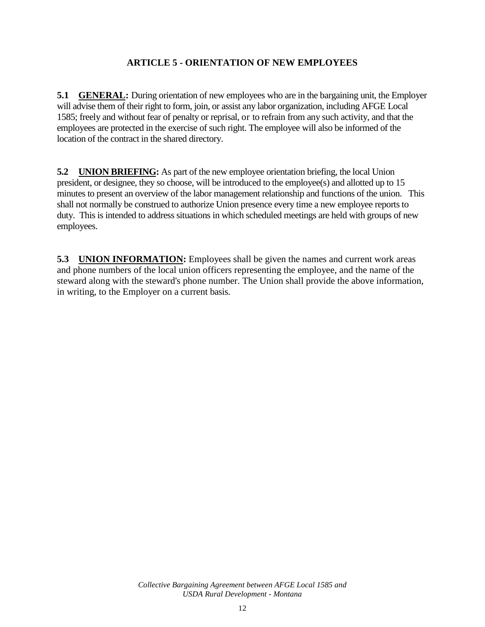## **ARTICLE 5 - ORIENTATION OF NEW EMPLOYEES**

**5.1 GENERAL:** During orientation of new employees who are in the bargaining unit, the Employer will advise them of their right to form, join, or assist any labor organization, including AFGE Local 1585; freely and without fear of penalty or reprisal, or to refrain from any such activity, and that the employees are protected in the exercise of such right. The employee will also be informed of the location of the contract in the shared directory.

**5.2 UNION BRIEFING:** As part of the new employee orientation briefing, the local Union president, or designee, they so choose, will be introduced to the employee(s) and allotted up to 15 minutes to present an overview of the labor management relationship and functions of the union. This shall not normally be construed to authorize Union presence every time a new employee reports to duty. This is intended to address situations in which scheduled meetings are held with groups of new employees.

**5.3 UNION INFORMATION:** Employees shall be given the names and current work areas and phone numbers of the local union officers representing the employee, and the name of the steward along with the steward's phone number. The Union shall provide the above information, in writing, to the Employer on a current basis.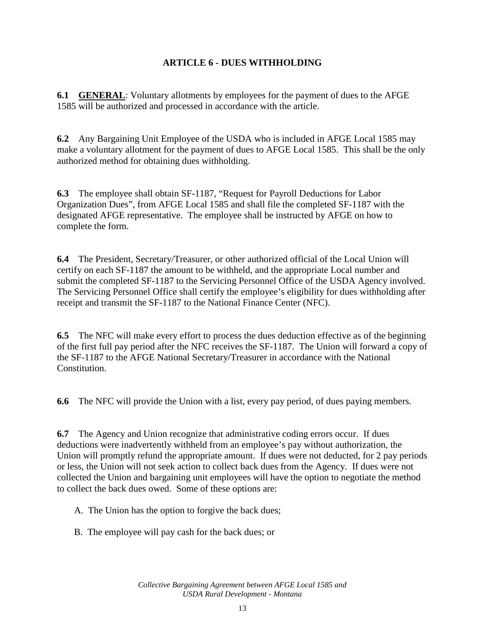### **ARTICLE 6 - DUES WITHHOLDING**

**6.1 GENERAL:** Voluntary allotments by employees for the payment of dues to the AFGE 1585 will be authorized and processed in accordance with the article.

**6.2** Any Bargaining Unit Employee of the USDA who is included in AFGE Local 1585 may make a voluntary allotment for the payment of dues to AFGE Local 1585. This shall be the only authorized method for obtaining dues withholding.

**6.3** The employee shall obtain SF-1187, "Request for Payroll Deductions for Labor Organization Dues", from AFGE Local 1585 and shall file the completed SF-1187 with the designated AFGE representative. The employee shall be instructed by AFGE on how to complete the form.

**6.4** The President, Secretary/Treasurer, or other authorized official of the Local Union will certify on each SF-1187 the amount to be withheld, and the appropriate Local number and submit the completed SF-1187 to the Servicing Personnel Office of the USDA Agency involved. The Servicing Personnel Office shall certify the employee's eligibility for dues withholding after receipt and transmit the SF-1187 to the National Finance Center (NFC).

**6.5** The NFC will make every effort to process the dues deduction effective as of the beginning of the first full pay period after the NFC receives the SF-1187. The Union will forward a copy of the SF-1187 to the AFGE National Secretary/Treasurer in accordance with the National Constitution.

**6.6** The NFC will provide the Union with a list, every pay period, of dues paying members.

**6.7** The Agency and Union recognize that administrative coding errors occur. If dues deductions were inadvertently withheld from an employee's pay without authorization, the Union will promptly refund the appropriate amount. If dues were not deducted, for 2 pay periods or less, the Union will not seek action to collect back dues from the Agency. If dues were not collected the Union and bargaining unit employees will have the option to negotiate the method to collect the back dues owed. Some of these options are:

A. The Union has the option to forgive the back dues;

B. The employee will pay cash for the back dues; or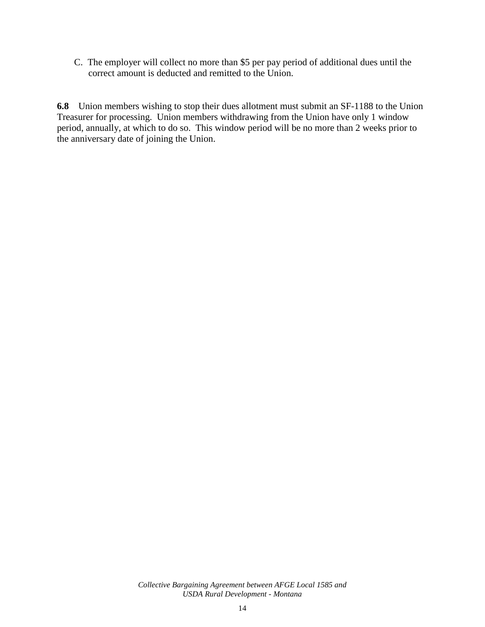C. The employer will collect no more than \$5 per pay period of additional dues until the correct amount is deducted and remitted to the Union.

**6.8** Union members wishing to stop their dues allotment must submit an SF-1188 to the Union Treasurer for processing. Union members withdrawing from the Union have only 1 window period, annually, at which to do so. This window period will be no more than 2 weeks prior to the anniversary date of joining the Union.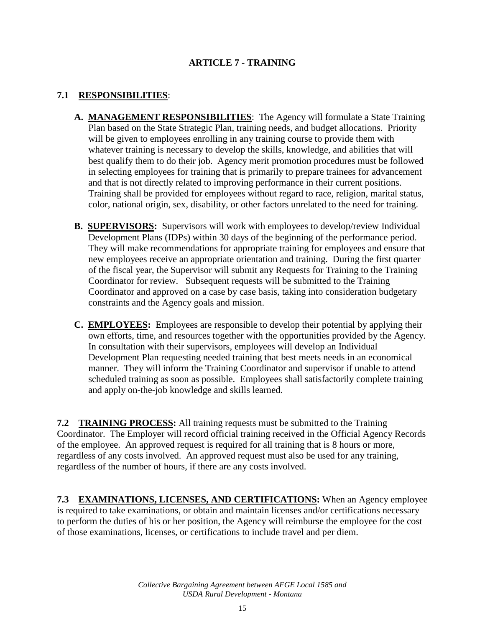# **ARTICLE 7 - TRAINING**

## **7.1 RESPONSIBILITIES**:

- **A. MANAGEMENT RESPONSIBILITIES**: The Agency will formulate a State Training Plan based on the State Strategic Plan, training needs, and budget allocations. Priority will be given to employees enrolling in any training course to provide them with whatever training is necessary to develop the skills, knowledge, and abilities that will best qualify them to do their job. Agency merit promotion procedures must be followed in selecting employees for training that is primarily to prepare trainees for advancement and that is not directly related to improving performance in their current positions. Training shall be provided for employees without regard to race, religion, marital status, color, national origin, sex, disability, or other factors unrelated to the need for training.
- **B. SUPERVISORS:** Supervisors will work with employees to develop/review Individual Development Plans (IDPs) within 30 days of the beginning of the performance period. They will make recommendations for appropriate training for employees and ensure that new employees receive an appropriate orientation and training. During the first quarter of the fiscal year, the Supervisor will submit any Requests for Training to the Training Coordinator for review. Subsequent requests will be submitted to the Training Coordinator and approved on a case by case basis, taking into consideration budgetary constraints and the Agency goals and mission.
- **C. EMPLOYEES:** Employees are responsible to develop their potential by applying their own efforts, time, and resources together with the opportunities provided by the Agency. In consultation with their supervisors, employees will develop an Individual Development Plan requesting needed training that best meets needs in an economical manner. They will inform the Training Coordinator and supervisor if unable to attend scheduled training as soon as possible. Employees shall satisfactorily complete training and apply on-the-job knowledge and skills learned.

**7.2 TRAINING PROCESS:** All training requests must be submitted to the Training Coordinator. The Employer will record official training received in the Official Agency Records of the employee. An approved request is required for all training that is 8 hours or more, regardless of any costs involved. An approved request must also be used for any training, regardless of the number of hours, if there are any costs involved.

**7.3 EXAMINATIONS, LICENSES, AND CERTIFICATIONS:** When an Agency employee is required to take examinations, or obtain and maintain licenses and/or certifications necessary to perform the duties of his or her position, the Agency will reimburse the employee for the cost of those examinations, licenses, or certifications to include travel and per diem.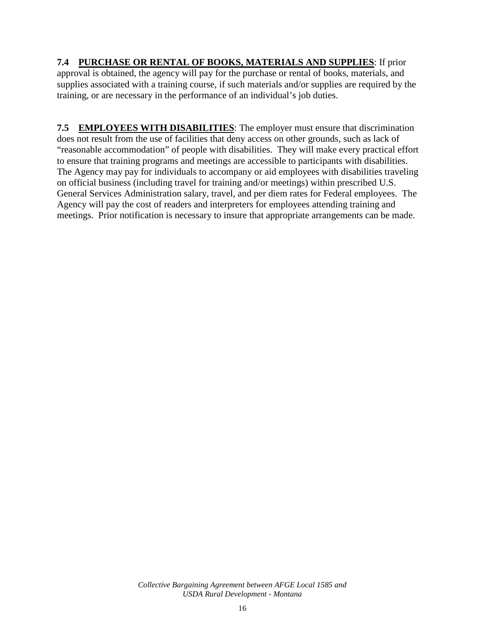## **7.4 PURCHASE OR RENTAL OF BOOKS, MATERIALS AND SUPPLIES**: If prior approval is obtained, the agency will pay for the purchase or rental of books, materials, and supplies associated with a training course, if such materials and/or supplies are required by the training, or are necessary in the performance of an individual's job duties.

**7.5 EMPLOYEES WITH DISABILITIES**: The employer must ensure that discrimination does not result from the use of facilities that deny access on other grounds, such as lack of "reasonable accommodation" of people with disabilities. They will make every practical effort to ensure that training programs and meetings are accessible to participants with disabilities. The Agency may pay for individuals to accompany or aid employees with disabilities traveling on official business (including travel for training and/or meetings) within prescribed U.S. General Services Administration salary, travel, and per diem rates for Federal employees. The Agency will pay the cost of readers and interpreters for employees attending training and meetings. Prior notification is necessary to insure that appropriate arrangements can be made.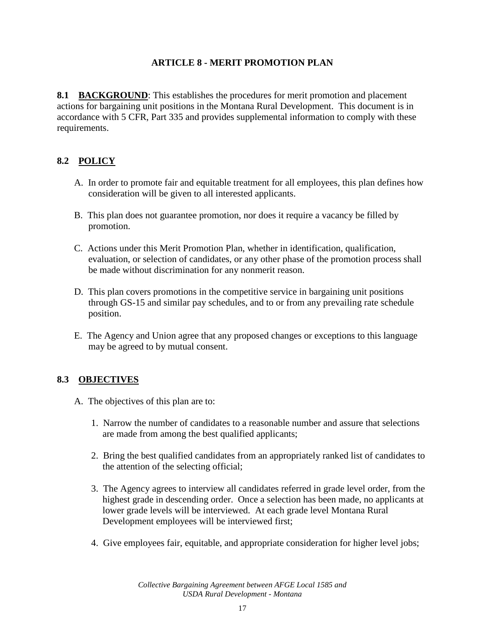### **ARTICLE 8 - MERIT PROMOTION PLAN**

**8.1 BACKGROUND**: This establishes the procedures for merit promotion and placement actions for bargaining unit positions in the Montana Rural Development. This document is in accordance with 5 CFR, Part 335 and provides supplemental information to comply with these requirements.

# **8.2 POLICY**

- A. In order to promote fair and equitable treatment for all employees, this plan defines how consideration will be given to all interested applicants.
- B. This plan does not guarantee promotion, nor does it require a vacancy be filled by promotion.
- C. Actions under this Merit Promotion Plan, whether in identification, qualification, evaluation, or selection of candidates, or any other phase of the promotion process shall be made without discrimination for any nonmerit reason.
- D. This plan covers promotions in the competitive service in bargaining unit positions through GS-15 and similar pay schedules, and to or from any prevailing rate schedule position.
- E. The Agency and Union agree that any proposed changes or exceptions to this language may be agreed to by mutual consent.

#### **8.3 OBJECTIVES**

- A. The objectives of this plan are to:
	- 1. Narrow the number of candidates to a reasonable number and assure that selections are made from among the best qualified applicants;
	- 2. Bring the best qualified candidates from an appropriately ranked list of candidates to the attention of the selecting official;
	- 3. The Agency agrees to interview all candidates referred in grade level order, from the highest grade in descending order. Once a selection has been made, no applicants at lower grade levels will be interviewed. At each grade level Montana Rural Development employees will be interviewed first;
	- 4. Give employees fair, equitable, and appropriate consideration for higher level jobs;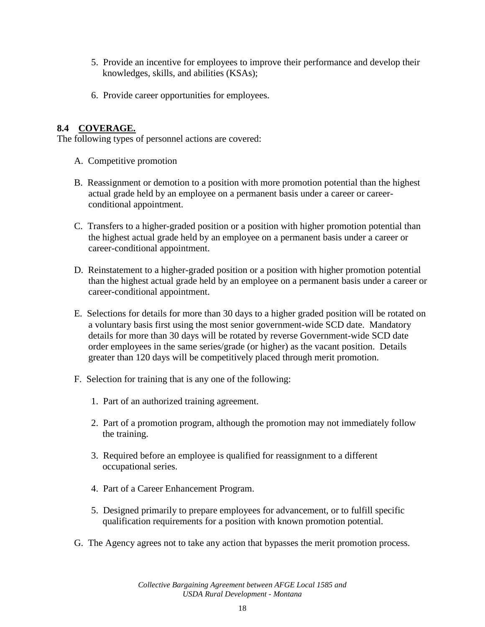- 5. Provide an incentive for employees to improve their performance and develop their knowledges, skills, and abilities (KSAs);
- 6. Provide career opportunities for employees.

## **8.4 COVERAGE.**

The following types of personnel actions are covered:

- A. Competitive promotion
- B. Reassignment or demotion to a position with more promotion potential than the highest actual grade held by an employee on a permanent basis under a career or careerconditional appointment.
- C. Transfers to a higher-graded position or a position with higher promotion potential than the highest actual grade held by an employee on a permanent basis under a career or career-conditional appointment.
- D. Reinstatement to a higher-graded position or a position with higher promotion potential than the highest actual grade held by an employee on a permanent basis under a career or career-conditional appointment.
- E. Selections for details for more than 30 days to a higher graded position will be rotated on a voluntary basis first using the most senior government-wide SCD date. Mandatory details for more than 30 days will be rotated by reverse Government-wide SCD date order employees in the same series/grade (or higher) as the vacant position. Details greater than 120 days will be competitively placed through merit promotion.
- F. Selection for training that is any one of the following:
	- 1. Part of an authorized training agreement.
	- 2. Part of a promotion program, although the promotion may not immediately follow the training.
	- 3. Required before an employee is qualified for reassignment to a different occupational series.
	- 4. Part of a Career Enhancement Program.
	- 5. Designed primarily to prepare employees for advancement, or to fulfill specific qualification requirements for a position with known promotion potential.
- G. The Agency agrees not to take any action that bypasses the merit promotion process.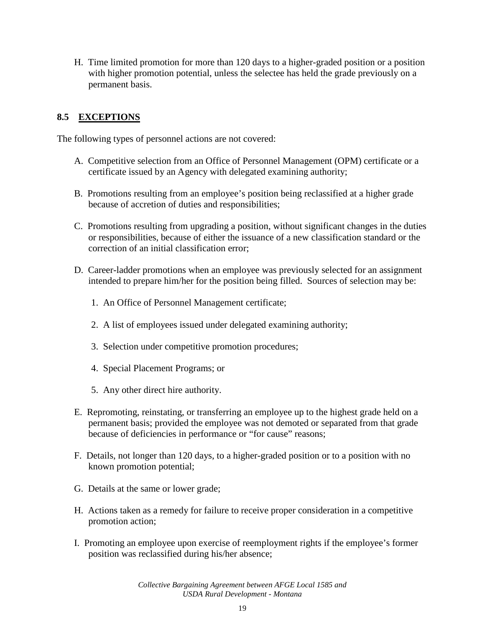H. Time limited promotion for more than 120 days to a higher-graded position or a position with higher promotion potential, unless the selectee has held the grade previously on a permanent basis.

## **8.5 EXCEPTIONS**

The following types of personnel actions are not covered:

- A. Competitive selection from an Office of Personnel Management (OPM) certificate or a certificate issued by an Agency with delegated examining authority;
- B. Promotions resulting from an employee's position being reclassified at a higher grade because of accretion of duties and responsibilities;
- C. Promotions resulting from upgrading a position, without significant changes in the duties or responsibilities, because of either the issuance of a new classification standard or the correction of an initial classification error;
- D. Career-ladder promotions when an employee was previously selected for an assignment intended to prepare him/her for the position being filled. Sources of selection may be:
	- 1. An Office of Personnel Management certificate;
	- 2. A list of employees issued under delegated examining authority;
	- 3. Selection under competitive promotion procedures;
	- 4. Special Placement Programs; or
	- 5. Any other direct hire authority.
- E. Repromoting, reinstating, or transferring an employee up to the highest grade held on a permanent basis; provided the employee was not demoted or separated from that grade because of deficiencies in performance or "for cause" reasons;
- F. Details, not longer than 120 days, to a higher-graded position or to a position with no known promotion potential;
- G. Details at the same or lower grade;
- H. Actions taken as a remedy for failure to receive proper consideration in a competitive promotion action;
- I. Promoting an employee upon exercise of reemployment rights if the employee's former position was reclassified during his/her absence;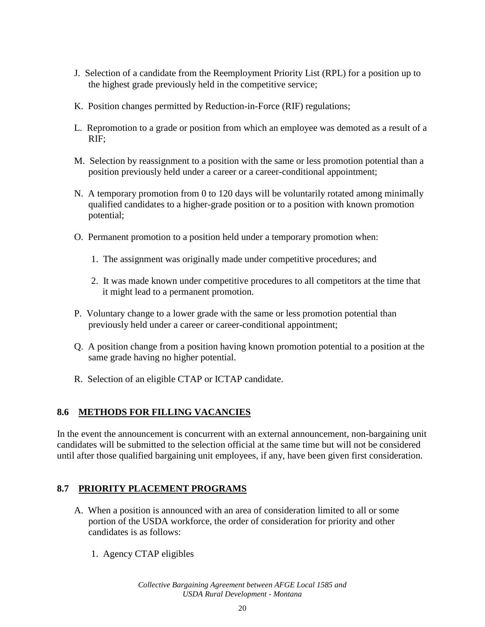- J. Selection of a candidate from the Reemployment Priority List (RPL) for a position up to the highest grade previously held in the competitive service;
- K. Position changes permitted by Reduction-in-Force (RIF) regulations;
- L. Repromotion to a grade or position from which an employee was demoted as a result of a RIF;
- M. Selection by reassignment to a position with the same or less promotion potential than a position previously held under a career or a career-conditional appointment;
- N. A temporary promotion from 0 to 120 days will be voluntarily rotated among minimally qualified candidates to a higher-grade position or to a position with known promotion potential;
- O. Permanent promotion to a position held under a temporary promotion when:
	- 1. The assignment was originally made under competitive procedures; and
	- 2. It was made known under competitive procedures to all competitors at the time that it might lead to a permanent promotion.
- P. Voluntary change to a lower grade with the same or less promotion potential than previously held under a career or career-conditional appointment;
- Q. A position change from a position having known promotion potential to a position at the same grade having no higher potential.
- R. Selection of an eligible CTAP or ICTAP candidate.

### **8.6 METHODS FOR FILLING VACANCIES**

In the event the announcement is concurrent with an external announcement, non-bargaining unit candidates will be submitted to the selection official at the same time but will not be considered until after those qualified bargaining unit employees, if any, have been given first consideration.

### **8.7 PRIORITY PLACEMENT PROGRAMS**

- A. When a position is announced with an area of consideration limited to all or some portion of the USDA workforce, the order of consideration for priority and other candidates is as follows:
	- 1. Agency CTAP eligibles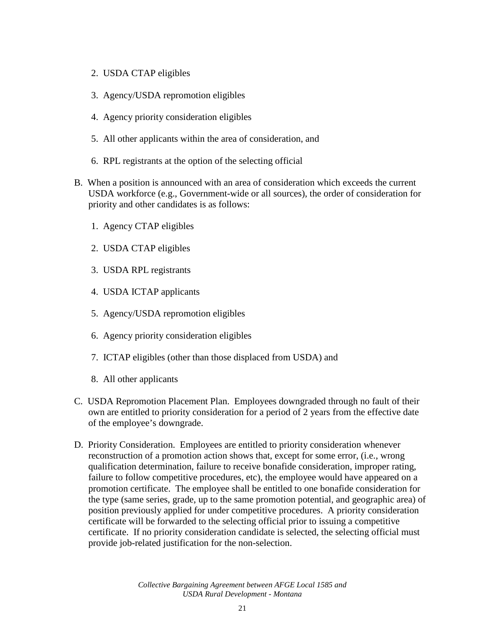- 2. USDA CTAP eligibles
- 3. Agency/USDA repromotion eligibles
- 4. Agency priority consideration eligibles
- 5. All other applicants within the area of consideration, and
- 6. RPL registrants at the option of the selecting official
- B. When a position is announced with an area of consideration which exceeds the current USDA workforce (e.g., Government-wide or all sources), the order of consideration for priority and other candidates is as follows:
	- 1. Agency CTAP eligibles
	- 2. USDA CTAP eligibles
	- 3. USDA RPL registrants
	- 4. USDA ICTAP applicants
	- 5. Agency/USDA repromotion eligibles
	- 6. Agency priority consideration eligibles
	- 7. ICTAP eligibles (other than those displaced from USDA) and
	- 8. All other applicants
- C. USDA Repromotion Placement Plan. Employees downgraded through no fault of their own are entitled to priority consideration for a period of 2 years from the effective date of the employee's downgrade.
- D. Priority Consideration. Employees are entitled to priority consideration whenever reconstruction of a promotion action shows that, except for some error, (i.e., wrong qualification determination, failure to receive bonafide consideration, improper rating, failure to follow competitive procedures, etc), the employee would have appeared on a promotion certificate. The employee shall be entitled to one bonafide consideration for the type (same series, grade, up to the same promotion potential, and geographic area) of position previously applied for under competitive procedures. A priority consideration certificate will be forwarded to the selecting official prior to issuing a competitive certificate. If no priority consideration candidate is selected, the selecting official must provide job-related justification for the non-selection.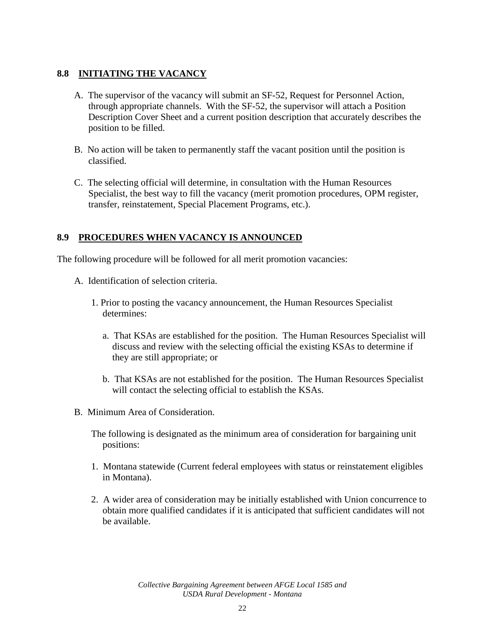### **8.8 INITIATING THE VACANCY**

- A. The supervisor of the vacancy will submit an SF-52, Request for Personnel Action, through appropriate channels. With the SF-52, the supervisor will attach a Position Description Cover Sheet and a current position description that accurately describes the position to be filled.
- B. No action will be taken to permanently staff the vacant position until the position is classified.
- C. The selecting official will determine, in consultation with the Human Resources Specialist, the best way to fill the vacancy (merit promotion procedures, OPM register, transfer, reinstatement, Special Placement Programs, etc.).

### **8.9 PROCEDURES WHEN VACANCY IS ANNOUNCED**

The following procedure will be followed for all merit promotion vacancies:

- A. Identification of selection criteria.
	- 1. Prior to posting the vacancy announcement, the Human Resources Specialist determines:
		- a. That KSAs are established for the position. The Human Resources Specialist will discuss and review with the selecting official the existing KSAs to determine if they are still appropriate; or
		- b. That KSAs are not established for the position. The Human Resources Specialist will contact the selecting official to establish the KSAs.
- B. Minimum Area of Consideration.

The following is designated as the minimum area of consideration for bargaining unit positions:

- 1. Montana statewide (Current federal employees with status or reinstatement eligibles in Montana).
- 2. A wider area of consideration may be initially established with Union concurrence to obtain more qualified candidates if it is anticipated that sufficient candidates will not be available.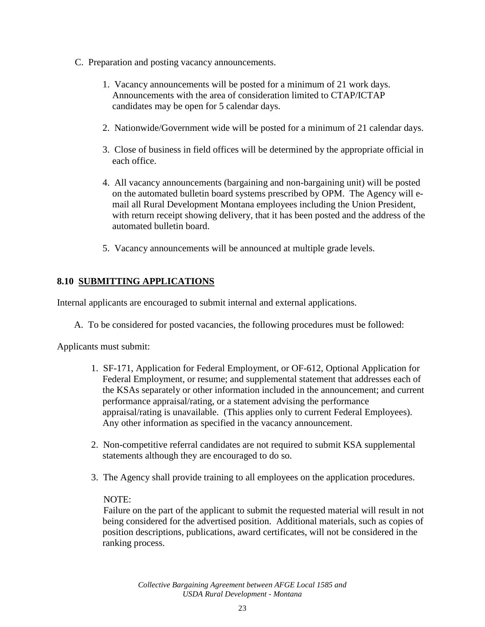- C. Preparation and posting vacancy announcements.
	- 1. Vacancy announcements will be posted for a minimum of 21 work days. Announcements with the area of consideration limited to CTAP/ICTAP candidates may be open for 5 calendar days.
	- 2. Nationwide/Government wide will be posted for a minimum of 21 calendar days.
	- 3. Close of business in field offices will be determined by the appropriate official in each office.
	- 4. All vacancy announcements (bargaining and non-bargaining unit) will be posted on the automated bulletin board systems prescribed by OPM. The Agency will email all Rural Development Montana employees including the Union President, with return receipt showing delivery, that it has been posted and the address of the automated bulletin board.
	- 5. Vacancy announcements will be announced at multiple grade levels.

# **8.10 SUBMITTING APPLICATIONS**

Internal applicants are encouraged to submit internal and external applications.

A. To be considered for posted vacancies, the following procedures must be followed:

Applicants must submit:

- 1. SF-171, Application for Federal Employment, or OF-612, Optional Application for Federal Employment, or resume; and supplemental statement that addresses each of the KSAs separately or other information included in the announcement; and current performance appraisal/rating, or a statement advising the performance appraisal/rating is unavailable. (This applies only to current Federal Employees). Any other information as specified in the vacancy announcement.
- 2. Non-competitive referral candidates are not required to submit KSA supplemental statements although they are encouraged to do so.
- 3. The Agency shall provide training to all employees on the application procedures.

#### NOTE:

Failure on the part of the applicant to submit the requested material will result in not being considered for the advertised position. Additional materials, such as copies of position descriptions, publications, award certificates, will not be considered in the ranking process.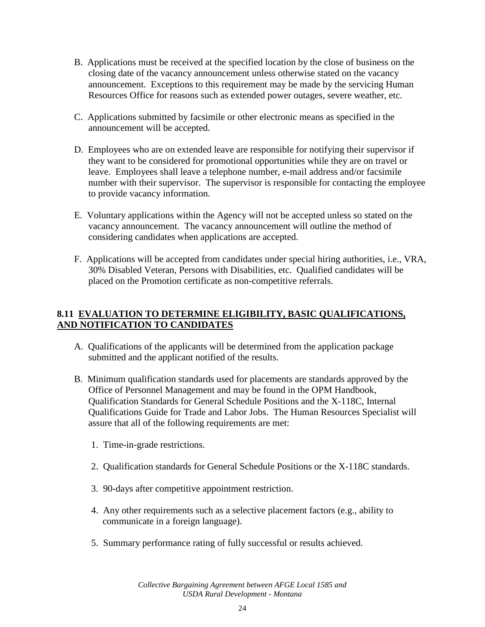- B. Applications must be received at the specified location by the close of business on the closing date of the vacancy announcement unless otherwise stated on the vacancy announcement. Exceptions to this requirement may be made by the servicing Human Resources Office for reasons such as extended power outages, severe weather, etc.
- C. Applications submitted by facsimile or other electronic means as specified in the announcement will be accepted.
- D. Employees who are on extended leave are responsible for notifying their supervisor if they want to be considered for promotional opportunities while they are on travel or leave. Employees shall leave a telephone number, e-mail address and/or facsimile number with their supervisor. The supervisor is responsible for contacting the employee to provide vacancy information.
- E. Voluntary applications within the Agency will not be accepted unless so stated on the vacancy announcement. The vacancy announcement will outline the method of considering candidates when applications are accepted.
- F. Applications will be accepted from candidates under special hiring authorities, i.e., VRA, 30% Disabled Veteran, Persons with Disabilities, etc. Qualified candidates will be placed on the Promotion certificate as non-competitive referrals.

# **8.11 EVALUATION TO DETERMINE ELIGIBILITY, BASIC QUALIFICATIONS, AND NOTIFICATION TO CANDIDATES**

- A. Qualifications of the applicants will be determined from the application package submitted and the applicant notified of the results.
- B. Minimum qualification standards used for placements are standards approved by the Office of Personnel Management and may be found in the OPM Handbook, Qualification Standards for General Schedule Positions and the X-118C, Internal Qualifications Guide for Trade and Labor Jobs. The Human Resources Specialist will assure that all of the following requirements are met:
	- 1. Time-in-grade restrictions.
	- 2. Qualification standards for General Schedule Positions or the X-118C standards.
	- 3. 90-days after competitive appointment restriction.
	- 4. Any other requirements such as a selective placement factors (e.g., ability to communicate in a foreign language).
	- 5. Summary performance rating of fully successful or results achieved.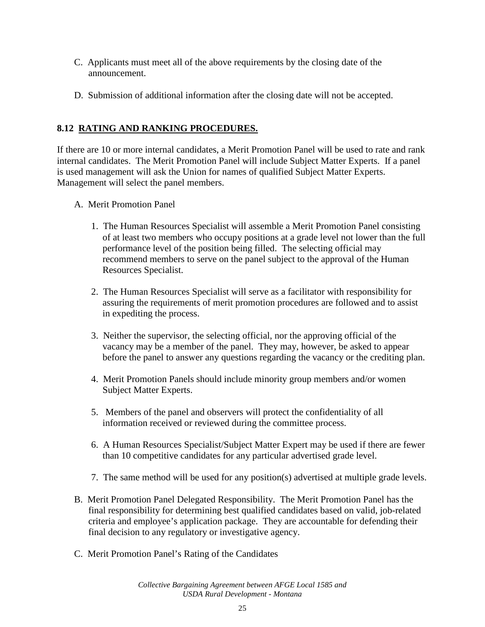- C. Applicants must meet all of the above requirements by the closing date of the announcement.
- D. Submission of additional information after the closing date will not be accepted.

# **8.12 RATING AND RANKING PROCEDURES.**

If there are 10 or more internal candidates, a Merit Promotion Panel will be used to rate and rank internal candidates. The Merit Promotion Panel will include Subject Matter Experts. If a panel is used management will ask the Union for names of qualified Subject Matter Experts. Management will select the panel members.

- A. Merit Promotion Panel
	- 1. The Human Resources Specialist will assemble a Merit Promotion Panel consisting of at least two members who occupy positions at a grade level not lower than the full performance level of the position being filled. The selecting official may recommend members to serve on the panel subject to the approval of the Human Resources Specialist.
	- 2. The Human Resources Specialist will serve as a facilitator with responsibility for assuring the requirements of merit promotion procedures are followed and to assist in expediting the process.
	- 3. Neither the supervisor, the selecting official, nor the approving official of the vacancy may be a member of the panel. They may, however, be asked to appear before the panel to answer any questions regarding the vacancy or the crediting plan.
	- 4. Merit Promotion Panels should include minority group members and/or women Subject Matter Experts.
	- 5. Members of the panel and observers will protect the confidentiality of all information received or reviewed during the committee process.
	- 6. A Human Resources Specialist/Subject Matter Expert may be used if there are fewer than 10 competitive candidates for any particular advertised grade level.
	- 7. The same method will be used for any position(s) advertised at multiple grade levels.
- B. Merit Promotion Panel Delegated Responsibility. The Merit Promotion Panel has the final responsibility for determining best qualified candidates based on valid, job-related criteria and employee's application package. They are accountable for defending their final decision to any regulatory or investigative agency.
- C. Merit Promotion Panel's Rating of the Candidates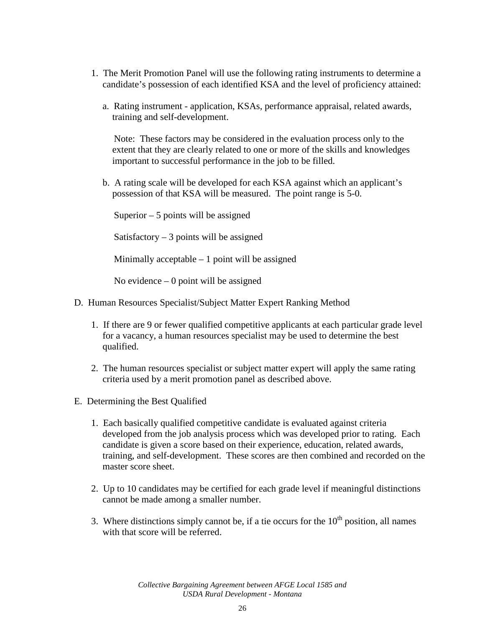- 1. The Merit Promotion Panel will use the following rating instruments to determine a candidate's possession of each identified KSA and the level of proficiency attained:
	- a. Rating instrument application, KSAs, performance appraisal, related awards, training and self-development.

Note: These factors may be considered in the evaluation process only to the extent that they are clearly related to one or more of the skills and knowledges important to successful performance in the job to be filled.

b. A rating scale will be developed for each KSA against which an applicant's possession of that KSA will be measured. The point range is 5-0.

Superior – 5 points will be assigned

Satisfactory  $-3$  points will be assigned

Minimally acceptable  $-1$  point will be assigned

No evidence  $-0$  point will be assigned

- D. Human Resources Specialist/Subject Matter Expert Ranking Method
	- 1. If there are 9 or fewer qualified competitive applicants at each particular grade level for a vacancy, a human resources specialist may be used to determine the best qualified.
	- 2. The human resources specialist or subject matter expert will apply the same rating criteria used by a merit promotion panel as described above.
- E. Determining the Best Qualified
	- 1. Each basically qualified competitive candidate is evaluated against criteria developed from the job analysis process which was developed prior to rating. Each candidate is given a score based on their experience, education, related awards, training, and self-development. These scores are then combined and recorded on the master score sheet.
	- 2. Up to 10 candidates may be certified for each grade level if meaningful distinctions cannot be made among a smaller number.
	- 3. Where distinctions simply cannot be, if a tie occurs for the  $10<sup>th</sup>$  position, all names with that score will be referred.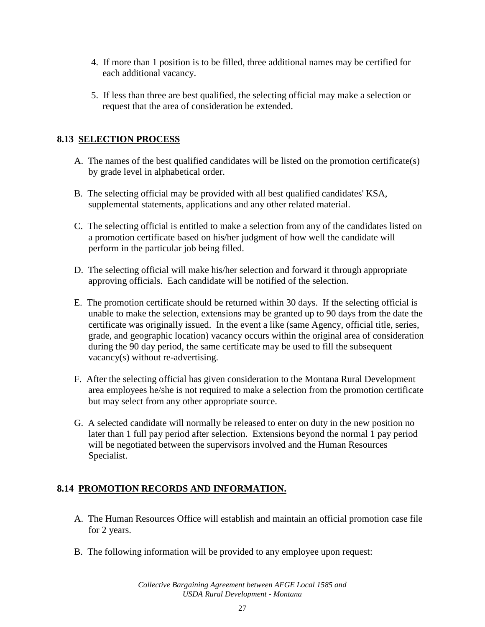- 4. If more than 1 position is to be filled, three additional names may be certified for each additional vacancy.
- 5. If less than three are best qualified, the selecting official may make a selection or request that the area of consideration be extended.

# **8.13 SELECTION PROCESS**

- A. The names of the best qualified candidates will be listed on the promotion certificate(s) by grade level in alphabetical order.
- B. The selecting official may be provided with all best qualified candidates' KSA, supplemental statements, applications and any other related material.
- C. The selecting official is entitled to make a selection from any of the candidates listed on a promotion certificate based on his/her judgment of how well the candidate will perform in the particular job being filled.
- D. The selecting official will make his/her selection and forward it through appropriate approving officials. Each candidate will be notified of the selection.
- E. The promotion certificate should be returned within 30 days. If the selecting official is unable to make the selection, extensions may be granted up to 90 days from the date the certificate was originally issued. In the event a like (same Agency, official title, series, grade, and geographic location) vacancy occurs within the original area of consideration during the 90 day period, the same certificate may be used to fill the subsequent vacancy(s) without re-advertising.
- F. After the selecting official has given consideration to the Montana Rural Development area employees he/she is not required to make a selection from the promotion certificate but may select from any other appropriate source.
- G. A selected candidate will normally be released to enter on duty in the new position no later than 1 full pay period after selection. Extensions beyond the normal 1 pay period will be negotiated between the supervisors involved and the Human Resources Specialist.

# **8.14 PROMOTION RECORDS AND INFORMATION.**

- A. The Human Resources Office will establish and maintain an official promotion case file for 2 years.
- B. The following information will be provided to any employee upon request: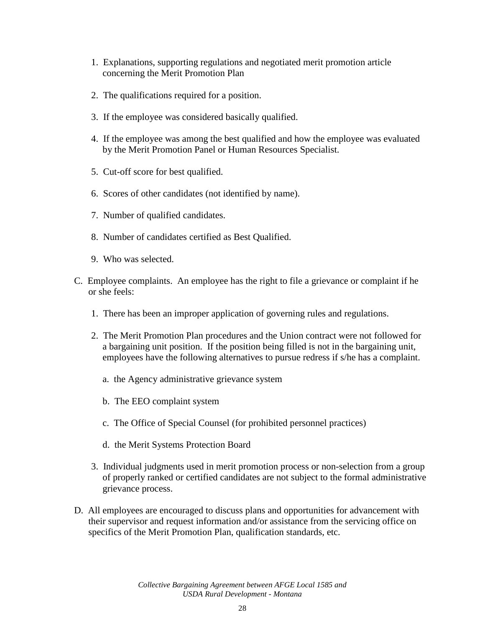- 1. Explanations, supporting regulations and negotiated merit promotion article concerning the Merit Promotion Plan
- 2. The qualifications required for a position.
- 3. If the employee was considered basically qualified.
- 4. If the employee was among the best qualified and how the employee was evaluated by the Merit Promotion Panel or Human Resources Specialist.
- 5. Cut-off score for best qualified.
- 6. Scores of other candidates (not identified by name).
- 7. Number of qualified candidates.
- 8. Number of candidates certified as Best Qualified.
- 9. Who was selected.
- C. Employee complaints. An employee has the right to file a grievance or complaint if he or she feels:
	- 1. There has been an improper application of governing rules and regulations.
	- 2. The Merit Promotion Plan procedures and the Union contract were not followed for a bargaining unit position. If the position being filled is not in the bargaining unit, employees have the following alternatives to pursue redress if s/he has a complaint.
		- a. the Agency administrative grievance system
		- b. The EEO complaint system
		- c. The Office of Special Counsel (for prohibited personnel practices)
		- d. the Merit Systems Protection Board
	- 3. Individual judgments used in merit promotion process or non-selection from a group of properly ranked or certified candidates are not subject to the formal administrative grievance process.
- D. All employees are encouraged to discuss plans and opportunities for advancement with their supervisor and request information and/or assistance from the servicing office on specifics of the Merit Promotion Plan, qualification standards, etc.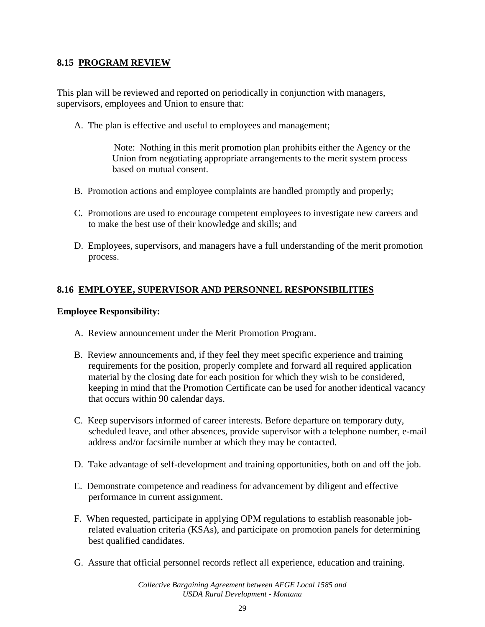#### **8.15 PROGRAM REVIEW**

This plan will be reviewed and reported on periodically in conjunction with managers, supervisors, employees and Union to ensure that:

A. The plan is effective and useful to employees and management;

Note: Nothing in this merit promotion plan prohibits either the Agency or the Union from negotiating appropriate arrangements to the merit system process based on mutual consent.

- B. Promotion actions and employee complaints are handled promptly and properly;
- C. Promotions are used to encourage competent employees to investigate new careers and to make the best use of their knowledge and skills; and
- D. Employees, supervisors, and managers have a full understanding of the merit promotion process.

### **8.16 EMPLOYEE, SUPERVISOR AND PERSONNEL RESPONSIBILITIES**

#### **Employee Responsibility:**

- A. Review announcement under the Merit Promotion Program.
- B. Review announcements and, if they feel they meet specific experience and training requirements for the position, properly complete and forward all required application material by the closing date for each position for which they wish to be considered, keeping in mind that the Promotion Certificate can be used for another identical vacancy that occurs within 90 calendar days.
- C. Keep supervisors informed of career interests. Before departure on temporary duty, scheduled leave, and other absences, provide supervisor with a telephone number, e-mail address and/or facsimile number at which they may be contacted.
- D. Take advantage of self-development and training opportunities, both on and off the job.
- E. Demonstrate competence and readiness for advancement by diligent and effective performance in current assignment.
- F. When requested, participate in applying OPM regulations to establish reasonable jobrelated evaluation criteria (KSAs), and participate on promotion panels for determining best qualified candidates.
- G. Assure that official personnel records reflect all experience, education and training.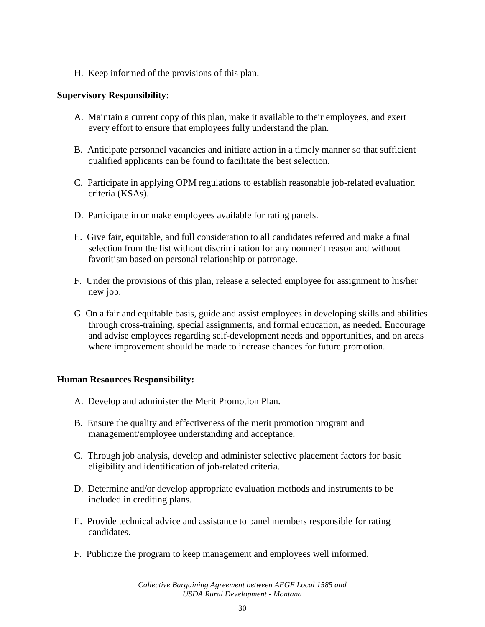H. Keep informed of the provisions of this plan.

#### **Supervisory Responsibility:**

- A. Maintain a current copy of this plan, make it available to their employees, and exert every effort to ensure that employees fully understand the plan.
- B. Anticipate personnel vacancies and initiate action in a timely manner so that sufficient qualified applicants can be found to facilitate the best selection.
- C. Participate in applying OPM regulations to establish reasonable job-related evaluation criteria (KSAs).
- D. Participate in or make employees available for rating panels.
- E. Give fair, equitable, and full consideration to all candidates referred and make a final selection from the list without discrimination for any nonmerit reason and without favoritism based on personal relationship or patronage.
- F. Under the provisions of this plan, release a selected employee for assignment to his/her new job.
- G. On a fair and equitable basis, guide and assist employees in developing skills and abilities through cross-training, special assignments, and formal education, as needed. Encourage and advise employees regarding self-development needs and opportunities, and on areas where improvement should be made to increase chances for future promotion.

#### **Human Resources Responsibility:**

- A. Develop and administer the Merit Promotion Plan.
- B. Ensure the quality and effectiveness of the merit promotion program and management/employee understanding and acceptance.
- C. Through job analysis, develop and administer selective placement factors for basic eligibility and identification of job-related criteria.
- D. Determine and/or develop appropriate evaluation methods and instruments to be included in crediting plans.
- E. Provide technical advice and assistance to panel members responsible for rating candidates.
- F. Publicize the program to keep management and employees well informed.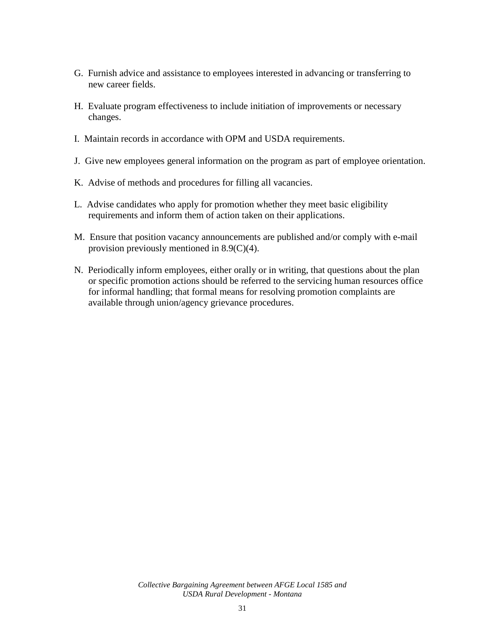- G. Furnish advice and assistance to employees interested in advancing or transferring to new career fields.
- H. Evaluate program effectiveness to include initiation of improvements or necessary changes.
- I. Maintain records in accordance with OPM and USDA requirements.
- J. Give new employees general information on the program as part of employee orientation.
- K. Advise of methods and procedures for filling all vacancies.
- L. Advise candidates who apply for promotion whether they meet basic eligibility requirements and inform them of action taken on their applications.
- M. Ensure that position vacancy announcements are published and/or comply with e-mail provision previously mentioned in 8.9(C)(4).
- N. Periodically inform employees, either orally or in writing, that questions about the plan or specific promotion actions should be referred to the servicing human resources office for informal handling; that formal means for resolving promotion complaints are available through union/agency grievance procedures.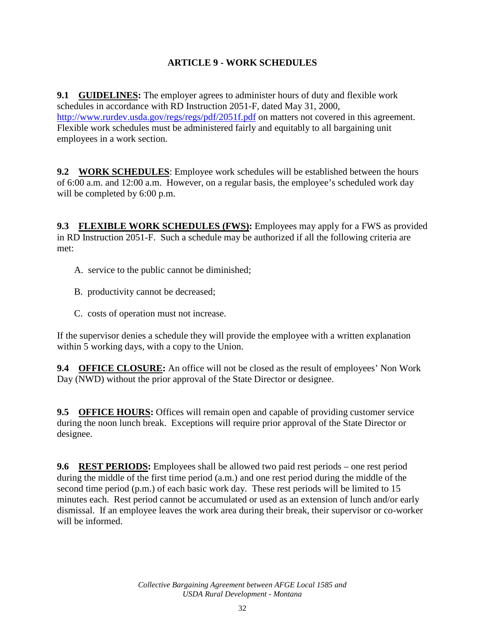# **ARTICLE 9 - WORK SCHEDULES**

**9.1 GUIDELINES:** The employer agrees to administer hours of duty and flexible work schedules in accordance with RD Instruction 2051-F, dated May 31, 2000, <http://www.rurdev.usda.gov/regs/regs/pdf/2051f.pdf> on matters not covered in this agreement. Flexible work schedules must be administered fairly and equitably to all bargaining unit employees in a work section.

**9.2 WORK SCHEDULES**: Employee work schedules will be established between the hours of 6:00 a.m. and 12:00 a.m. However, on a regular basis, the employee's scheduled work day will be completed by 6:00 p.m.

**9.3 FLEXIBLE WORK SCHEDULES (FWS):** Employees may apply for a FWS as provided in RD Instruction 2051-F. Such a schedule may be authorized if all the following criteria are met:

- A. service to the public cannot be diminished;
- B. productivity cannot be decreased;
- C. costs of operation must not increase.

If the supervisor denies a schedule they will provide the employee with a written explanation within 5 working days, with a copy to the Union.

**9.4 OFFICE CLOSURE:** An office will not be closed as the result of employees' Non Work Day (NWD) without the prior approval of the State Director or designee.

**9.5 OFFICE HOURS:** Offices will remain open and capable of providing customer service during the noon lunch break. Exceptions will require prior approval of the State Director or designee.

**9.6 REST PERIODS:** Employees shall be allowed two paid rest periods – one rest period during the middle of the first time period (a.m.) and one rest period during the middle of the second time period (p.m.) of each basic work day. These rest periods will be limited to 15 minutes each. Rest period cannot be accumulated or used as an extension of lunch and/or early dismissal. If an employee leaves the work area during their break, their supervisor or co-worker will be informed.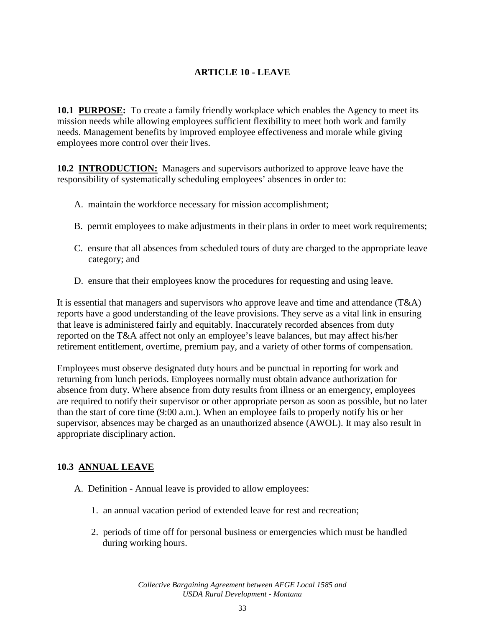# **ARTICLE 10 - LEAVE**

**10.1 PURPOSE:** To create a family friendly workplace which enables the Agency to meet its mission needs while allowing employees sufficient flexibility to meet both work and family needs. Management benefits by improved employee effectiveness and morale while giving employees more control over their lives.

**10.2 INTRODUCTION:** Managers and supervisors authorized to approve leave have the responsibility of systematically scheduling employees' absences in order to:

- A. maintain the workforce necessary for mission accomplishment;
- B. permit employees to make adjustments in their plans in order to meet work requirements;
- C. ensure that all absences from scheduled tours of duty are charged to the appropriate leave category; and
- D. ensure that their employees know the procedures for requesting and using leave.

It is essential that managers and supervisors who approve leave and time and attendance  $(T\&A)$ reports have a good understanding of the leave provisions. They serve as a vital link in ensuring that leave is administered fairly and equitably. Inaccurately recorded absences from duty reported on the T&A affect not only an employee's leave balances, but may affect his/her retirement entitlement, overtime, premium pay, and a variety of other forms of compensation.

Employees must observe designated duty hours and be punctual in reporting for work and returning from lunch periods. Employees normally must obtain advance authorization for absence from duty. Where absence from duty results from illness or an emergency, employees are required to notify their supervisor or other appropriate person as soon as possible, but no later than the start of core time (9:00 a.m.). When an employee fails to properly notify his or her supervisor, absences may be charged as an unauthorized absence (AWOL). It may also result in appropriate disciplinary action.

### **10.3 ANNUAL LEAVE**

- A. Definition Annual leave is provided to allow employees:
	- 1. an annual vacation period of extended leave for rest and recreation;
	- 2. periods of time off for personal business or emergencies which must be handled during working hours.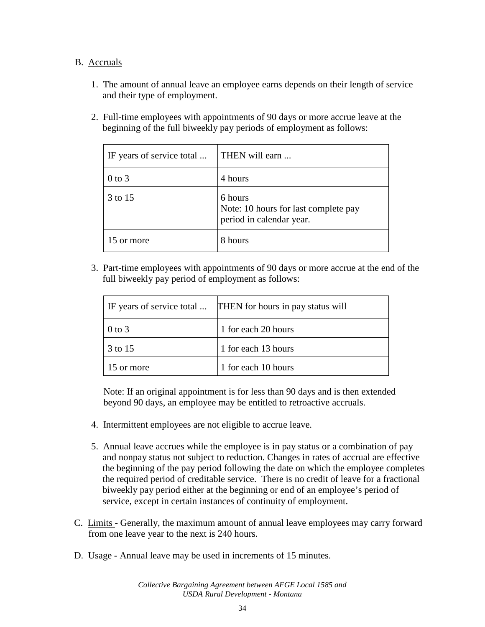#### B. Accruals

- 1. The amount of annual leave an employee earns depends on their length of service and their type of employment.
- 2. Full-time employees with appointments of 90 days or more accrue leave at the beginning of the full biweekly pay periods of employment as follows:

| IF years of service total | THEN will earn                                                              |
|---------------------------|-----------------------------------------------------------------------------|
| $0$ to $3$                | 4 hours                                                                     |
| 3 to 15                   | 6 hours<br>Note: 10 hours for last complete pay<br>period in calendar year. |
| 15 or more                | 8 hours                                                                     |

3. Part-time employees with appointments of 90 days or more accrue at the end of the full biweekly pay period of employment as follows:

|            | IF years of service total  THEN for hours in pay status will |
|------------|--------------------------------------------------------------|
| $0$ to 3   | 1 for each 20 hours                                          |
| 3 to 15    | 1 for each 13 hours                                          |
| 15 or more | 1 for each 10 hours                                          |

Note: If an original appointment is for less than 90 days and is then extended beyond 90 days, an employee may be entitled to retroactive accruals.

- 4. Intermittent employees are not eligible to accrue leave.
- 5. Annual leave accrues while the employee is in pay status or a combination of pay and nonpay status not subject to reduction. Changes in rates of accrual are effective the beginning of the pay period following the date on which the employee completes the required period of creditable service. There is no credit of leave for a fractional biweekly pay period either at the beginning or end of an employee's period of service, except in certain instances of continuity of employment.
- C. Limits Generally, the maximum amount of annual leave employees may carry forward from one leave year to the next is 240 hours.
- D. Usage Annual leave may be used in increments of 15 minutes.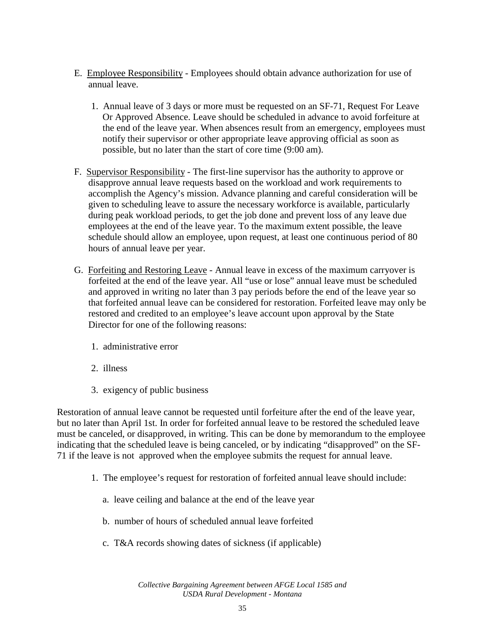- E. Employee Responsibility Employees should obtain advance authorization for use of annual leave.
	- 1. Annual leave of 3 days or more must be requested on an SF-71, Request For Leave Or Approved Absence. Leave should be scheduled in advance to avoid forfeiture at the end of the leave year. When absences result from an emergency, employees must notify their supervisor or other appropriate leave approving official as soon as possible, but no later than the start of core time (9:00 am).
- F. Supervisor Responsibility The first-line supervisor has the authority to approve or disapprove annual leave requests based on the workload and work requirements to accomplish the Agency's mission. Advance planning and careful consideration will be given to scheduling leave to assure the necessary workforce is available, particularly during peak workload periods, to get the job done and prevent loss of any leave due employees at the end of the leave year. To the maximum extent possible, the leave schedule should allow an employee, upon request, at least one continuous period of 80 hours of annual leave per year.
- G. Forfeiting and Restoring Leave Annual leave in excess of the maximum carryover is forfeited at the end of the leave year. All "use or lose" annual leave must be scheduled and approved in writing no later than 3 pay periods before the end of the leave year so that forfeited annual leave can be considered for restoration. Forfeited leave may only be restored and credited to an employee's leave account upon approval by the State Director for one of the following reasons:
	- 1. administrative error
	- 2. illness
	- 3. exigency of public business

Restoration of annual leave cannot be requested until forfeiture after the end of the leave year, but no later than April 1st. In order for forfeited annual leave to be restored the scheduled leave must be canceled, or disapproved, in writing. This can be done by memorandum to the employee indicating that the scheduled leave is being canceled, or by indicating "disapproved" on the SF-71 if the leave is not approved when the employee submits the request for annual leave.

- 1. The employee's request for restoration of forfeited annual leave should include:
	- a. leave ceiling and balance at the end of the leave year
	- b. number of hours of scheduled annual leave forfeited
	- c. T&A records showing dates of sickness (if applicable)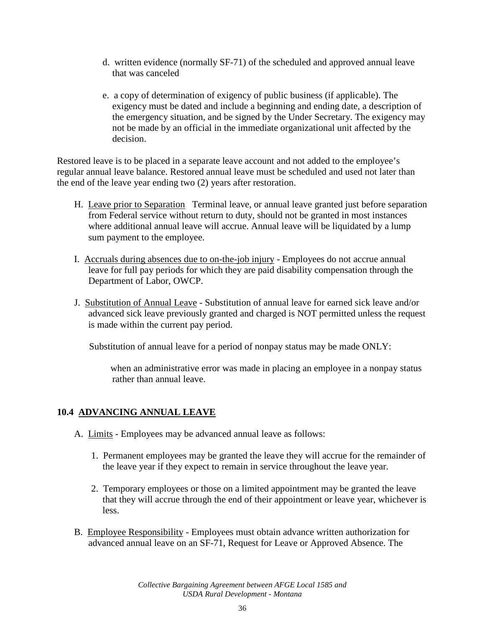- d. written evidence (normally SF-71) of the scheduled and approved annual leave that was canceled
- e. a copy of determination of exigency of public business (if applicable). The exigency must be dated and include a beginning and ending date, a description of the emergency situation, and be signed by the Under Secretary. The exigency may not be made by an official in the immediate organizational unit affected by the decision.

Restored leave is to be placed in a separate leave account and not added to the employee's regular annual leave balance. Restored annual leave must be scheduled and used not later than the end of the leave year ending two (2) years after restoration.

- H. Leave prior to Separation Terminal leave, or annual leave granted just before separation from Federal service without return to duty, should not be granted in most instances where additional annual leave will accrue. Annual leave will be liquidated by a lump sum payment to the employee.
- I. Accruals during absences due to on-the-job injury Employees do not accrue annual leave for full pay periods for which they are paid disability compensation through the Department of Labor, OWCP.
- J. Substitution of Annual Leave Substitution of annual leave for earned sick leave and/or advanced sick leave previously granted and charged is NOT permitted unless the request is made within the current pay period.

Substitution of annual leave for a period of nonpay status may be made ONLY:

when an administrative error was made in placing an employee in a nonpay status rather than annual leave.

### **10.4 ADVANCING ANNUAL LEAVE**

- A. Limits Employees may be advanced annual leave as follows:
	- 1. Permanent employees may be granted the leave they will accrue for the remainder of the leave year if they expect to remain in service throughout the leave year.
	- 2. Temporary employees or those on a limited appointment may be granted the leave that they will accrue through the end of their appointment or leave year, whichever is less.
- B. Employee Responsibility Employees must obtain advance written authorization for advanced annual leave on an SF-71, Request for Leave or Approved Absence. The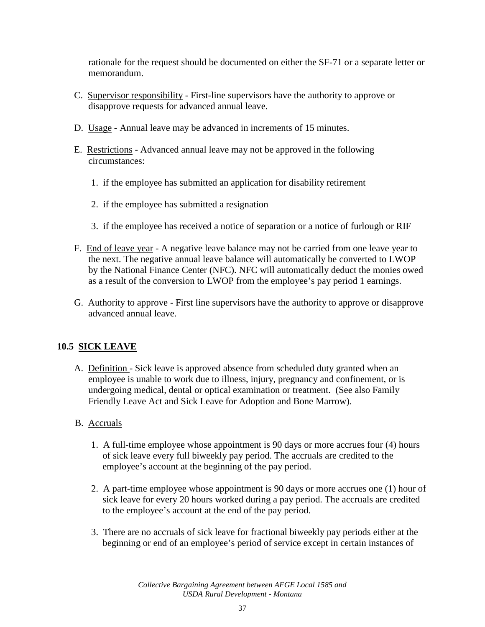rationale for the request should be documented on either the SF-71 or a separate letter or memorandum.

- C. Supervisor responsibility First-line supervisors have the authority to approve or disapprove requests for advanced annual leave.
- D. Usage Annual leave may be advanced in increments of 15 minutes.
- E. Restrictions Advanced annual leave may not be approved in the following circumstances:
	- 1. if the employee has submitted an application for disability retirement
	- 2. if the employee has submitted a resignation
	- 3. if the employee has received a notice of separation or a notice of furlough or RIF
- F. End of leave year A negative leave balance may not be carried from one leave year to the next. The negative annual leave balance will automatically be converted to LWOP by the National Finance Center (NFC). NFC will automatically deduct the monies owed as a result of the conversion to LWOP from the employee's pay period 1 earnings.
- G. Authority to approve First line supervisors have the authority to approve or disapprove advanced annual leave.

## **10.5 SICK LEAVE**

- A. Definition Sick leave is approved absence from scheduled duty granted when an employee is unable to work due to illness, injury, pregnancy and confinement, or is undergoing medical, dental or optical examination or treatment. (See also Family Friendly Leave Act and Sick Leave for Adoption and Bone Marrow).
- B. Accruals
	- 1. A full-time employee whose appointment is 90 days or more accrues four (4) hours of sick leave every full biweekly pay period. The accruals are credited to the employee's account at the beginning of the pay period.
	- 2. A part-time employee whose appointment is 90 days or more accrues one (1) hour of sick leave for every 20 hours worked during a pay period. The accruals are credited to the employee's account at the end of the pay period.
	- 3. There are no accruals of sick leave for fractional biweekly pay periods either at the beginning or end of an employee's period of service except in certain instances of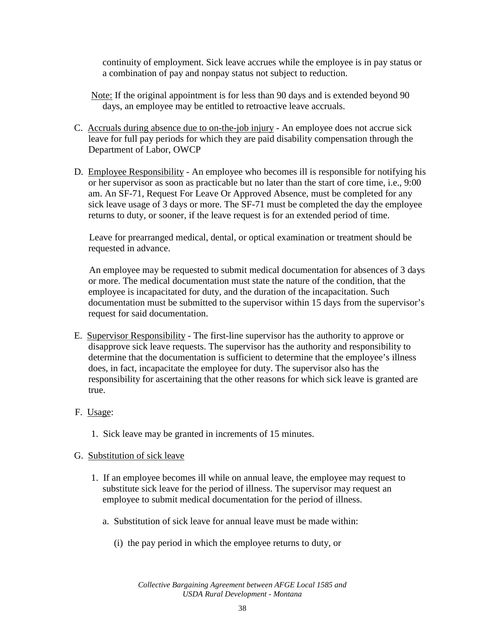continuity of employment. Sick leave accrues while the employee is in pay status or a combination of pay and nonpay status not subject to reduction.

- Note: If the original appointment is for less than 90 days and is extended beyond 90 days, an employee may be entitled to retroactive leave accruals.
- C. Accruals during absence due to on-the-job injury An employee does not accrue sick leave for full pay periods for which they are paid disability compensation through the Department of Labor, OWCP
- D. Employee Responsibility An employee who becomes ill is responsible for notifying his or her supervisor as soon as practicable but no later than the start of core time, i.e., 9:00 am. An SF-71, Request For Leave Or Approved Absence, must be completed for any sick leave usage of 3 days or more. The SF-71 must be completed the day the employee returns to duty, or sooner, if the leave request is for an extended period of time.

Leave for prearranged medical, dental, or optical examination or treatment should be requested in advance.

An employee may be requested to submit medical documentation for absences of 3 days or more. The medical documentation must state the nature of the condition, that the employee is incapacitated for duty, and the duration of the incapacitation. Such documentation must be submitted to the supervisor within 15 days from the supervisor's request for said documentation.

- E. Supervisor Responsibility The first-line supervisor has the authority to approve or disapprove sick leave requests. The supervisor has the authority and responsibility to determine that the documentation is sufficient to determine that the employee's illness does, in fact, incapacitate the employee for duty. The supervisor also has the responsibility for ascertaining that the other reasons for which sick leave is granted are true.
- F. Usage:
	- 1. Sick leave may be granted in increments of 15 minutes.

### G. Substitution of sick leave

- 1. If an employee becomes ill while on annual leave, the employee may request to substitute sick leave for the period of illness. The supervisor may request an employee to submit medical documentation for the period of illness.
	- a. Substitution of sick leave for annual leave must be made within:
		- (i) the pay period in which the employee returns to duty, or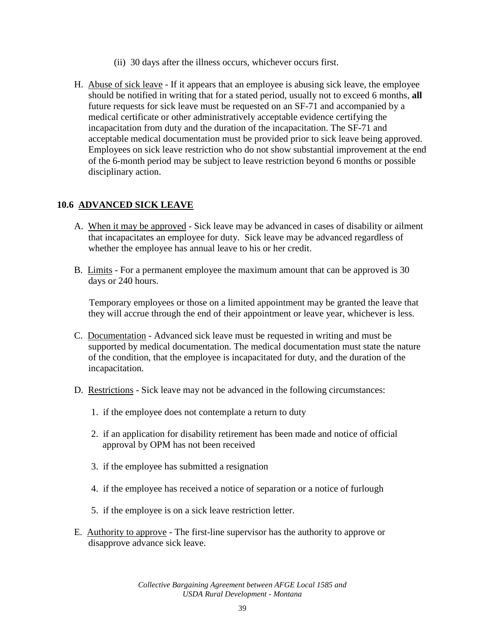- (ii) 30 days after the illness occurs, whichever occurs first.
- H. Abuse of sick leave If it appears that an employee is abusing sick leave, the employee should be notified in writing that for a stated period, usually not to exceed 6 months, **all**  future requests for sick leave must be requested on an SF-71 and accompanied by a medical certificate or other administratively acceptable evidence certifying the incapacitation from duty and the duration of the incapacitation. The SF-71 and acceptable medical documentation must be provided prior to sick leave being approved. Employees on sick leave restriction who do not show substantial improvement at the end of the 6-month period may be subject to leave restriction beyond 6 months or possible disciplinary action.

### **10.6 ADVANCED SICK LEAVE**

- A. When it may be approved Sick leave may be advanced in cases of disability or ailment that incapacitates an employee for duty. Sick leave may be advanced regardless of whether the employee has annual leave to his or her credit.
- B. Limits For a permanent employee the maximum amount that can be approved is 30 days or 240 hours.

Temporary employees or those on a limited appointment may be granted the leave that they will accrue through the end of their appointment or leave year, whichever is less.

- C. Documentation Advanced sick leave must be requested in writing and must be supported by medical documentation. The medical documentation must state the nature of the condition, that the employee is incapacitated for duty, and the duration of the incapacitation.
- D. Restrictions Sick leave may not be advanced in the following circumstances:
	- 1. if the employee does not contemplate a return to duty
	- 2. if an application for disability retirement has been made and notice of official approval by OPM has not been received
	- 3. if the employee has submitted a resignation
	- 4. if the employee has received a notice of separation or a notice of furlough
	- 5. if the employee is on a sick leave restriction letter.
- E. Authority to approve The first-line supervisor has the authority to approve or disapprove advance sick leave.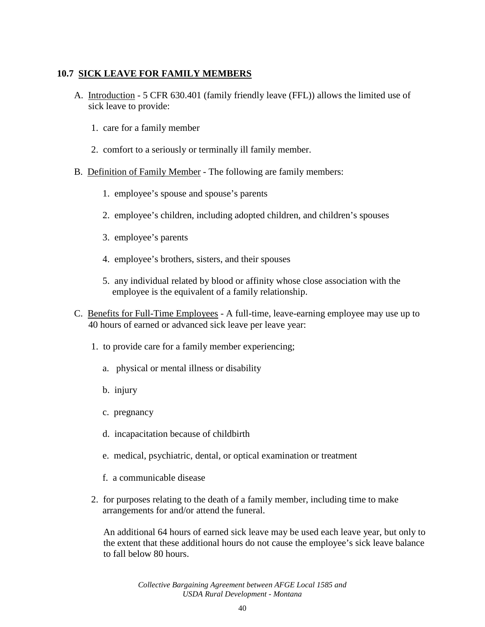## **10.7 SICK LEAVE FOR FAMILY MEMBERS**

- A. Introduction 5 CFR 630.401 (family friendly leave (FFL)) allows the limited use of sick leave to provide:
	- 1. care for a family member
	- 2. comfort to a seriously or terminally ill family member.
- B. Definition of Family Member The following are family members:
	- 1. employee's spouse and spouse's parents
	- 2. employee's children, including adopted children, and children's spouses
	- 3. employee's parents
	- 4. employee's brothers, sisters, and their spouses
	- 5. any individual related by blood or affinity whose close association with the employee is the equivalent of a family relationship.
- C. Benefits for Full-Time Employees A full-time, leave-earning employee may use up to 40 hours of earned or advanced sick leave per leave year:
	- 1. to provide care for a family member experiencing;
		- a. physical or mental illness or disability
		- b. injury
		- c. pregnancy
		- d. incapacitation because of childbirth
		- e. medical, psychiatric, dental, or optical examination or treatment
		- f. a communicable disease
	- 2. for purposes relating to the death of a family member, including time to make arrangements for and/or attend the funeral.

An additional 64 hours of earned sick leave may be used each leave year, but only to the extent that these additional hours do not cause the employee's sick leave balance to fall below 80 hours.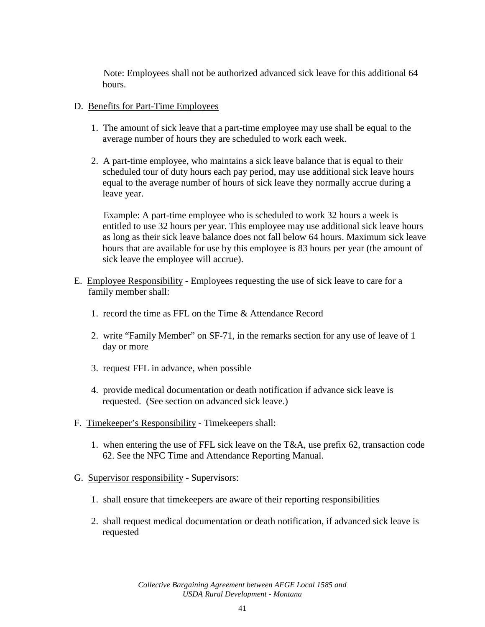Note: Employees shall not be authorized advanced sick leave for this additional 64 hours.

### D. Benefits for Part-Time Employees

- 1. The amount of sick leave that a part-time employee may use shall be equal to the average number of hours they are scheduled to work each week.
- 2. A part-time employee, who maintains a sick leave balance that is equal to their scheduled tour of duty hours each pay period, may use additional sick leave hours equal to the average number of hours of sick leave they normally accrue during a leave year.

Example: A part-time employee who is scheduled to work 32 hours a week is entitled to use 32 hours per year. This employee may use additional sick leave hours as long as their sick leave balance does not fall below 64 hours. Maximum sick leave hours that are available for use by this employee is 83 hours per year (the amount of sick leave the employee will accrue).

- E. Employee Responsibility Employees requesting the use of sick leave to care for a family member shall:
	- 1. record the time as FFL on the Time & Attendance Record
	- 2. write "Family Member" on SF-71, in the remarks section for any use of leave of 1 day or more
	- 3. request FFL in advance, when possible
	- 4. provide medical documentation or death notification if advance sick leave is requested. (See section on advanced sick leave.)
- F. Timekeeper's Responsibility Timekeepers shall:
	- 1. when entering the use of FFL sick leave on the T&A, use prefix 62, transaction code 62. See the NFC Time and Attendance Reporting Manual.
- G. Supervisor responsibility Supervisors:
	- 1. shall ensure that timekeepers are aware of their reporting responsibilities
	- 2. shall request medical documentation or death notification, if advanced sick leave is requested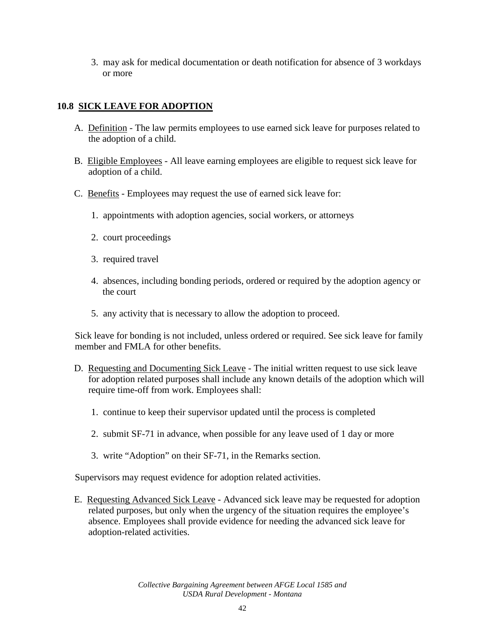3. may ask for medical documentation or death notification for absence of 3 workdays or more

## **10.8 SICK LEAVE FOR ADOPTION**

- A. Definition The law permits employees to use earned sick leave for purposes related to the adoption of a child.
- B. Eligible Employees All leave earning employees are eligible to request sick leave for adoption of a child.
- C. Benefits Employees may request the use of earned sick leave for:
	- 1. appointments with adoption agencies, social workers, or attorneys
	- 2. court proceedings
	- 3. required travel
	- 4. absences, including bonding periods, ordered or required by the adoption agency or the court
	- 5. any activity that is necessary to allow the adoption to proceed.

Sick leave for bonding is not included, unless ordered or required. See sick leave for family member and FMLA for other benefits.

- D. Requesting and Documenting Sick Leave The initial written request to use sick leave for adoption related purposes shall include any known details of the adoption which will require time-off from work. Employees shall:
	- 1. continue to keep their supervisor updated until the process is completed
	- 2. submit SF-71 in advance, when possible for any leave used of 1 day or more
	- 3. write "Adoption" on their SF-71, in the Remarks section.

Supervisors may request evidence for adoption related activities.

E. Requesting Advanced Sick Leave - Advanced sick leave may be requested for adoption related purposes, but only when the urgency of the situation requires the employee's absence. Employees shall provide evidence for needing the advanced sick leave for adoption-related activities.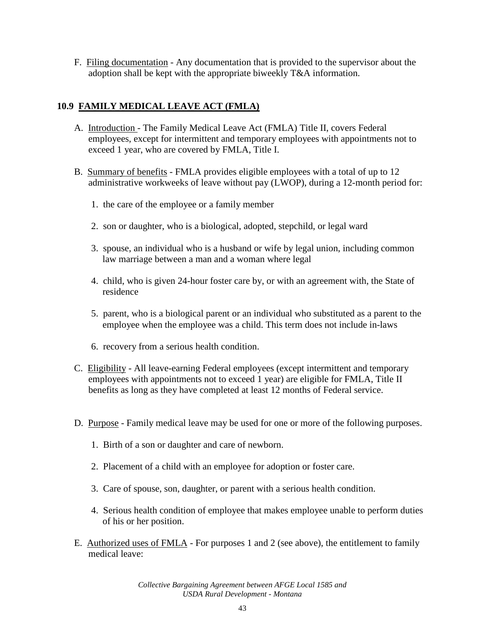F. Filing documentation - Any documentation that is provided to the supervisor about the adoption shall be kept with the appropriate biweekly T&A information.

## **10.9 FAMILY MEDICAL LEAVE ACT (FMLA)**

- A. Introduction The Family Medical Leave Act (FMLA) Title II, covers Federal employees, except for intermittent and temporary employees with appointments not to exceed 1 year, who are covered by FMLA, Title I.
- B. Summary of benefits FMLA provides eligible employees with a total of up to 12 administrative workweeks of leave without pay (LWOP), during a 12-month period for:
	- 1. the care of the employee or a family member
	- 2. son or daughter, who is a biological, adopted, stepchild, or legal ward
	- 3. spouse, an individual who is a husband or wife by legal union, including common law marriage between a man and a woman where legal
	- 4. child, who is given 24-hour foster care by, or with an agreement with, the State of residence
	- 5. parent, who is a biological parent or an individual who substituted as a parent to the employee when the employee was a child. This term does not include in-laws
	- 6. recovery from a serious health condition.
- C. Eligibility All leave-earning Federal employees (except intermittent and temporary employees with appointments not to exceed 1 year) are eligible for FMLA, Title II benefits as long as they have completed at least 12 months of Federal service.
- D. Purpose Family medical leave may be used for one or more of the following purposes.
	- 1. Birth of a son or daughter and care of newborn.
	- 2. Placement of a child with an employee for adoption or foster care.
	- 3. Care of spouse, son, daughter, or parent with a serious health condition.
	- 4. Serious health condition of employee that makes employee unable to perform duties of his or her position.
- E. Authorized uses of FMLA For purposes 1 and 2 (see above), the entitlement to family medical leave: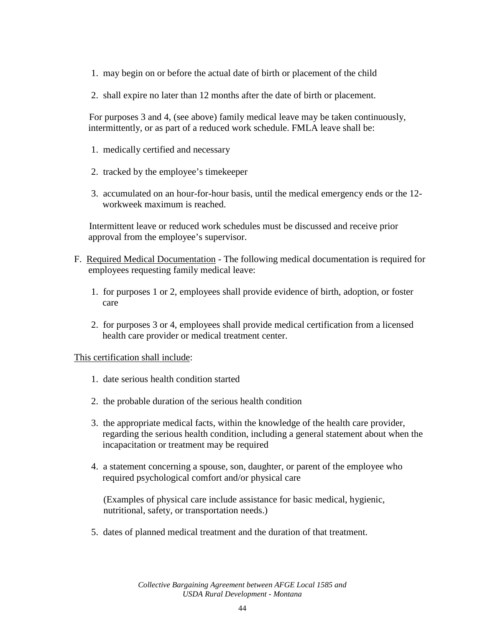- 1. may begin on or before the actual date of birth or placement of the child
- 2. shall expire no later than 12 months after the date of birth or placement.

For purposes 3 and 4, (see above) family medical leave may be taken continuously, intermittently, or as part of a reduced work schedule. FMLA leave shall be:

- 1. medically certified and necessary
- 2. tracked by the employee's timekeeper
- 3. accumulated on an hour-for-hour basis, until the medical emergency ends or the 12 workweek maximum is reached.

Intermittent leave or reduced work schedules must be discussed and receive prior approval from the employee's supervisor.

- F. Required Medical Documentation The following medical documentation is required for employees requesting family medical leave:
	- 1. for purposes 1 or 2, employees shall provide evidence of birth, adoption, or foster care
	- 2. for purposes 3 or 4, employees shall provide medical certification from a licensed health care provider or medical treatment center.

### This certification shall include:

- 1. date serious health condition started
- 2. the probable duration of the serious health condition
- 3. the appropriate medical facts, within the knowledge of the health care provider, regarding the serious health condition, including a general statement about when the incapacitation or treatment may be required
- 4. a statement concerning a spouse, son, daughter, or parent of the employee who required psychological comfort and/or physical care

(Examples of physical care include assistance for basic medical, hygienic, nutritional, safety, or transportation needs.)

5. dates of planned medical treatment and the duration of that treatment.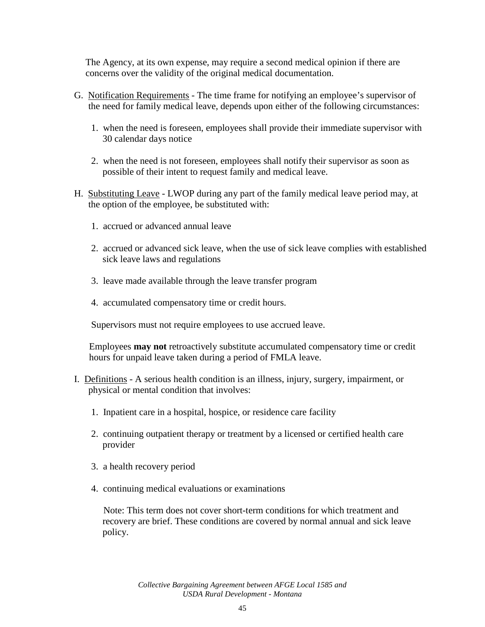The Agency, at its own expense, may require a second medical opinion if there are concerns over the validity of the original medical documentation.

- G. Notification Requirements The time frame for notifying an employee's supervisor of the need for family medical leave, depends upon either of the following circumstances:
	- 1. when the need is foreseen, employees shall provide their immediate supervisor with 30 calendar days notice
	- 2. when the need is not foreseen, employees shall notify their supervisor as soon as possible of their intent to request family and medical leave.
- H. Substituting Leave LWOP during any part of the family medical leave period may, at the option of the employee, be substituted with:
	- 1. accrued or advanced annual leave
	- 2. accrued or advanced sick leave, when the use of sick leave complies with established sick leave laws and regulations
	- 3. leave made available through the leave transfer program
	- 4. accumulated compensatory time or credit hours.

Supervisors must not require employees to use accrued leave.

Employees **may not** retroactively substitute accumulated compensatory time or credit hours for unpaid leave taken during a period of FMLA leave.

- I. Definitions A serious health condition is an illness, injury, surgery, impairment, or physical or mental condition that involves:
	- 1. Inpatient care in a hospital, hospice, or residence care facility
	- 2. continuing outpatient therapy or treatment by a licensed or certified health care provider
	- 3. a health recovery period
	- 4. continuing medical evaluations or examinations

Note: This term does not cover short-term conditions for which treatment and recovery are brief. These conditions are covered by normal annual and sick leave policy.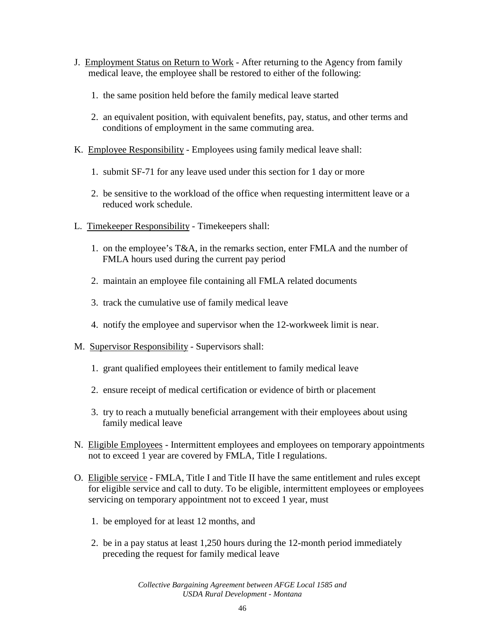- J. Employment Status on Return to Work After returning to the Agency from family medical leave, the employee shall be restored to either of the following:
	- 1. the same position held before the family medical leave started
	- 2. an equivalent position, with equivalent benefits, pay, status, and other terms and conditions of employment in the same commuting area.
- K. Employee Responsibility Employees using family medical leave shall:
	- 1. submit SF-71 for any leave used under this section for 1 day or more
	- 2. be sensitive to the workload of the office when requesting intermittent leave or a reduced work schedule.
- L. Timekeeper Responsibility Timekeepers shall:
	- 1. on the employee's T&A, in the remarks section, enter FMLA and the number of FMLA hours used during the current pay period
	- 2. maintain an employee file containing all FMLA related documents
	- 3. track the cumulative use of family medical leave
	- 4. notify the employee and supervisor when the 12-workweek limit is near.
- M. Supervisor Responsibility Supervisors shall:
	- 1. grant qualified employees their entitlement to family medical leave
	- 2. ensure receipt of medical certification or evidence of birth or placement
	- 3. try to reach a mutually beneficial arrangement with their employees about using family medical leave
- N. Eligible Employees Intermittent employees and employees on temporary appointments not to exceed 1 year are covered by FMLA, Title I regulations.
- O. Eligible service FMLA, Title I and Title II have the same entitlement and rules except for eligible service and call to duty. To be eligible, intermittent employees or employees servicing on temporary appointment not to exceed 1 year, must
	- 1. be employed for at least 12 months, and
	- 2. be in a pay status at least 1,250 hours during the 12-month period immediately preceding the request for family medical leave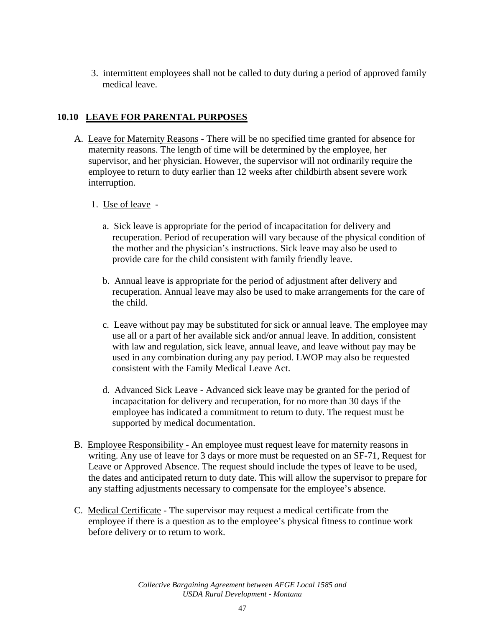3. intermittent employees shall not be called to duty during a period of approved family medical leave.

## **10.10 LEAVE FOR PARENTAL PURPOSES**

- A. Leave for Maternity Reasons There will be no specified time granted for absence for maternity reasons. The length of time will be determined by the employee, her supervisor, and her physician. However, the supervisor will not ordinarily require the employee to return to duty earlier than 12 weeks after childbirth absent severe work interruption.
	- 1. Use of leave
		- a. Sick leave is appropriate for the period of incapacitation for delivery and recuperation. Period of recuperation will vary because of the physical condition of the mother and the physician's instructions. Sick leave may also be used to provide care for the child consistent with family friendly leave.
		- b. Annual leave is appropriate for the period of adjustment after delivery and recuperation. Annual leave may also be used to make arrangements for the care of the child.
		- c. Leave without pay may be substituted for sick or annual leave. The employee may use all or a part of her available sick and/or annual leave. In addition, consistent with law and regulation, sick leave, annual leave, and leave without pay may be used in any combination during any pay period. LWOP may also be requested consistent with the Family Medical Leave Act.
		- d. Advanced Sick Leave Advanced sick leave may be granted for the period of incapacitation for delivery and recuperation, for no more than 30 days if the employee has indicated a commitment to return to duty. The request must be supported by medical documentation.
- B. Employee Responsibility An employee must request leave for maternity reasons in writing. Any use of leave for 3 days or more must be requested on an SF-71, Request for Leave or Approved Absence. The request should include the types of leave to be used, the dates and anticipated return to duty date. This will allow the supervisor to prepare for any staffing adjustments necessary to compensate for the employee's absence.
- C. Medical Certificate The supervisor may request a medical certificate from the employee if there is a question as to the employee's physical fitness to continue work before delivery or to return to work.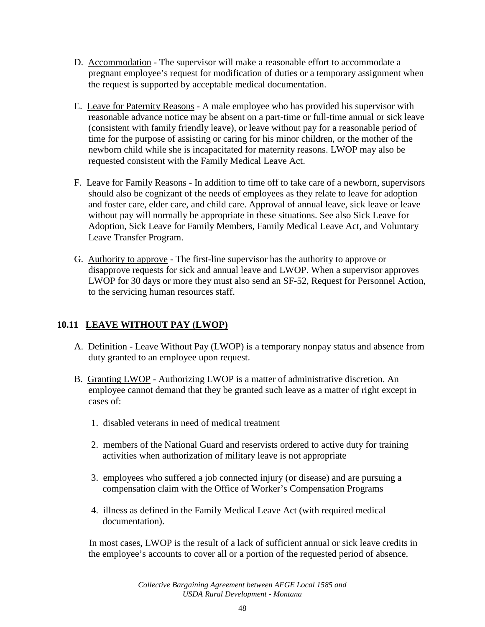- D. Accommodation The supervisor will make a reasonable effort to accommodate a pregnant employee's request for modification of duties or a temporary assignment when the request is supported by acceptable medical documentation.
- E. Leave for Paternity Reasons A male employee who has provided his supervisor with reasonable advance notice may be absent on a part-time or full-time annual or sick leave (consistent with family friendly leave), or leave without pay for a reasonable period of time for the purpose of assisting or caring for his minor children, or the mother of the newborn child while she is incapacitated for maternity reasons. LWOP may also be requested consistent with the Family Medical Leave Act.
- F. Leave for Family Reasons In addition to time off to take care of a newborn, supervisors should also be cognizant of the needs of employees as they relate to leave for adoption and foster care, elder care, and child care. Approval of annual leave, sick leave or leave without pay will normally be appropriate in these situations. See also Sick Leave for Adoption, Sick Leave for Family Members, Family Medical Leave Act, and Voluntary Leave Transfer Program.
- G. Authority to approve The first-line supervisor has the authority to approve or disapprove requests for sick and annual leave and LWOP. When a supervisor approves LWOP for 30 days or more they must also send an SF-52, Request for Personnel Action, to the servicing human resources staff.

# **10.11 LEAVE WITHOUT PAY (LWOP)**

- A. Definition Leave Without Pay (LWOP) is a temporary nonpay status and absence from duty granted to an employee upon request.
- B. Granting LWOP Authorizing LWOP is a matter of administrative discretion. An employee cannot demand that they be granted such leave as a matter of right except in cases of:
	- 1. disabled veterans in need of medical treatment
	- 2. members of the National Guard and reservists ordered to active duty for training activities when authorization of military leave is not appropriate
	- 3. employees who suffered a job connected injury (or disease) and are pursuing a compensation claim with the Office of Worker's Compensation Programs
	- 4. illness as defined in the Family Medical Leave Act (with required medical documentation).

In most cases, LWOP is the result of a lack of sufficient annual or sick leave credits in the employee's accounts to cover all or a portion of the requested period of absence.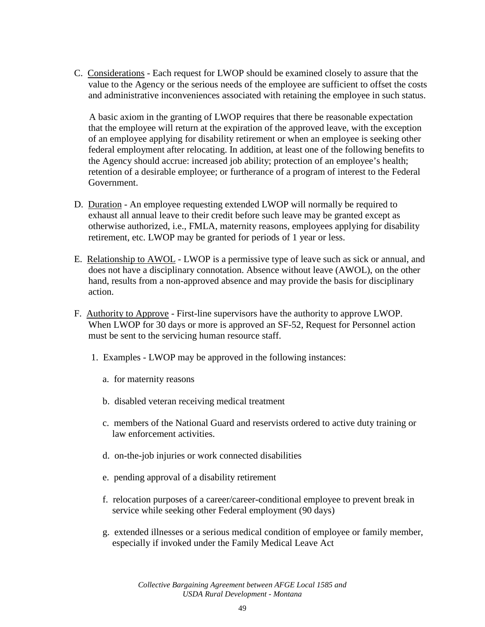C. Considerations - Each request for LWOP should be examined closely to assure that the value to the Agency or the serious needs of the employee are sufficient to offset the costs and administrative inconveniences associated with retaining the employee in such status.

A basic axiom in the granting of LWOP requires that there be reasonable expectation that the employee will return at the expiration of the approved leave, with the exception of an employee applying for disability retirement or when an employee is seeking other federal employment after relocating. In addition, at least one of the following benefits to the Agency should accrue: increased job ability; protection of an employee's health; retention of a desirable employee; or furtherance of a program of interest to the Federal Government.

- D. Duration An employee requesting extended LWOP will normally be required to exhaust all annual leave to their credit before such leave may be granted except as otherwise authorized, i.e., FMLA, maternity reasons, employees applying for disability retirement, etc. LWOP may be granted for periods of 1 year or less.
- E. Relationship to AWOL LWOP is a permissive type of leave such as sick or annual, and does not have a disciplinary connotation. Absence without leave (AWOL), on the other hand, results from a non-approved absence and may provide the basis for disciplinary action.
- F. Authority to Approve First-line supervisors have the authority to approve LWOP. When LWOP for 30 days or more is approved an SF-52, Request for Personnel action must be sent to the servicing human resource staff.
	- 1. Examples LWOP may be approved in the following instances:
		- a. for maternity reasons
		- b. disabled veteran receiving medical treatment
		- c. members of the National Guard and reservists ordered to active duty training or law enforcement activities.
		- d. on-the-job injuries or work connected disabilities
		- e. pending approval of a disability retirement
		- f. relocation purposes of a career/career-conditional employee to prevent break in service while seeking other Federal employment (90 days)
		- g. extended illnesses or a serious medical condition of employee or family member, especially if invoked under the Family Medical Leave Act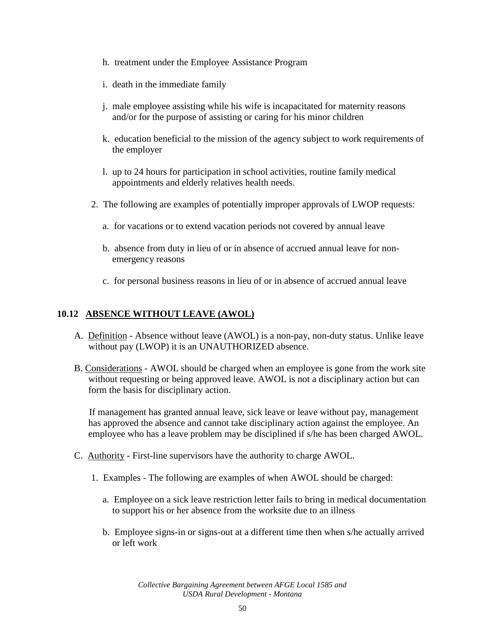- h. treatment under the Employee Assistance Program
- i. death in the immediate family
- j. male employee assisting while his wife is incapacitated for maternity reasons and/or for the purpose of assisting or caring for his minor children
- k. education beneficial to the mission of the agency subject to work requirements of the employer
- l. up to 24 hours for participation in school activities, routine family medical appointments and elderly relatives health needs.
- 2. The following are examples of potentially improper approvals of LWOP requests:
	- a. for vacations or to extend vacation periods not covered by annual leave
	- b. absence from duty in lieu of or in absence of accrued annual leave for nonemergency reasons
	- c. for personal business reasons in lieu of or in absence of accrued annual leave

### **10.12 ABSENCE WITHOUT LEAVE (AWOL)**

- A. Definition Absence without leave (AWOL) is a non-pay, non-duty status. Unlike leave without pay (LWOP) it is an UNAUTHORIZED absence.
- B. Considerations AWOL should be charged when an employee is gone from the work site without requesting or being approved leave. AWOL is not a disciplinary action but can form the basis for disciplinary action.

If management has granted annual leave, sick leave or leave without pay, management has approved the absence and cannot take disciplinary action against the employee. An employee who has a leave problem may be disciplined if s/he has been charged AWOL.

- C. Authority First-line supervisors have the authority to charge AWOL.
	- 1. Examples The following are examples of when AWOL should be charged:
		- a. Employee on a sick leave restriction letter fails to bring in medical documentation to support his or her absence from the worksite due to an illness
		- b. Employee signs-in or signs-out at a different time then when s/he actually arrived or left work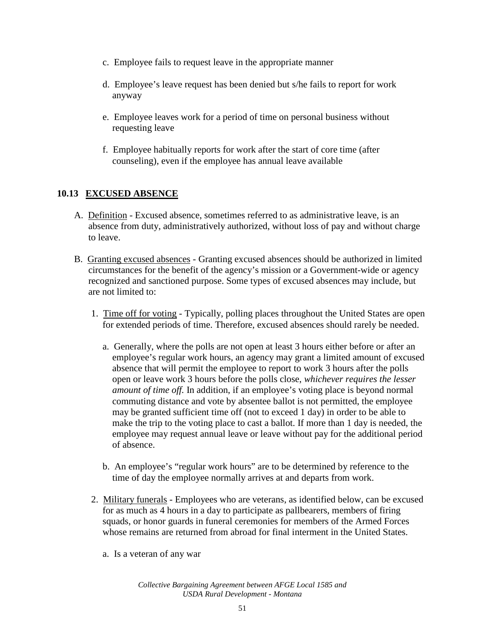- c. Employee fails to request leave in the appropriate manner
- d. Employee's leave request has been denied but s/he fails to report for work anyway
- e. Employee leaves work for a period of time on personal business without requesting leave
- f. Employee habitually reports for work after the start of core time (after counseling), even if the employee has annual leave available

## **10.13 EXCUSED ABSENCE**

- A. Definition Excused absence, sometimes referred to as administrative leave, is an absence from duty, administratively authorized, without loss of pay and without charge to leave.
- B. Granting excused absences Granting excused absences should be authorized in limited circumstances for the benefit of the agency's mission or a Government-wide or agency recognized and sanctioned purpose. Some types of excused absences may include, but are not limited to:
	- 1. Time off for voting Typically, polling places throughout the United States are open for extended periods of time. Therefore, excused absences should rarely be needed.
		- a. Generally, where the polls are not open at least 3 hours either before or after an employee's regular work hours, an agency may grant a limited amount of excused absence that will permit the employee to report to work 3 hours after the polls open or leave work 3 hours before the polls close, *whichever requires the lesser amount of time off.* In addition, if an employee's voting place is beyond normal commuting distance and vote by absentee ballot is not permitted, the employee may be granted sufficient time off (not to exceed 1 day) in order to be able to make the trip to the voting place to cast a ballot. If more than 1 day is needed, the employee may request annual leave or leave without pay for the additional period of absence.
		- b. An employee's "regular work hours" are to be determined by reference to the time of day the employee normally arrives at and departs from work.
	- 2. Military funerals Employees who are veterans, as identified below, can be excused for as much as 4 hours in a day to participate as pallbearers, members of firing squads, or honor guards in funeral ceremonies for members of the Armed Forces whose remains are returned from abroad for final interment in the United States.
		- a. Is a veteran of any war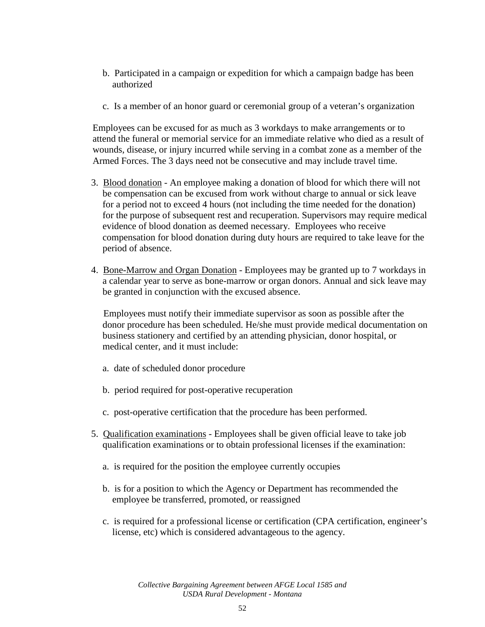- b. Participated in a campaign or expedition for which a campaign badge has been authorized
- c. Is a member of an honor guard or ceremonial group of a veteran's organization

Employees can be excused for as much as 3 workdays to make arrangements or to attend the funeral or memorial service for an immediate relative who died as a result of wounds, disease, or injury incurred while serving in a combat zone as a member of the Armed Forces. The 3 days need not be consecutive and may include travel time.

- 3. Blood donation An employee making a donation of blood for which there will not be compensation can be excused from work without charge to annual or sick leave for a period not to exceed 4 hours (not including the time needed for the donation) for the purpose of subsequent rest and recuperation. Supervisors may require medical evidence of blood donation as deemed necessary. Employees who receive compensation for blood donation during duty hours are required to take leave for the period of absence.
- 4. Bone-Marrow and Organ Donation Employees may be granted up to 7 workdays in a calendar year to serve as bone-marrow or organ donors. Annual and sick leave may be granted in conjunction with the excused absence.

Employees must notify their immediate supervisor as soon as possible after the donor procedure has been scheduled. He/she must provide medical documentation on business stationery and certified by an attending physician, donor hospital, or medical center, and it must include:

- a. date of scheduled donor procedure
- b. period required for post-operative recuperation
- c. post-operative certification that the procedure has been performed.
- 5. Qualification examinations Employees shall be given official leave to take job qualification examinations or to obtain professional licenses if the examination:
	- a. is required for the position the employee currently occupies
	- b. is for a position to which the Agency or Department has recommended the employee be transferred, promoted, or reassigned
	- c. is required for a professional license or certification (CPA certification, engineer's license, etc) which is considered advantageous to the agency.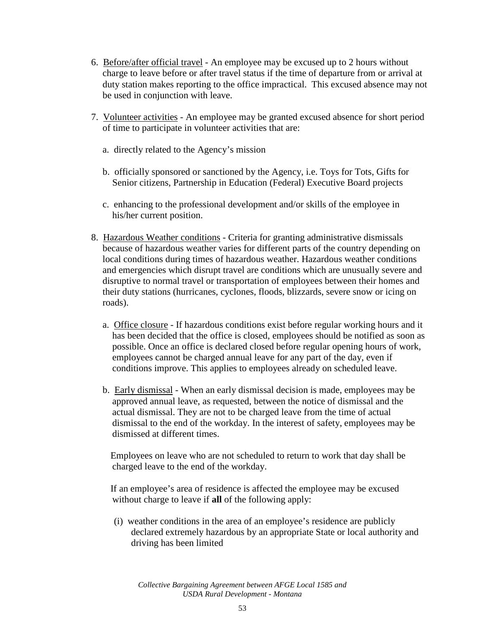- 6. Before/after official travel An employee may be excused up to 2 hours without charge to leave before or after travel status if the time of departure from or arrival at duty station makes reporting to the office impractical. This excused absence may not be used in conjunction with leave.
- 7. Volunteer activities An employee may be granted excused absence for short period of time to participate in volunteer activities that are:
	- a. directly related to the Agency's mission
	- b. officially sponsored or sanctioned by the Agency, i.e. Toys for Tots, Gifts for Senior citizens, Partnership in Education (Federal) Executive Board projects
	- c. enhancing to the professional development and/or skills of the employee in his/her current position.
- 8. Hazardous Weather conditions Criteria for granting administrative dismissals because of hazardous weather varies for different parts of the country depending on local conditions during times of hazardous weather. Hazardous weather conditions and emergencies which disrupt travel are conditions which are unusually severe and disruptive to normal travel or transportation of employees between their homes and their duty stations (hurricanes, cyclones, floods, blizzards, severe snow or icing on roads).
	- a. Office closure If hazardous conditions exist before regular working hours and it has been decided that the office is closed, employees should be notified as soon as possible. Once an office is declared closed before regular opening hours of work, employees cannot be charged annual leave for any part of the day, even if conditions improve. This applies to employees already on scheduled leave.
	- b. Early dismissal When an early dismissal decision is made, employees may be approved annual leave, as requested, between the notice of dismissal and the actual dismissal. They are not to be charged leave from the time of actual dismissal to the end of the workday. In the interest of safety, employees may be dismissed at different times.

Employees on leave who are not scheduled to return to work that day shall be charged leave to the end of the workday.

If an employee's area of residence is affected the employee may be excused without charge to leave if **all** of the following apply:

(i) weather conditions in the area of an employee's residence are publicly declared extremely hazardous by an appropriate State or local authority and driving has been limited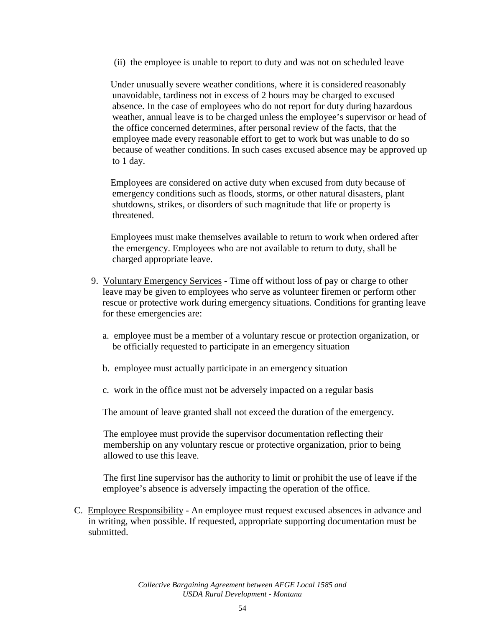(ii) the employee is unable to report to duty and was not on scheduled leave

Under unusually severe weather conditions, where it is considered reasonably unavoidable, tardiness not in excess of 2 hours may be charged to excused absence. In the case of employees who do not report for duty during hazardous weather, annual leave is to be charged unless the employee's supervisor or head of the office concerned determines, after personal review of the facts, that the employee made every reasonable effort to get to work but was unable to do so because of weather conditions. In such cases excused absence may be approved up to 1 day.

Employees are considered on active duty when excused from duty because of emergency conditions such as floods, storms, or other natural disasters, plant shutdowns, strikes, or disorders of such magnitude that life or property is threatened.

Employees must make themselves available to return to work when ordered after the emergency. Employees who are not available to return to duty, shall be charged appropriate leave.

- 9. Voluntary Emergency Services Time off without loss of pay or charge to other leave may be given to employees who serve as volunteer firemen or perform other rescue or protective work during emergency situations. Conditions for granting leave for these emergencies are:
	- a. employee must be a member of a voluntary rescue or protection organization, or be officially requested to participate in an emergency situation
	- b. employee must actually participate in an emergency situation
	- c. work in the office must not be adversely impacted on a regular basis

The amount of leave granted shall not exceed the duration of the emergency.

The employee must provide the supervisor documentation reflecting their membership on any voluntary rescue or protective organization, prior to being allowed to use this leave.

The first line supervisor has the authority to limit or prohibit the use of leave if the employee's absence is adversely impacting the operation of the office.

C. Employee Responsibility - An employee must request excused absences in advance and in writing, when possible. If requested, appropriate supporting documentation must be submitted.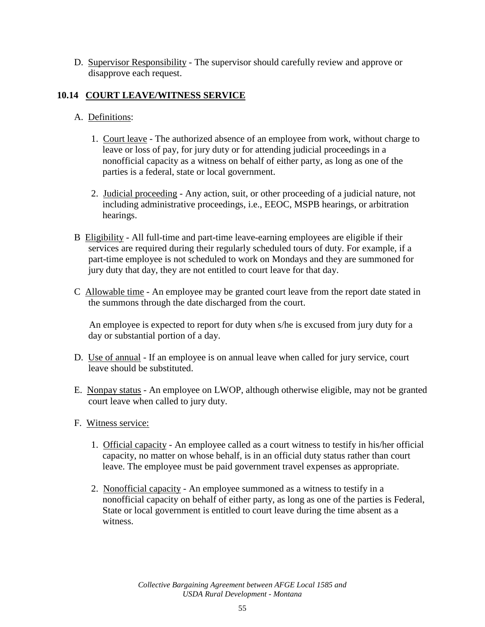D. Supervisor Responsibility - The supervisor should carefully review and approve or disapprove each request.

# **10.14 COURT LEAVE/WITNESS SERVICE**

# A. Definitions:

- 1. Court leave The authorized absence of an employee from work, without charge to leave or loss of pay, for jury duty or for attending judicial proceedings in a nonofficial capacity as a witness on behalf of either party, as long as one of the parties is a federal, state or local government.
- 2. Judicial proceeding Any action, suit, or other proceeding of a judicial nature, not including administrative proceedings, i.e., EEOC, MSPB hearings, or arbitration hearings.
- B Eligibility All full-time and part-time leave-earning employees are eligible if their services are required during their regularly scheduled tours of duty. For example, if a part-time employee is not scheduled to work on Mondays and they are summoned for jury duty that day, they are not entitled to court leave for that day.
- C Allowable time An employee may be granted court leave from the report date stated in the summons through the date discharged from the court.

An employee is expected to report for duty when s/he is excused from jury duty for a day or substantial portion of a day.

- D. Use of annual If an employee is on annual leave when called for jury service, court leave should be substituted.
- E. Nonpay status An employee on LWOP, although otherwise eligible, may not be granted court leave when called to jury duty.
- F. Witness service:
	- 1. Official capacity An employee called as a court witness to testify in his/her official capacity, no matter on whose behalf, is in an official duty status rather than court leave. The employee must be paid government travel expenses as appropriate.
	- 2. Nonofficial capacity An employee summoned as a witness to testify in a nonofficial capacity on behalf of either party, as long as one of the parties is Federal, State or local government is entitled to court leave during the time absent as a witness.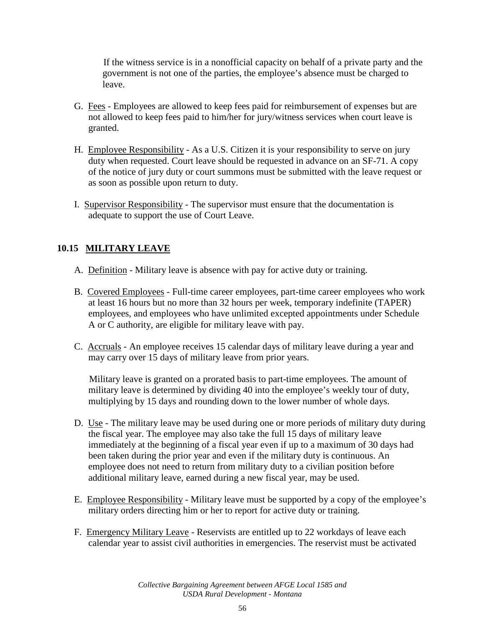If the witness service is in a nonofficial capacity on behalf of a private party and the government is not one of the parties, the employee's absence must be charged to leave.

- G. Fees Employees are allowed to keep fees paid for reimbursement of expenses but are not allowed to keep fees paid to him/her for jury/witness services when court leave is granted.
- H. Employee Responsibility As a U.S. Citizen it is your responsibility to serve on jury duty when requested. Court leave should be requested in advance on an SF-71. A copy of the notice of jury duty or court summons must be submitted with the leave request or as soon as possible upon return to duty.
- I. Supervisor Responsibility The supervisor must ensure that the documentation is adequate to support the use of Court Leave.

# **10.15 MILITARY LEAVE**

- A. Definition Military leave is absence with pay for active duty or training.
- B. Covered Employees Full-time career employees, part-time career employees who work at least 16 hours but no more than 32 hours per week, temporary indefinite (TAPER) employees, and employees who have unlimited excepted appointments under Schedule A or C authority, are eligible for military leave with pay.
- C. Accruals An employee receives 15 calendar days of military leave during a year and may carry over 15 days of military leave from prior years.

Military leave is granted on a prorated basis to part-time employees. The amount of military leave is determined by dividing 40 into the employee's weekly tour of duty, multiplying by 15 days and rounding down to the lower number of whole days.

- D. Use The military leave may be used during one or more periods of military duty during the fiscal year. The employee may also take the full 15 days of military leave immediately at the beginning of a fiscal year even if up to a maximum of 30 days had been taken during the prior year and even if the military duty is continuous. An employee does not need to return from military duty to a civilian position before additional military leave, earned during a new fiscal year, may be used.
- E. Employee Responsibility Military leave must be supported by a copy of the employee's military orders directing him or her to report for active duty or training.
- F. Emergency Military Leave Reservists are entitled up to 22 workdays of leave each calendar year to assist civil authorities in emergencies. The reservist must be activated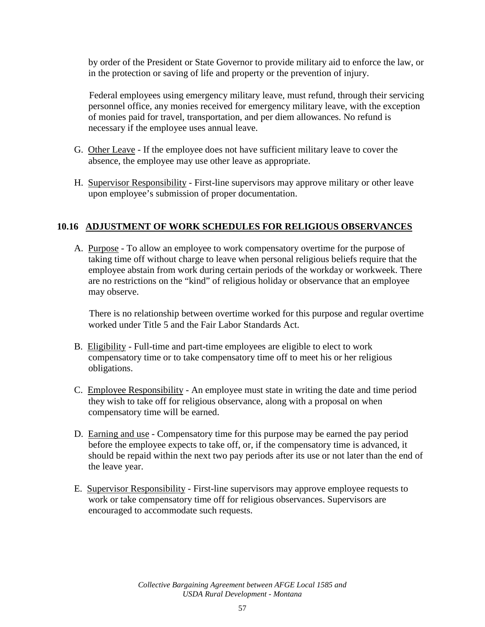by order of the President or State Governor to provide military aid to enforce the law, or in the protection or saving of life and property or the prevention of injury.

Federal employees using emergency military leave, must refund, through their servicing personnel office, any monies received for emergency military leave, with the exception of monies paid for travel, transportation, and per diem allowances. No refund is necessary if the employee uses annual leave.

- G. Other Leave If the employee does not have sufficient military leave to cover the absence, the employee may use other leave as appropriate.
- H. Supervisor Responsibility First-line supervisors may approve military or other leave upon employee's submission of proper documentation.

## **10.16 ADJUSTMENT OF WORK SCHEDULES FOR RELIGIOUS OBSERVANCES**

A. Purpose - To allow an employee to work compensatory overtime for the purpose of taking time off without charge to leave when personal religious beliefs require that the employee abstain from work during certain periods of the workday or workweek. There are no restrictions on the "kind" of religious holiday or observance that an employee may observe.

There is no relationship between overtime worked for this purpose and regular overtime worked under Title 5 and the Fair Labor Standards Act.

- B. Eligibility Full-time and part-time employees are eligible to elect to work compensatory time or to take compensatory time off to meet his or her religious obligations.
- C. Employee Responsibility An employee must state in writing the date and time period they wish to take off for religious observance, along with a proposal on when compensatory time will be earned.
- D. Earning and use Compensatory time for this purpose may be earned the pay period before the employee expects to take off, or, if the compensatory time is advanced, it should be repaid within the next two pay periods after its use or not later than the end of the leave year.
- E. Supervisor Responsibility First-line supervisors may approve employee requests to work or take compensatory time off for religious observances. Supervisors are encouraged to accommodate such requests.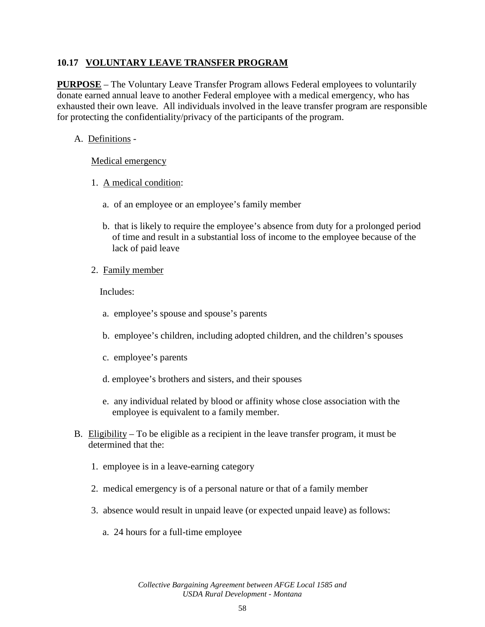## **10.17 VOLUNTARY LEAVE TRANSFER PROGRAM**

**PURPOSE** – The Voluntary Leave Transfer Program allows Federal employees to voluntarily donate earned annual leave to another Federal employee with a medical emergency, who has exhausted their own leave. All individuals involved in the leave transfer program are responsible for protecting the confidentiality/privacy of the participants of the program.

## A. Definitions -

### Medical emergency

- 1. A medical condition:
	- a. of an employee or an employee's family member
	- b. that is likely to require the employee's absence from duty for a prolonged period of time and result in a substantial loss of income to the employee because of the lack of paid leave
- 2. Family member

Includes:

- a. employee's spouse and spouse's parents
- b. employee's children, including adopted children, and the children's spouses
- c. employee's parents
- d. employee's brothers and sisters, and their spouses
- e. any individual related by blood or affinity whose close association with the employee is equivalent to a family member.
- B. Eligibility To be eligible as a recipient in the leave transfer program, it must be determined that the:
	- 1. employee is in a leave-earning category
	- 2. medical emergency is of a personal nature or that of a family member
	- 3. absence would result in unpaid leave (or expected unpaid leave) as follows:
		- a. 24 hours for a full-time employee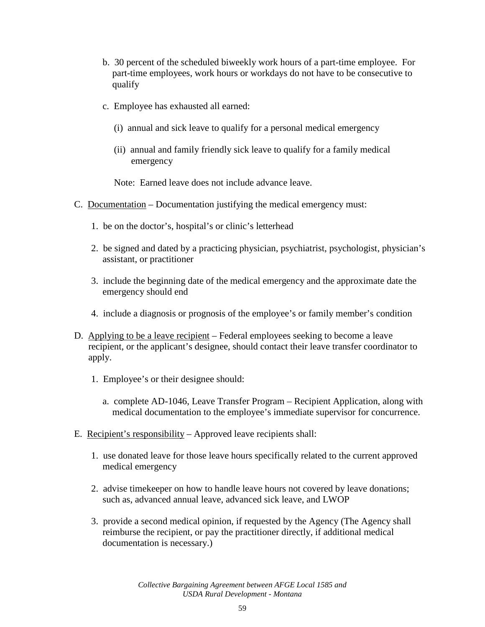- b. 30 percent of the scheduled biweekly work hours of a part-time employee. For part-time employees, work hours or workdays do not have to be consecutive to qualify
- c. Employee has exhausted all earned:
	- (i) annual and sick leave to qualify for a personal medical emergency
	- (ii) annual and family friendly sick leave to qualify for a family medical emergency

Note: Earned leave does not include advance leave.

- C. Documentation Documentation justifying the medical emergency must:
	- 1. be on the doctor's, hospital's or clinic's letterhead
	- 2. be signed and dated by a practicing physician, psychiatrist, psychologist, physician's assistant, or practitioner
	- 3. include the beginning date of the medical emergency and the approximate date the emergency should end
	- 4. include a diagnosis or prognosis of the employee's or family member's condition
- D. Applying to be a leave recipient Federal employees seeking to become a leave recipient, or the applicant's designee, should contact their leave transfer coordinator to apply.
	- 1. Employee's or their designee should:
		- a. complete AD-1046, Leave Transfer Program Recipient Application, along with medical documentation to the employee's immediate supervisor for concurrence.
- E. Recipient's responsibility Approved leave recipients shall:
	- 1. use donated leave for those leave hours specifically related to the current approved medical emergency
	- 2. advise timekeeper on how to handle leave hours not covered by leave donations; such as, advanced annual leave, advanced sick leave, and LWOP
	- 3. provide a second medical opinion, if requested by the Agency (The Agency shall reimburse the recipient, or pay the practitioner directly, if additional medical documentation is necessary.)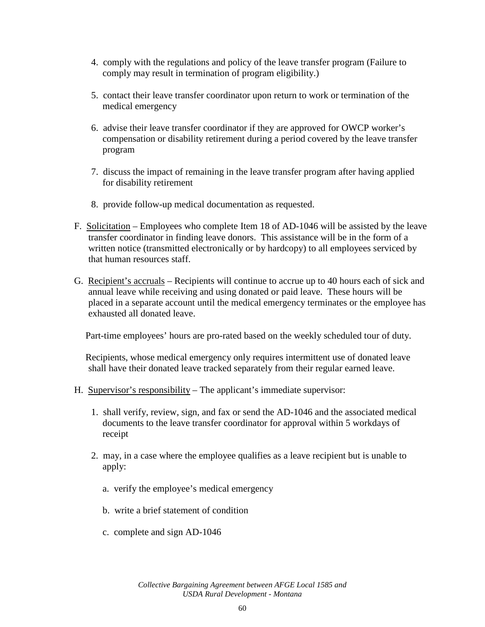- 4. comply with the regulations and policy of the leave transfer program (Failure to comply may result in termination of program eligibility.)
- 5. contact their leave transfer coordinator upon return to work or termination of the medical emergency
- 6. advise their leave transfer coordinator if they are approved for OWCP worker's compensation or disability retirement during a period covered by the leave transfer program
- 7. discuss the impact of remaining in the leave transfer program after having applied for disability retirement
- 8. provide follow-up medical documentation as requested.
- F. Solicitation Employees who complete Item 18 of AD-1046 will be assisted by the leave transfer coordinator in finding leave donors. This assistance will be in the form of a written notice (transmitted electronically or by hardcopy) to all employees serviced by that human resources staff.
- G. Recipient's accruals Recipients will continue to accrue up to 40 hours each of sick and annual leave while receiving and using donated or paid leave. These hours will be placed in a separate account until the medical emergency terminates or the employee has exhausted all donated leave.

Part-time employees' hours are pro-rated based on the weekly scheduled tour of duty.

Recipients, whose medical emergency only requires intermittent use of donated leave shall have their donated leave tracked separately from their regular earned leave.

- H. Supervisor's responsibility The applicant's immediate supervisor:
	- 1. shall verify, review, sign, and fax or send the AD-1046 and the associated medical documents to the leave transfer coordinator for approval within 5 workdays of receipt
	- 2. may, in a case where the employee qualifies as a leave recipient but is unable to apply:
		- a. verify the employee's medical emergency
		- b. write a brief statement of condition
		- c. complete and sign AD-1046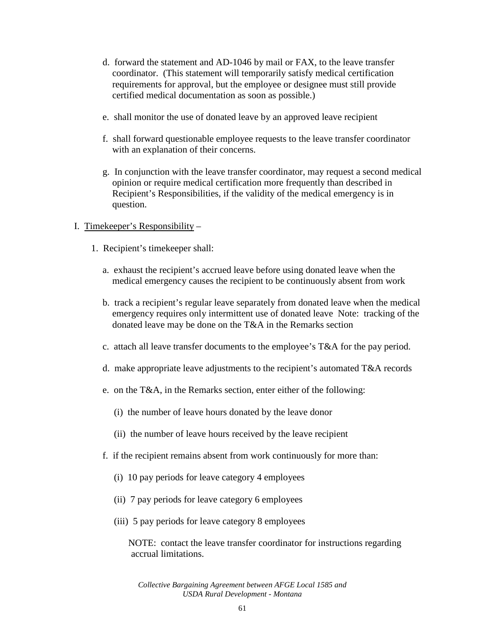- d. forward the statement and AD-1046 by mail or FAX, to the leave transfer coordinator. (This statement will temporarily satisfy medical certification requirements for approval, but the employee or designee must still provide certified medical documentation as soon as possible.)
- e. shall monitor the use of donated leave by an approved leave recipient
- f. shall forward questionable employee requests to the leave transfer coordinator with an explanation of their concerns.
- g. In conjunction with the leave transfer coordinator, may request a second medical opinion or require medical certification more frequently than described in Recipient's Responsibilities, if the validity of the medical emergency is in question.

## I. Timekeeper's Responsibility –

- 1. Recipient's timekeeper shall:
	- a. exhaust the recipient's accrued leave before using donated leave when the medical emergency causes the recipient to be continuously absent from work
	- b. track a recipient's regular leave separately from donated leave when the medical emergency requires only intermittent use of donated leave Note: tracking of the donated leave may be done on the T&A in the Remarks section
	- c. attach all leave transfer documents to the employee's T&A for the pay period.
	- d. make appropriate leave adjustments to the recipient's automated T&A records
	- e. on the T&A, in the Remarks section, enter either of the following:
		- (i) the number of leave hours donated by the leave donor
		- (ii) the number of leave hours received by the leave recipient
	- f. if the recipient remains absent from work continuously for more than:
		- (i) 10 pay periods for leave category 4 employees
		- (ii) 7 pay periods for leave category 6 employees
		- (iii) 5 pay periods for leave category 8 employees

NOTE: contact the leave transfer coordinator for instructions regarding accrual limitations.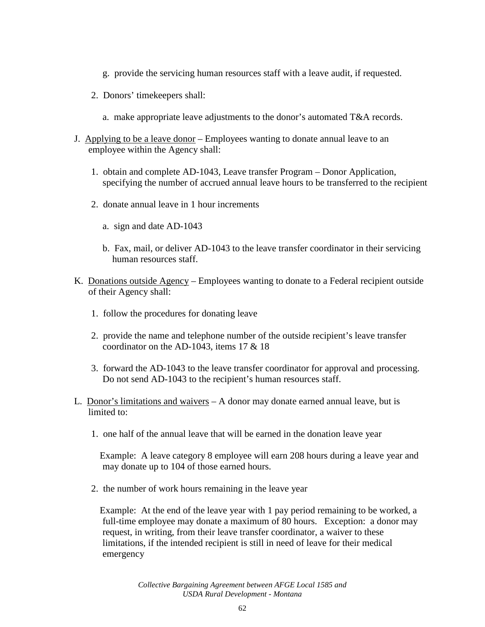- g. provide the servicing human resources staff with a leave audit, if requested.
- 2. Donors' timekeepers shall:
	- a. make appropriate leave adjustments to the donor's automated T&A records.
- J. Applying to be a leave donor Employees wanting to donate annual leave to an employee within the Agency shall:
	- 1. obtain and complete AD-1043, Leave transfer Program Donor Application, specifying the number of accrued annual leave hours to be transferred to the recipient
	- 2. donate annual leave in 1 hour increments
		- a. sign and date AD-1043
		- b. Fax, mail, or deliver AD-1043 to the leave transfer coordinator in their servicing human resources staff.
- K. Donations outside Agency Employees wanting to donate to a Federal recipient outside of their Agency shall:
	- 1. follow the procedures for donating leave
	- 2. provide the name and telephone number of the outside recipient's leave transfer coordinator on the AD-1043, items 17 & 18
	- 3. forward the AD-1043 to the leave transfer coordinator for approval and processing. Do not send AD-1043 to the recipient's human resources staff.
- L. Donor's limitations and waivers A donor may donate earned annual leave, but is limited to:
	- 1. one half of the annual leave that will be earned in the donation leave year

Example: A leave category 8 employee will earn 208 hours during a leave year and may donate up to 104 of those earned hours.

2. the number of work hours remaining in the leave year

Example: At the end of the leave year with 1 pay period remaining to be worked, a full-time employee may donate a maximum of 80 hours. Exception: a donor may request, in writing, from their leave transfer coordinator, a waiver to these limitations, if the intended recipient is still in need of leave for their medical emergency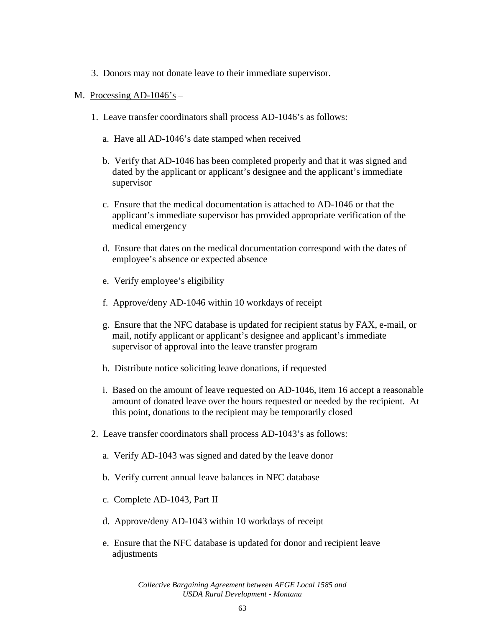- 3. Donors may not donate leave to their immediate supervisor.
- M. Processing  $AD-1046$ 's
	- 1. Leave transfer coordinators shall process AD-1046's as follows:
		- a. Have all AD-1046's date stamped when received
		- b. Verify that AD-1046 has been completed properly and that it was signed and dated by the applicant or applicant's designee and the applicant's immediate supervisor
		- c. Ensure that the medical documentation is attached to AD-1046 or that the applicant's immediate supervisor has provided appropriate verification of the medical emergency
		- d. Ensure that dates on the medical documentation correspond with the dates of employee's absence or expected absence
		- e. Verify employee's eligibility
		- f. Approve/deny AD-1046 within 10 workdays of receipt
		- g. Ensure that the NFC database is updated for recipient status by FAX, e-mail, or mail, notify applicant or applicant's designee and applicant's immediate supervisor of approval into the leave transfer program
		- h. Distribute notice soliciting leave donations, if requested
		- i. Based on the amount of leave requested on AD-1046, item 16 accept a reasonable amount of donated leave over the hours requested or needed by the recipient. At this point, donations to the recipient may be temporarily closed
	- 2. Leave transfer coordinators shall process AD-1043's as follows:
		- a. Verify AD-1043 was signed and dated by the leave donor
		- b. Verify current annual leave balances in NFC database
		- c. Complete AD-1043, Part II
		- d. Approve/deny AD-1043 within 10 workdays of receipt
		- e. Ensure that the NFC database is updated for donor and recipient leave adjustments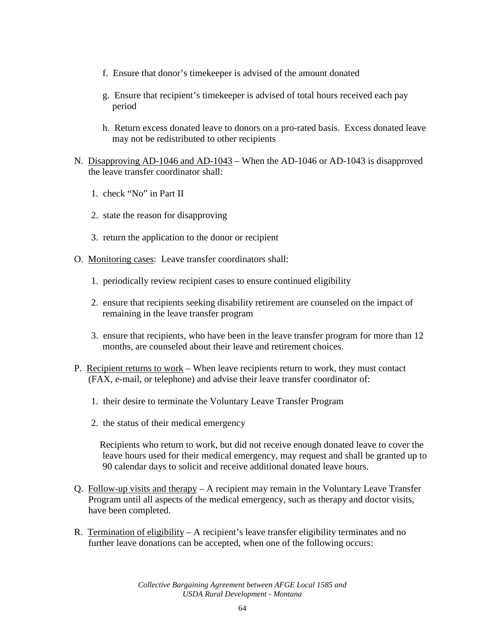- f. Ensure that donor's timekeeper is advised of the amount donated
- g. Ensure that recipient's timekeeper is advised of total hours received each pay period
- h. Return excess donated leave to donors on a pro-rated basis. Excess donated leave may not be redistributed to other recipients
- N. Disapproving AD-1046 and AD-1043 When the AD-1046 or AD-1043 is disapproved the leave transfer coordinator shall:
	- 1. check "No" in Part II
	- 2. state the reason for disapproving
	- 3. return the application to the donor or recipient
- O. Monitoring cases: Leave transfer coordinators shall:
	- 1. periodically review recipient cases to ensure continued eligibility
	- 2. ensure that recipients seeking disability retirement are counseled on the impact of remaining in the leave transfer program
	- 3. ensure that recipients, who have been in the leave transfer program for more than 12 months, are counseled about their leave and retirement choices.
- P. Recipient returns to work When leave recipients return to work, they must contact (FAX, e-mail, or telephone) and advise their leave transfer coordinator of:
	- 1. their desire to terminate the Voluntary Leave Transfer Program
	- 2. the status of their medical emergency

Recipients who return to work, but did not receive enough donated leave to cover the leave hours used for their medical emergency, may request and shall be granted up to 90 calendar days to solicit and receive additional donated leave hours.

- Q. Follow-up visits and therapy A recipient may remain in the Voluntary Leave Transfer Program until all aspects of the medical emergency, such as therapy and doctor visits, have been completed.
- R. Termination of eligibility A recipient's leave transfer eligibility terminates and no further leave donations can be accepted, when one of the following occurs: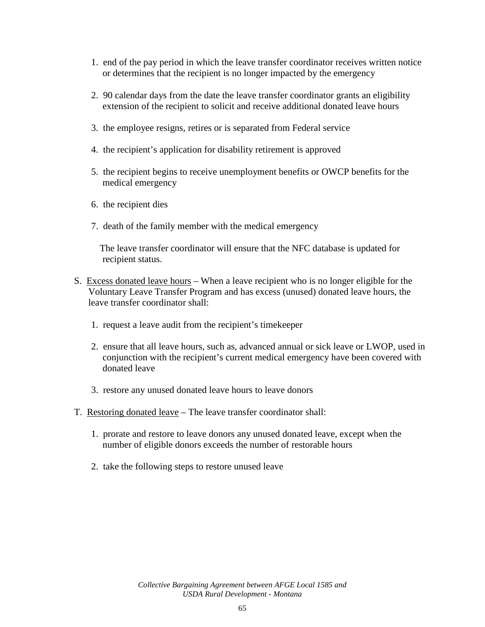- 1. end of the pay period in which the leave transfer coordinator receives written notice or determines that the recipient is no longer impacted by the emergency
- 2. 90 calendar days from the date the leave transfer coordinator grants an eligibility extension of the recipient to solicit and receive additional donated leave hours
- 3. the employee resigns, retires or is separated from Federal service
- 4. the recipient's application for disability retirement is approved
- 5. the recipient begins to receive unemployment benefits or OWCP benefits for the medical emergency
- 6. the recipient dies
- 7. death of the family member with the medical emergency

The leave transfer coordinator will ensure that the NFC database is updated for recipient status.

- S. Excess donated leave hours When a leave recipient who is no longer eligible for the Voluntary Leave Transfer Program and has excess (unused) donated leave hours, the leave transfer coordinator shall:
	- 1. request a leave audit from the recipient's timekeeper
	- 2. ensure that all leave hours, such as, advanced annual or sick leave or LWOP, used in conjunction with the recipient's current medical emergency have been covered with donated leave
	- 3. restore any unused donated leave hours to leave donors
- T. Restoring donated leave The leave transfer coordinator shall:
	- 1. prorate and restore to leave donors any unused donated leave, except when the number of eligible donors exceeds the number of restorable hours
	- 2. take the following steps to restore unused leave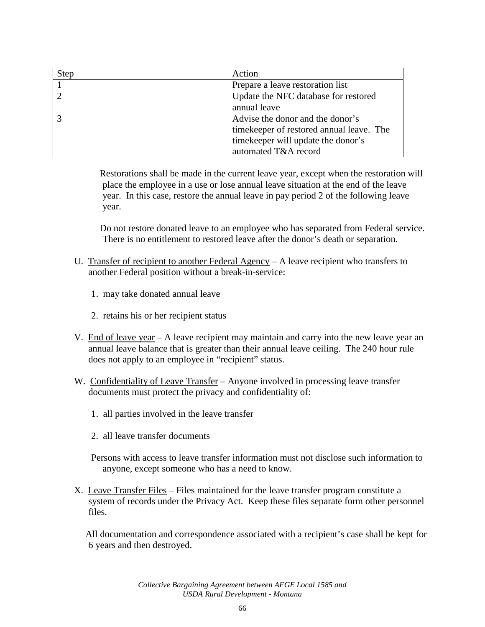| <b>Step</b>    | Action                                   |
|----------------|------------------------------------------|
|                | Prepare a leave restoration list         |
| $\overline{2}$ | Update the NFC database for restored     |
|                | annual leave                             |
|                | Advise the donor and the donor's         |
|                | timekeeper of restored annual leave. The |
|                | timekeeper will update the donor's       |
|                | automated T&A record                     |

Restorations shall be made in the current leave year, except when the restoration will place the employee in a use or lose annual leave situation at the end of the leave year. In this case, restore the annual leave in pay period 2 of the following leave year.

Do not restore donated leave to an employee who has separated from Federal service. There is no entitlement to restored leave after the donor's death or separation.

- U. Transfer of recipient to another Federal Agency A leave recipient who transfers to another Federal position without a break-in-service:
	- 1. may take donated annual leave
	- 2. retains his or her recipient status
- V. End of leave year A leave recipient may maintain and carry into the new leave year an annual leave balance that is greater than their annual leave ceiling. The 240 hour rule does not apply to an employee in "recipient" status.
- W. Confidentiality of Leave Transfer Anyone involved in processing leave transfer documents must protect the privacy and confidentiality of:
	- 1. all parties involved in the leave transfer
	- 2. all leave transfer documents
	- Persons with access to leave transfer information must not disclose such information to anyone, except someone who has a need to know.
- X. Leave Transfer Files Files maintained for the leave transfer program constitute a system of records under the Privacy Act. Keep these files separate form other personnel files.

All documentation and correspondence associated with a recipient's case shall be kept for 6 years and then destroyed.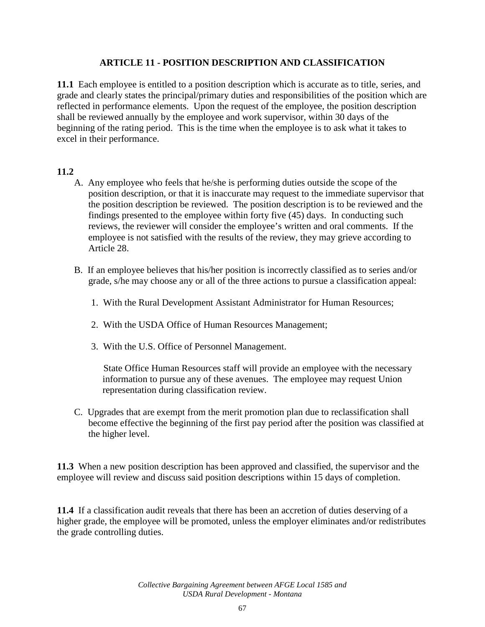## **ARTICLE 11 - POSITION DESCRIPTION AND CLASSIFICATION**

**11.1** Each employee is entitled to a position description which is accurate as to title, series, and grade and clearly states the principal/primary duties and responsibilities of the position which are reflected in performance elements. Upon the request of the employee, the position description shall be reviewed annually by the employee and work supervisor, within 30 days of the beginning of the rating period. This is the time when the employee is to ask what it takes to excel in their performance.

### **11.2**

- A. Any employee who feels that he/she is performing duties outside the scope of the position description, or that it is inaccurate may request to the immediate supervisor that the position description be reviewed. The position description is to be reviewed and the findings presented to the employee within forty five (45) days. In conducting such reviews, the reviewer will consider the employee's written and oral comments. If the employee is not satisfied with the results of the review, they may grieve according to Article 28.
- B. If an employee believes that his/her position is incorrectly classified as to series and/or grade, s/he may choose any or all of the three actions to pursue a classification appeal:
	- 1. With the Rural Development Assistant Administrator for Human Resources;
	- 2. With the USDA Office of Human Resources Management;
	- 3. With the U.S. Office of Personnel Management.

State Office Human Resources staff will provide an employee with the necessary information to pursue any of these avenues. The employee may request Union representation during classification review.

C. Upgrades that are exempt from the merit promotion plan due to reclassification shall become effective the beginning of the first pay period after the position was classified at the higher level.

**11.3** When a new position description has been approved and classified, the supervisor and the employee will review and discuss said position descriptions within 15 days of completion.

**11.4** If a classification audit reveals that there has been an accretion of duties deserving of a higher grade, the employee will be promoted, unless the employer eliminates and/or redistributes the grade controlling duties.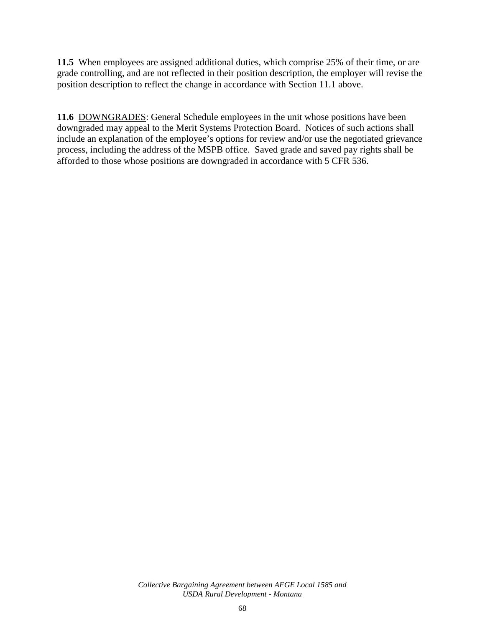**11.5** When employees are assigned additional duties, which comprise 25% of their time, or are grade controlling, and are not reflected in their position description, the employer will revise the position description to reflect the change in accordance with Section 11.1 above.

**11.6** DOWNGRADES: General Schedule employees in the unit whose positions have been downgraded may appeal to the Merit Systems Protection Board. Notices of such actions shall include an explanation of the employee's options for review and/or use the negotiated grievance process, including the address of the MSPB office. Saved grade and saved pay rights shall be afforded to those whose positions are downgraded in accordance with 5 CFR 536.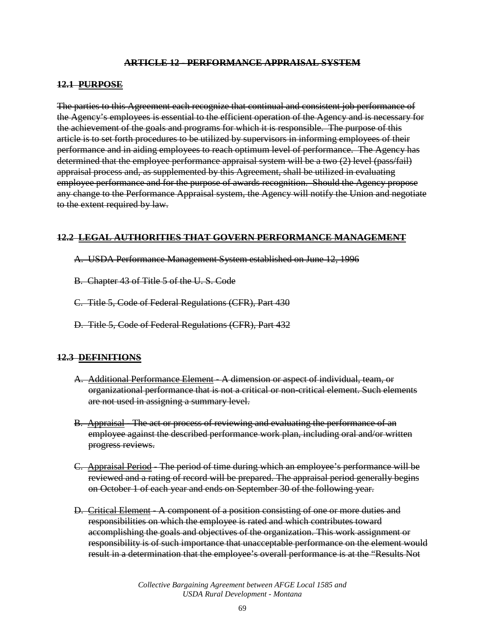### **ARTICLE 12 - PERFORMANCE APPRAISAL SYSTEM**

#### **12.1 PURPOSE**

The parties to this Agreement each recognize that continual and consistent job performance of the Agency's employees is essential to the efficient operation of the Agency and is necessary for the achievement of the goals and programs for which it is responsible. The purpose of this article is to set forth procedures to be utilized by supervisors in informing employees of their performance and in aiding employees to reach optimum level of performance. The Agency has determined that the employee performance appraisal system will be a two (2) level (pass/fail) appraisal process and, as supplemented by this Agreement, shall be utilized in evaluating employee performance and for the purpose of awards recognition. Should the Agency propose any change to the Performance Appraisal system, the Agency will notify the Union and negotiate to the extent required by law.

#### **12.2 LEGAL AUTHORITIES THAT GOVERN PERFORMANCE MANAGEMENT**

- A. USDA Performance Management System established on June 12, 1996
- B. Chapter 43 of Title 5 of the U. S. Code
- C. Title 5, Code of Federal Regulations (CFR), Part 430
- D. Title 5, Code of Federal Regulations (CFR), Part 432

### **12.3 DEFINITIONS**

- A. Additional Performance Element A dimension or aspect of individual, team, or organizational performance that is not a critical or non-critical element. Such elements are not used in assigning a summary level.
- B. Appraisal The act or process of reviewing and evaluating the performance of an employee against the described performance work plan, including oral and/or written progress reviews.
- C. Appraisal Period The period of time during which an employee's performance will be reviewed and a rating of record will be prepared. The appraisal period generally begins on October 1 of each year and ends on September 30 of the following year.
- D. Critical Element A component of a position consisting of one or more duties and responsibilities on which the employee is rated and which contributes toward accomplishing the goals and objectives of the organization. This work assignment or responsibility is of such importance that unacceptable performance on the element would result in a determination that the employee's overall performance is at the "Results Not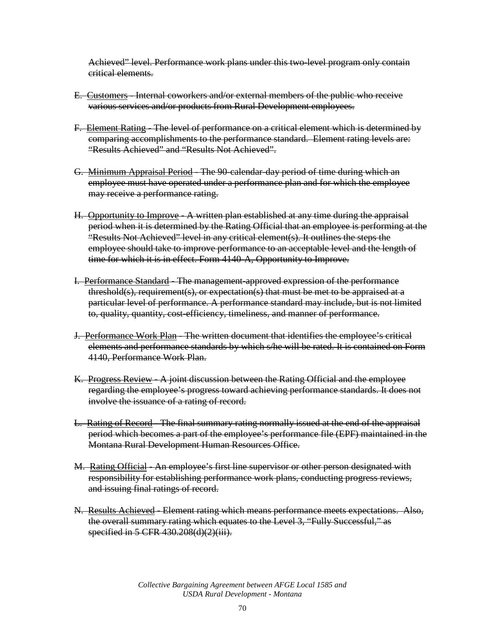Achieved" level. Performance work plans under this two-level program only contain critical elements.

- E. Customers Internal coworkers and/or external members of the public who receive various services and/or products from Rural Development employees.
- F. Element Rating The level of performance on a critical element which is determined by comparing accomplishments to the performance standard. Element rating levels are: "Results Achieved" and "Results Not Achieved".
- G. Minimum Appraisal Period The 90-calendar-day period of time during which an employee must have operated under a performance plan and for which the employee may receive a performance rating.
- H. Opportunity to Improve A written plan established at any time during the appraisal period when it is determined by the Rating Official that an employee is performing at the "Results Not Achieved" level in any critical element(s). It outlines the steps the employee should take to improve performance to an acceptable level and the length of time for which it is in effect. Form 4140-A, Opportunity to Improve.
- I. Performance Standard The management-approved expression of the performance threshold(s), requirement(s), or expectation(s) that must be met to be appraised at a particular level of performance. A performance standard may include, but is not limited to, quality, quantity, cost-efficiency, timeliness, and manner of performance.
- J. Performance Work Plan The written document that identifies the employee's critical elements and performance standards by which s/he will be rated. It is contained on Form 4140, Performance Work Plan.
- K. Progress Review A joint discussion between the Rating Official and the employee regarding the employee's progress toward achieving performance standards. It does not involve the issuance of a rating of record.
- L. Rating of Record The final summary rating normally issued at the end of the appraisal period which becomes a part of the employee's performance file (EPF) maintained in the Montana Rural Development Human Resources Office.
- M. Rating Official An employee's first line supervisor or other person designated with responsibility for establishing performance work plans, conducting progress reviews, and issuing final ratings of record.
- N. Results Achieved Element rating which means performance meets expectations. Also, the overall summary rating which equates to the Level 3, "Fully Successful," as specified in 5 CFR 430.208(d)(2)(iii).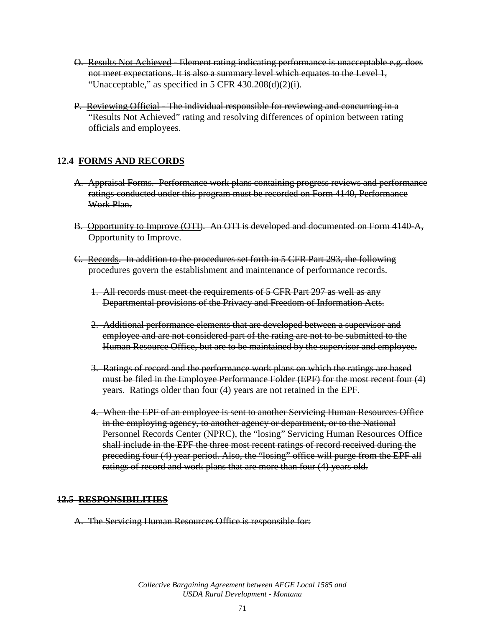- O. Results Not Achieved Element rating indicating performance is unacceptable e.g. does not meet expectations. It is also a summary level which equates to the Level 1, "Unacceptable," as specified in 5 CFR 430.208(d)(2)(i).
- P. Reviewing Official The individual responsible for reviewing and concurring in a "Results Not Achieved" rating and resolving differences of opinion between rating officials and employees.

### **12.4 FORMS AND RECORDS**

- A. Appraisal Forms. Performance work plans containing progress reviews and performance ratings conducted under this program must be recorded on Form 4140, Performance Work Plan.
- B. Opportunity to Improve (OTI). An OTI is developed and documented on Form 4140-A, Opportunity to Improve.
- C. Records. In addition to the procedures set forth in 5 CFR Part 293, the following procedures govern the establishment and maintenance of performance records.
	- 1. All records must meet the requirements of 5 CFR Part 297 as well as any Departmental provisions of the Privacy and Freedom of Information Acts.
	- 2. Additional performance elements that are developed between a supervisor and employee and are not considered part of the rating are not to be submitted to the Human Resource Office, but are to be maintained by the supervisor and employee.
	- 3. Ratings of record and the performance work plans on which the ratings are based must be filed in the Employee Performance Folder (EPF) for the most recent four (4) years. Ratings older than four (4) years are not retained in the EPF.
	- 4. When the EPF of an employee is sent to another Servicing Human Resources Office in the employing agency, to another agency or department, or to the National Personnel Records Center (NPRC), the "losing" Servicing Human Resources Office shall include in the EPF the three most recent ratings of record received during the preceding four (4) year period. Also, the "losing" office will purge from the EPF all ratings of record and work plans that are more than four (4) years old.

### **12.5 RESPONSIBILITIES**

A. The Servicing Human Resources Office is responsible for: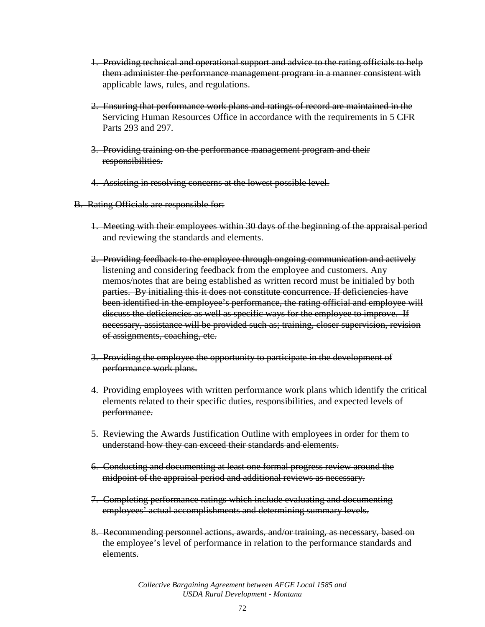- 1. Providing technical and operational support and advice to the rating officials to help them administer the performance management program in a manner consistent with applicable laws, rules, and regulations.
- 2. Ensuring that performance work plans and ratings of record are maintained in the Servicing Human Resources Office in accordance with the requirements in 5 CFR Parts 293 and 297.
- 3. Providing training on the performance management program and their responsibilities.
- 4. Assisting in resolving concerns at the lowest possible level.
- B. Rating Officials are responsible for:
	- 1. Meeting with their employees within 30 days of the beginning of the appraisal period and reviewing the standards and elements.
	- 2. Providing feedback to the employee through ongoing communication and actively listening and considering feedback from the employee and customers. Any memos/notes that are being established as written record must be initialed by both parties. By initialing this it does not constitute concurrence. If deficiencies have been identified in the employee's performance, the rating official and employee will discuss the deficiencies as well as specific ways for the employee to improve. If necessary, assistance will be provided such as; training, closer supervision, revision of assignments, coaching, etc.
	- 3. Providing the employee the opportunity to participate in the development of performance work plans.
	- 4. Providing employees with written performance work plans which identify the critical elements related to their specific duties, responsibilities, and expected levels of performance.
	- 5. Reviewing the Awards Justification Outline with employees in order for them to understand how they can exceed their standards and elements.
	- 6. Conducting and documenting at least one formal progress review around the midpoint of the appraisal period and additional reviews as necessary.
	- 7. Completing performance ratings which include evaluating and documenting employees' actual accomplishments and determining summary levels.
	- 8. Recommending personnel actions, awards, and/or training, as necessary, based on the employee's level of performance in relation to the performance standards and elements.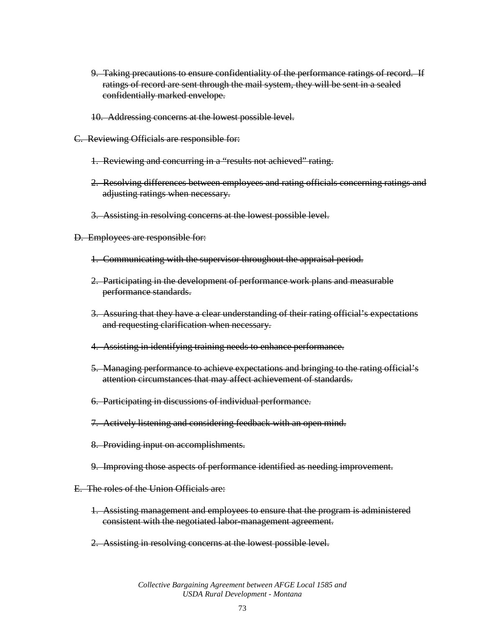- 9. Taking precautions to ensure confidentiality of the performance ratings of record. If ratings of record are sent through the mail system, they will be sent in a sealed confidentially marked envelope.
- 10. Addressing concerns at the lowest possible level.
- C. Reviewing Officials are responsible for:
	- 1. Reviewing and concurring in a "results not achieved" rating.
	- 2. Resolving differences between employees and rating officials concerning ratings and adjusting ratings when necessary.
	- 3. Assisting in resolving concerns at the lowest possible level.
- D. Employees are responsible for:
	- 1. Communicating with the supervisor throughout the appraisal period.
	- 2. Participating in the development of performance work plans and measurable performance standards.
	- 3. Assuring that they have a clear understanding of their rating official's expectations and requesting clarification when necessary.
	- 4. Assisting in identifying training needs to enhance performance.
	- 5. Managing performance to achieve expectations and bringing to the rating official's attention circumstances that may affect achievement of standards.
	- 6. Participating in discussions of individual performance.
	- 7. Actively listening and considering feedback with an open mind.
	- 8. Providing input on accomplishments.
	- 9. Improving those aspects of performance identified as needing improvement.
- E. The roles of the Union Officials are:
	- 1. Assisting management and employees to ensure that the program is administered consistent with the negotiated labor-management agreement.
	- 2. Assisting in resolving concerns at the lowest possible level.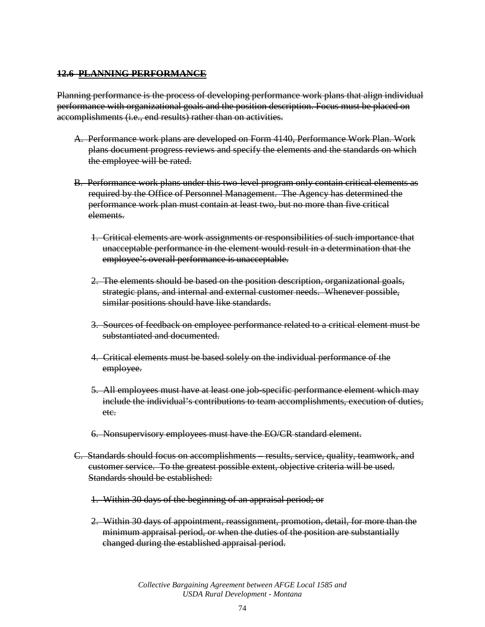### **12.6 PLANNING PERFORMANCE**

Planning performance is the process of developing performance work plans that align individual performance with organizational goals and the position description. Focus must be placed on accomplishments (i.e., end results) rather than on activities.

- A. Performance work plans are developed on Form 4140, Performance Work Plan. Work plans document progress reviews and specify the elements and the standards on which the employee will be rated.
- B. Performance work plans under this two-level program only contain critical elements as required by the Office of Personnel Management. The Agency has determined the performance work plan must contain at least two, but no more than five critical elements.
	- 1. Critical elements are work assignments or responsibilities of such importance that unacceptable performance in the element would result in a determination that the employee's overall performance is unacceptable.
	- 2. The elements should be based on the position description, organizational goals, strategic plans, and internal and external customer needs. Whenever possible, similar positions should have like standards.
	- 3. Sources of feedback on employee performance related to a critical element must be substantiated and documented.
	- 4. Critical elements must be based solely on the individual performance of the employee.
	- 5. All employees must have at least one job-specific performance element which may include the individual's contributions to team accomplishments, execution of duties, etc.
	- 6. Nonsupervisory employees must have the EO/CR standard element.
- C. Standards should focus on accomplishments results, service, quality, teamwork, and customer service. To the greatest possible extent, objective criteria will be used. Standards should be established:
	- 1. Within 30 days of the beginning of an appraisal period; or
	- 2. Within 30 days of appointment, reassignment, promotion, detail, for more than the minimum appraisal period, or when the duties of the position are substantially changed during the established appraisal period.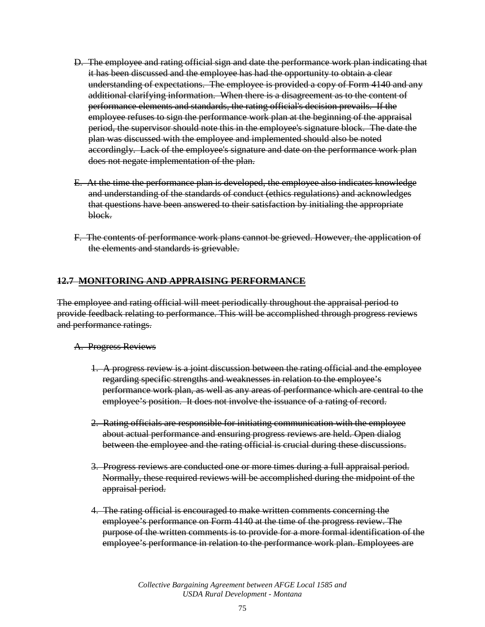- D. The employee and rating official sign and date the performance work plan indicating that it has been discussed and the employee has had the opportunity to obtain a clear understanding of expectations. The employee is provided a copy of Form 4140 and any additional clarifying information. When there is a disagreement as to the content of performance elements and standards, the rating official's decision prevails. If the employee refuses to sign the performance work plan at the beginning of the appraisal period, the supervisor should note this in the employee's signature block. The date the plan was discussed with the employee and implemented should also be noted accordingly. Lack of the employee's signature and date on the performance work plan does not negate implementation of the plan.
- E. At the time the performance plan is developed, the employee also indicates knowledge and understanding of the standards of conduct (ethics regulations) and acknowledges that questions have been answered to their satisfaction by initialing the appropriate block.
- F. The contents of performance work plans cannot be grieved. However, the application of the elements and standards is grievable.

### **12.7 MONITORING AND APPRAISING PERFORMANCE**

The employee and rating official will meet periodically throughout the appraisal period to provide feedback relating to performance. This will be accomplished through progress reviews and performance ratings.

#### A. Progress Reviews

- 1. A progress review is a joint discussion between the rating official and the employee regarding specific strengths and weaknesses in relation to the employee's performance work plan, as well as any areas of performance which are central to the employee's position. It does not involve the issuance of a rating of record.
- 2. Rating officials are responsible for initiating communication with the employee about actual performance and ensuring progress reviews are held. Open dialog between the employee and the rating official is crucial during these discussions.
- 3. Progress reviews are conducted one or more times during a full appraisal period. Normally, these required reviews will be accomplished during the midpoint of the appraisal period.
- 4. The rating official is encouraged to make written comments concerning the employee's performance on Form 4140 at the time of the progress review. The purpose of the written comments is to provide for a more formal identification of the employee's performance in relation to the performance work plan. Employees are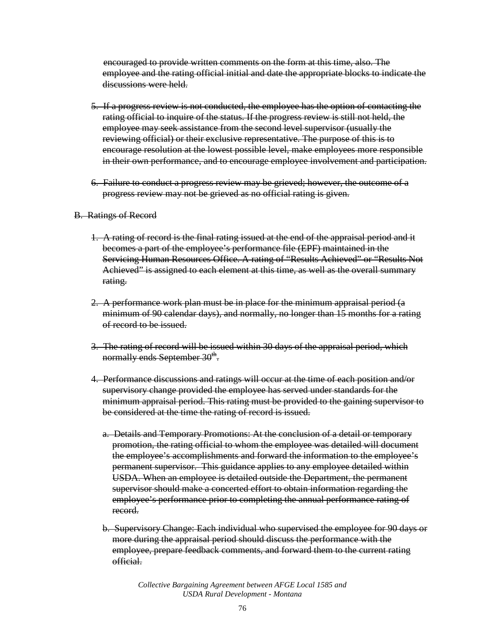encouraged to provide written comments on the form at this time, also. The employee and the rating official initial and date the appropriate blocks to indicate the discussions were held.

- 5. If a progress review is not conducted, the employee has the option of contacting the rating official to inquire of the status. If the progress review is still not held, the employee may seek assistance from the second level supervisor (usually the reviewing official) or their exclusive representative. The purpose of this is to encourage resolution at the lowest possible level, make employees more responsible in their own performance, and to encourage employee involvement and participation.
- 6. Failure to conduct a progress review may be grieved; however, the outcome of a progress review may not be grieved as no official rating is given.

#### B. Ratings of Record

- 1. A rating of record is the final rating issued at the end of the appraisal period and it becomes a part of the employee's performance file (EPF) maintained in the Servicing Human Resources Office. A rating of "Results Achieved" or "Results Not Achieved" is assigned to each element at this time, as well as the overall summary rating.
- 2. A performance work plan must be in place for the minimum appraisal period (a minimum of 90 calendar days), and normally, no longer than 15 months for a rating of record to be issued.
- 3. The rating of record will be issued within 30 days of the appraisal period, which normally ends September  $30<sup>th</sup>$ .
- 4. Performance discussions and ratings will occur at the time of each position and/or supervisory change provided the employee has served under standards for the minimum appraisal period. This rating must be provided to the gaining supervisor to be considered at the time the rating of record is issued.
	- a. Details and Temporary Promotions: At the conclusion of a detail or temporary promotion, the rating official to whom the employee was detailed will document the employee's accomplishments and forward the information to the employee's permanent supervisor. This guidance applies to any employee detailed within USDA. When an employee is detailed outside the Department, the permanent supervisor should make a concerted effort to obtain information regarding the employee's performance prior to completing the annual performance rating of record.
	- b. Supervisory Change: Each individual who supervised the employee for 90 days or more during the appraisal period should discuss the performance with the employee, prepare feedback comments, and forward them to the current rating official.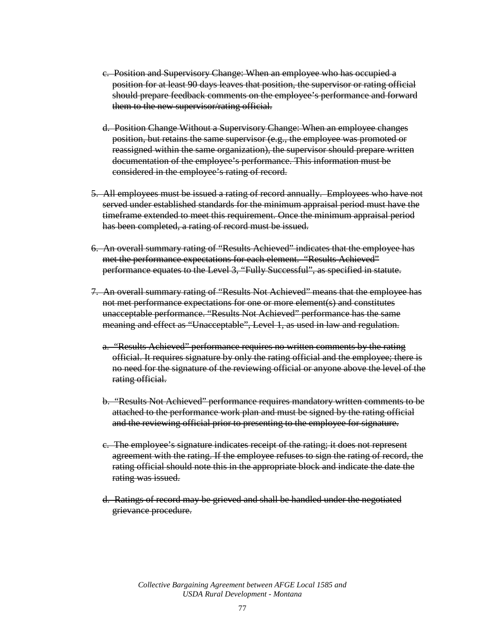- c. Position and Supervisory Change: When an employee who has occupied a position for at least 90 days leaves that position, the supervisor or rating official should prepare feedback comments on the employee's performance and forward them to the new supervisor/rating official.
- d. Position Change Without a Supervisory Change: When an employee changes position, but retains the same supervisor (e.g., the employee was promoted or reassigned within the same organization), the supervisor should prepare written documentation of the employee's performance. This information must be considered in the employee's rating of record.
- 5. All employees must be issued a rating of record annually. Employees who have not served under established standards for the minimum appraisal period must have the timeframe extended to meet this requirement. Once the minimum appraisal period has been completed, a rating of record must be issued.
- 6. An overall summary rating of "Results Achieved" indicates that the employee has met the performance expectations for each element. "Results Achieved" performance equates to the Level 3, "Fully Successful", as specified in statute.
- 7. An overall summary rating of "Results Not Achieved" means that the employee has not met performance expectations for one or more element(s) and constitutes unacceptable performance. "Results Not Achieved" performance has the same meaning and effect as "Unacceptable", Level 1, as used in law and regulation.
	- a. "Results Achieved" performance requires no written comments by the rating official. It requires signature by only the rating official and the employee; there is no need for the signature of the reviewing official or anyone above the level of the rating official.
	- b. "Results Not Achieved" performance requires mandatory written comments to be attached to the performance work plan and must be signed by the rating official and the reviewing official prior to presenting to the employee for signature.
	- c. The employee's signature indicates receipt of the rating; it does not represent agreement with the rating. If the employee refuses to sign the rating of record, the rating official should note this in the appropriate block and indicate the date the rating was issued.
	- d. Ratings of record may be grieved and shall be handled under the negotiated grievance procedure.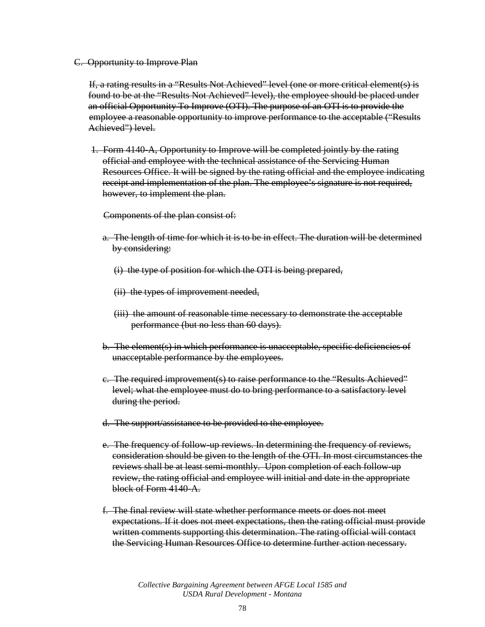C. Opportunity to Improve Plan

If, a rating results in a "Results Not Achieved" level (one or more critical element(s) is found to be at the "Results Not Achieved" level), the employee should be placed under an official Opportunity To Improve (OTI). The purpose of an OTI is to provide the employee a reasonable opportunity to improve performance to the acceptable ("Results Achieved") level.

1. Form 4140-A, Opportunity to Improve will be completed jointly by the rating official and employee with the technical assistance of the Servicing Human Resources Office. It will be signed by the rating official and the employee indicating receipt and implementation of the plan. The employee's signature is not required, however, to implement the plan.

Components of the plan consist of:

- a. The length of time for which it is to be in effect. The duration will be determined by considering:
	- (i) the type of position for which the OTI is being prepared,
	- (ii) the types of improvement needed,
	- (iii) the amount of reasonable time necessary to demonstrate the acceptable performance (but no less than 60 days).
- b. The element(s) in which performance is unacceptable, specific deficiencies of unacceptable performance by the employees.
- c. The required improvement(s) to raise performance to the "Results Achieved" level; what the employee must do to bring performance to a satisfactory level during the period.
- d. The support/assistance to be provided to the employee.
- e. The frequency of follow-up reviews. In determining the frequency of reviews, consideration should be given to the length of the OTI. In most circumstances the reviews shall be at least semi-monthly. Upon completion of each follow-up review, the rating official and employee will initial and date in the appropriate block of Form 4140-A.
- f. The final review will state whether performance meets or does not meet expectations. If it does not meet expectations, then the rating official must provide written comments supporting this determination. The rating official will contact the Servicing Human Resources Office to determine further action necessary.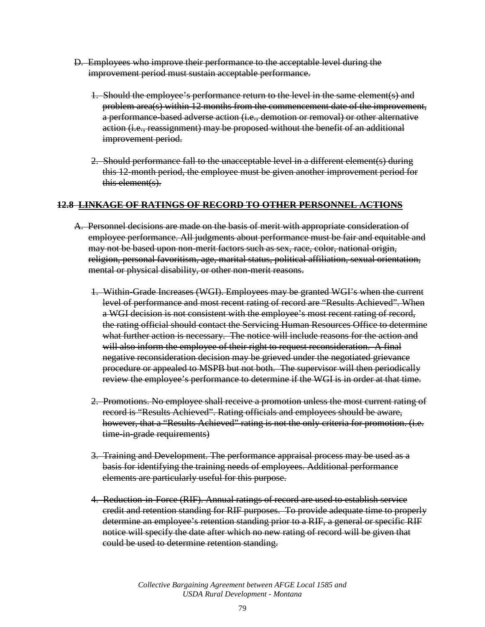- D. Employees who improve their performance to the acceptable level during the improvement period must sustain acceptable performance.
	- 1. Should the employee's performance return to the level in the same element(s) and problem area(s) within 12 months from the commencement date of the improvement, a performance-based adverse action (i.e., demotion or removal) or other alternative action (i.e., reassignment) may be proposed without the benefit of an additional improvement period.
	- 2. Should performance fall to the unacceptable level in a different element(s) during this 12-month period, the employee must be given another improvement period for this element(s).

### **12.8 LINKAGE OF RATINGS OF RECORD TO OTHER PERSONNEL ACTIONS**

- A. Personnel decisions are made on the basis of merit with appropriate consideration of employee performance. All judgments about performance must be fair and equitable and may not be based upon non-merit factors such as sex, race, color, national origin, religion, personal favoritism, age, marital status, political affiliation, sexual orientation, mental or physical disability, or other non-merit reasons.
	- 1. Within-Grade Increases (WGI). Employees may be granted WGI's when the current level of performance and most recent rating of record are "Results Achieved". When a WGI decision is not consistent with the employee's most recent rating of record, the rating official should contact the Servicing Human Resources Office to determine what further action is necessary. The notice will include reasons for the action and will also inform the employee of their right to request reconsideration. A final negative reconsideration decision may be grieved under the negotiated grievance procedure or appealed to MSPB but not both. The supervisor will then periodically review the employee's performance to determine if the WGI is in order at that time.
	- 2. Promotions. No employee shall receive a promotion unless the most current rating of record is "Results Achieved". Rating officials and employees should be aware, however, that a "Results Achieved" rating is not the only criteria for promotion. (i.e. time-in-grade requirements)
	- 3. Training and Development. The performance appraisal process may be used as a basis for identifying the training needs of employees. Additional performance elements are particularly useful for this purpose.
	- 4. Reduction-in-Force (RIF). Annual ratings of record are used to establish service credit and retention standing for RIF purposes. To provide adequate time to properly determine an employee's retention standing prior to a RIF, a general or specific RIF notice will specify the date after which no new rating of record will be given that could be used to determine retention standing.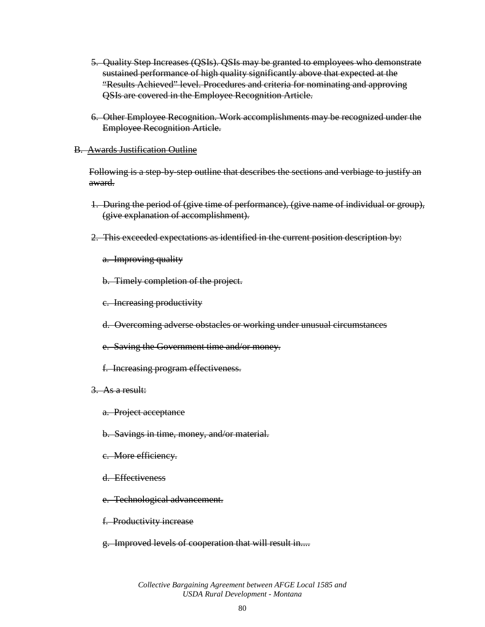- 5. Quality Step Increases (QSIs). QSIs may be granted to employees who demonstrate sustained performance of high quality significantly above that expected at the "Results Achieved" level. Procedures and criteria for nominating and approving QSIs are covered in the Employee Recognition Article.
- 6. Other Employee Recognition. Work accomplishments may be recognized under the Employee Recognition Article.

#### B. Awards Justification Outline

Following is a step-by-step outline that describes the sections and verbiage to justify an award.

- 1. During the period of (give time of performance), (give name of individual or group), (give explanation of accomplishment).
- 2. This exceeded expectations as identified in the current position description by:
	- a. Improving quality
	- b. Timely completion of the project.
	- c. Increasing productivity
	- d. Overcoming adverse obstacles or working under unusual circumstances
	- e. Saving the Government time and/or money.
	- f. Increasing program effectiveness.
- 3. As a result:
	- a. Project acceptance
	- b. Savings in time, money, and/or material.
	- c. More efficiency.
	- d. Effectiveness
	- e. Technological advancement.
	- f. Productivity increase
	- g. Improved levels of cooperation that will result in....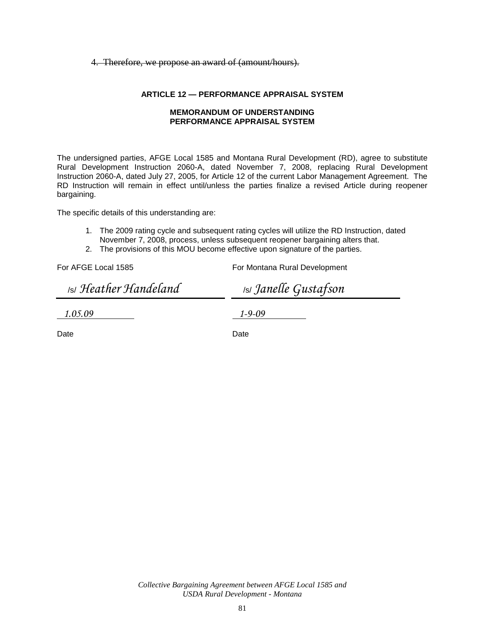#### 4. Therefore, we propose an award of (amount/hours).

#### **ARTICLE 12 — PERFORMANCE APPRAISAL SYSTEM**

#### **MEMORANDUM OF UNDERSTANDING PERFORMANCE APPRAISAL SYSTEM**

The undersigned parties, AFGE Local 1585 and Montana Rural Development (RD), agree to substitute Rural Development Instruction 2060-A, dated November 7, 2008, replacing Rural Development Instruction 2060-A, dated July 27, 2005, for Article 12 of the current Labor Management Agreement. The RD Instruction will remain in effect until/unless the parties finalize a revised Article during reopener bargaining.

The specific details of this understanding are:

- 1. The 2009 rating cycle and subsequent rating cycles will utilize the RD Instruction, dated November 7, 2008, process, unless subsequent reopener bargaining alters that.
- 2. The provisions of this MOU become effective upon signature of the parties.

For AFGE Local 1585

For Montana Rural Development

/s/ *Heather Handeland*

/s/ *Janelle Gustafson*

*1.05.09* 

*1-9-09* 

Date

Date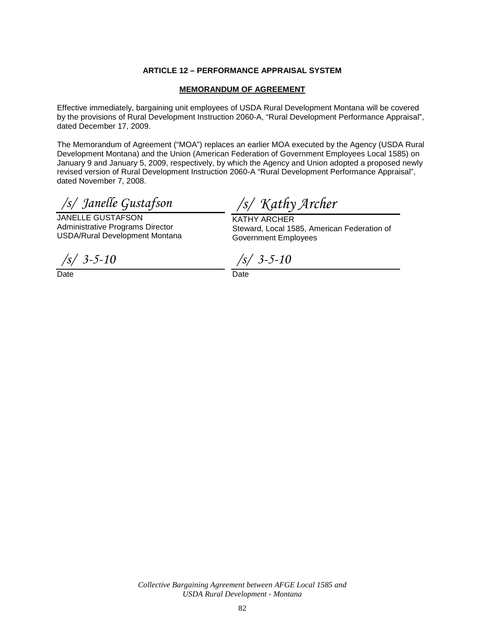#### **ARTICLE 12 – PERFORMANCE APPRAISAL SYSTEM**

#### **MEMORANDUM OF AGREEMENT**

Effective immediately, bargaining unit employees of USDA Rural Development Montana will be covered by the provisions of Rural Development Instruction 2060-A, "Rural Development Performance Appraisal", dated December 17, 2009.

The Memorandum of Agreement ("MOA") replaces an earlier MOA executed by the Agency (USDA Rural Development Montana) and the Union (American Federation of Government Employees Local 1585) on January 9 and January 5, 2009, respectively, by which the Agency and Union adopted a proposed newly revised version of Rural Development Instruction 2060-A "Rural Development Performance Appraisal", dated November 7, 2008.

*/s/ Janelle Gustafson*

JANELLE GUSTAFSON Administrative Programs Director USDA/Rural Development Montana

*/s/ Kathy Archer*

KATHY ARCHER Steward, Local 1585, American Federation of Government Employees

*/s/ 3-5-10*

Date

*/s/ 3-5-10*

Date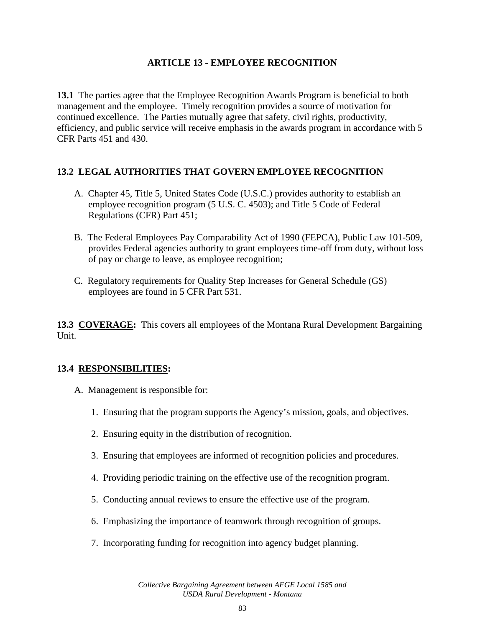### **ARTICLE 13 - EMPLOYEE RECOGNITION**

**13.1** The parties agree that the Employee Recognition Awards Program is beneficial to both management and the employee. Timely recognition provides a source of motivation for continued excellence. The Parties mutually agree that safety, civil rights, productivity, efficiency, and public service will receive emphasis in the awards program in accordance with 5 CFR Parts 451 and 430.

### **13.2 LEGAL AUTHORITIES THAT GOVERN EMPLOYEE RECOGNITION**

- A. Chapter 45, Title 5, United States Code (U.S.C.) provides authority to establish an employee recognition program (5 U.S. C. 4503); and Title 5 Code of Federal Regulations (CFR) Part 451;
- B. The Federal Employees Pay Comparability Act of 1990 (FEPCA), Public Law 101-509, provides Federal agencies authority to grant employees time-off from duty, without loss of pay or charge to leave, as employee recognition;
- C. Regulatory requirements for Quality Step Increases for General Schedule (GS) employees are found in 5 CFR Part 531.

**13.3 COVERAGE:** This covers all employees of the Montana Rural Development Bargaining Unit.

### **13.4 RESPONSIBILITIES:**

- A. Management is responsible for:
	- 1. Ensuring that the program supports the Agency's mission, goals, and objectives.
	- 2. Ensuring equity in the distribution of recognition.
	- 3. Ensuring that employees are informed of recognition policies and procedures.
	- 4. Providing periodic training on the effective use of the recognition program.
	- 5. Conducting annual reviews to ensure the effective use of the program.
	- 6. Emphasizing the importance of teamwork through recognition of groups.
	- 7. Incorporating funding for recognition into agency budget planning.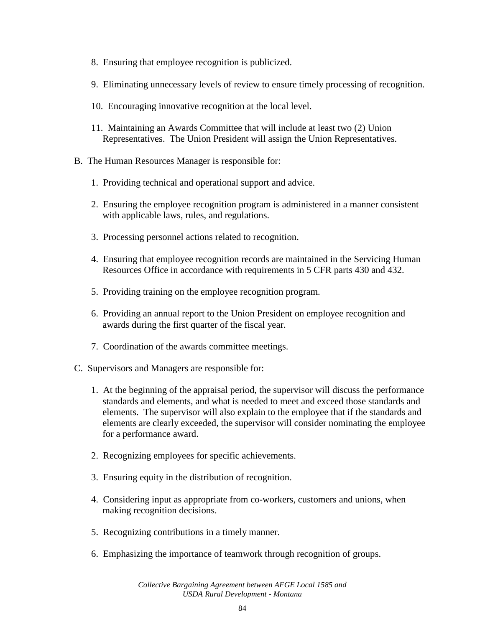- 8. Ensuring that employee recognition is publicized.
- 9. Eliminating unnecessary levels of review to ensure timely processing of recognition.
- 10. Encouraging innovative recognition at the local level.
- 11. Maintaining an Awards Committee that will include at least two (2) Union Representatives. The Union President will assign the Union Representatives.
- B. The Human Resources Manager is responsible for:
	- 1. Providing technical and operational support and advice.
	- 2. Ensuring the employee recognition program is administered in a manner consistent with applicable laws, rules, and regulations.
	- 3. Processing personnel actions related to recognition.
	- 4. Ensuring that employee recognition records are maintained in the Servicing Human Resources Office in accordance with requirements in 5 CFR parts 430 and 432.
	- 5. Providing training on the employee recognition program.
	- 6. Providing an annual report to the Union President on employee recognition and awards during the first quarter of the fiscal year.
	- 7. Coordination of the awards committee meetings.
- C. Supervisors and Managers are responsible for:
	- 1. At the beginning of the appraisal period, the supervisor will discuss the performance standards and elements, and what is needed to meet and exceed those standards and elements. The supervisor will also explain to the employee that if the standards and elements are clearly exceeded, the supervisor will consider nominating the employee for a performance award.
	- 2. Recognizing employees for specific achievements.
	- 3. Ensuring equity in the distribution of recognition.
	- 4. Considering input as appropriate from co-workers, customers and unions, when making recognition decisions.
	- 5. Recognizing contributions in a timely manner.
	- 6. Emphasizing the importance of teamwork through recognition of groups.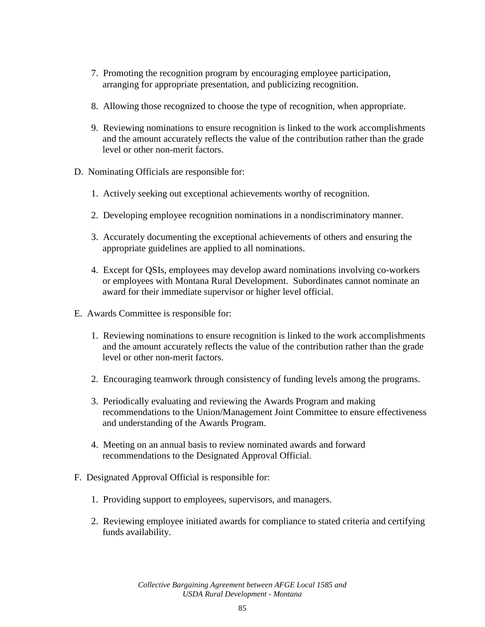- 7. Promoting the recognition program by encouraging employee participation, arranging for appropriate presentation, and publicizing recognition.
- 8. Allowing those recognized to choose the type of recognition, when appropriate.
- 9. Reviewing nominations to ensure recognition is linked to the work accomplishments and the amount accurately reflects the value of the contribution rather than the grade level or other non-merit factors.
- D. Nominating Officials are responsible for:
	- 1. Actively seeking out exceptional achievements worthy of recognition.
	- 2. Developing employee recognition nominations in a nondiscriminatory manner.
	- 3. Accurately documenting the exceptional achievements of others and ensuring the appropriate guidelines are applied to all nominations.
	- 4. Except for QSIs, employees may develop award nominations involving co-workers or employees with Montana Rural Development. Subordinates cannot nominate an award for their immediate supervisor or higher level official.
- E. Awards Committee is responsible for:
	- 1. Reviewing nominations to ensure recognition is linked to the work accomplishments and the amount accurately reflects the value of the contribution rather than the grade level or other non-merit factors.
	- 2. Encouraging teamwork through consistency of funding levels among the programs.
	- 3. Periodically evaluating and reviewing the Awards Program and making recommendations to the Union/Management Joint Committee to ensure effectiveness and understanding of the Awards Program.
	- 4. Meeting on an annual basis to review nominated awards and forward recommendations to the Designated Approval Official.
- F. Designated Approval Official is responsible for:
	- 1. Providing support to employees, supervisors, and managers.
	- 2. Reviewing employee initiated awards for compliance to stated criteria and certifying funds availability.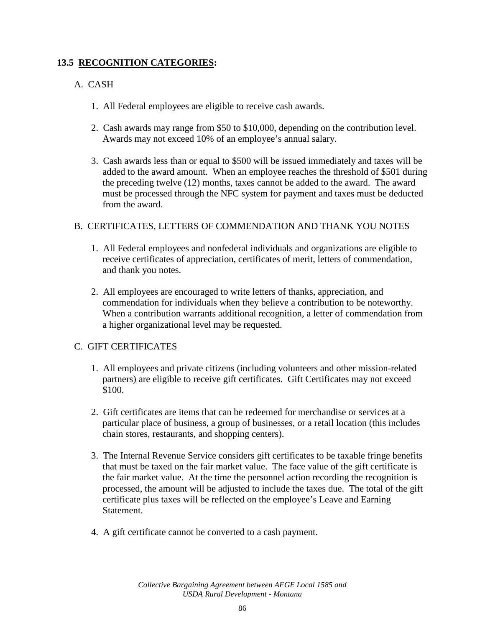### **13.5 RECOGNITION CATEGORIES:**

### A. CASH

- 1. All Federal employees are eligible to receive cash awards.
- 2. Cash awards may range from \$50 to \$10,000, depending on the contribution level. Awards may not exceed 10% of an employee's annual salary.
- 3. Cash awards less than or equal to \$500 will be issued immediately and taxes will be added to the award amount. When an employee reaches the threshold of \$501 during the preceding twelve (12) months, taxes cannot be added to the award. The award must be processed through the NFC system for payment and taxes must be deducted from the award.

### B. CERTIFICATES, LETTERS OF COMMENDATION AND THANK YOU NOTES

- 1. All Federal employees and nonfederal individuals and organizations are eligible to receive certificates of appreciation, certificates of merit, letters of commendation, and thank you notes.
- 2. All employees are encouraged to write letters of thanks, appreciation, and commendation for individuals when they believe a contribution to be noteworthy. When a contribution warrants additional recognition, a letter of commendation from a higher organizational level may be requested.

### C. GIFT CERTIFICATES

- 1. All employees and private citizens (including volunteers and other mission-related partners) are eligible to receive gift certificates. Gift Certificates may not exceed \$100.
- 2. Gift certificates are items that can be redeemed for merchandise or services at a particular place of business, a group of businesses, or a retail location (this includes chain stores, restaurants, and shopping centers).
- 3. The Internal Revenue Service considers gift certificates to be taxable fringe benefits that must be taxed on the fair market value. The face value of the gift certificate is the fair market value. At the time the personnel action recording the recognition is processed, the amount will be adjusted to include the taxes due. The total of the gift certificate plus taxes will be reflected on the employee's Leave and Earning Statement.
- 4. A gift certificate cannot be converted to a cash payment.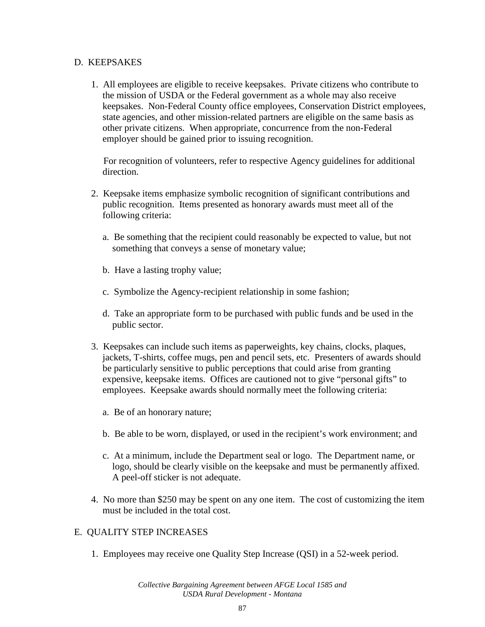### D. KEEPSAKES

1. All employees are eligible to receive keepsakes. Private citizens who contribute to the mission of USDA or the Federal government as a whole may also receive keepsakes. Non-Federal County office employees, Conservation District employees, state agencies, and other mission-related partners are eligible on the same basis as other private citizens. When appropriate, concurrence from the non-Federal employer should be gained prior to issuing recognition.

For recognition of volunteers, refer to respective Agency guidelines for additional direction.

- 2. Keepsake items emphasize symbolic recognition of significant contributions and public recognition. Items presented as honorary awards must meet all of the following criteria:
	- a. Be something that the recipient could reasonably be expected to value, but not something that conveys a sense of monetary value;
	- b. Have a lasting trophy value;
	- c. Symbolize the Agency-recipient relationship in some fashion;
	- d. Take an appropriate form to be purchased with public funds and be used in the public sector.
- 3. Keepsakes can include such items as paperweights, key chains, clocks, plaques, jackets, T-shirts, coffee mugs, pen and pencil sets, etc. Presenters of awards should be particularly sensitive to public perceptions that could arise from granting expensive, keepsake items. Offices are cautioned not to give "personal gifts" to employees. Keepsake awards should normally meet the following criteria:
	- a. Be of an honorary nature;
	- b. Be able to be worn, displayed, or used in the recipient's work environment; and
	- c. At a minimum, include the Department seal or logo. The Department name, or logo, should be clearly visible on the keepsake and must be permanently affixed. A peel-off sticker is not adequate.
- 4. No more than \$250 may be spent on any one item. The cost of customizing the item must be included in the total cost.

### E. QUALITY STEP INCREASES

1. Employees may receive one Quality Step Increase (QSI) in a 52-week period.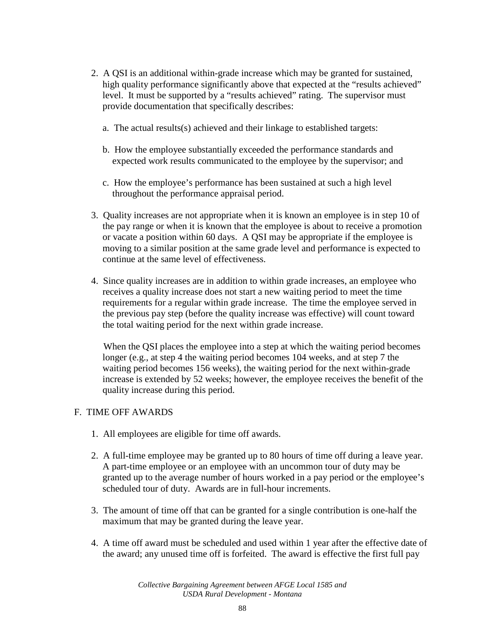- 2. A QSI is an additional within-grade increase which may be granted for sustained, high quality performance significantly above that expected at the "results achieved" level. It must be supported by a "results achieved" rating. The supervisor must provide documentation that specifically describes:
	- a. The actual results(s) achieved and their linkage to established targets:
	- b. How the employee substantially exceeded the performance standards and expected work results communicated to the employee by the supervisor; and
	- c. How the employee's performance has been sustained at such a high level throughout the performance appraisal period.
- 3. Quality increases are not appropriate when it is known an employee is in step 10 of the pay range or when it is known that the employee is about to receive a promotion or vacate a position within 60 days. A QSI may be appropriate if the employee is moving to a similar position at the same grade level and performance is expected to continue at the same level of effectiveness.
- 4. Since quality increases are in addition to within grade increases, an employee who receives a quality increase does not start a new waiting period to meet the time requirements for a regular within grade increase. The time the employee served in the previous pay step (before the quality increase was effective) will count toward the total waiting period for the next within grade increase.

When the QSI places the employee into a step at which the waiting period becomes longer (e.g., at step 4 the waiting period becomes 104 weeks, and at step 7 the waiting period becomes 156 weeks), the waiting period for the next within-grade increase is extended by 52 weeks; however, the employee receives the benefit of the quality increase during this period.

### F. TIME OFF AWARDS

- 1. All employees are eligible for time off awards.
- 2. A full-time employee may be granted up to 80 hours of time off during a leave year. A part-time employee or an employee with an uncommon tour of duty may be granted up to the average number of hours worked in a pay period or the employee's scheduled tour of duty. Awards are in full-hour increments.
- 3. The amount of time off that can be granted for a single contribution is one-half the maximum that may be granted during the leave year.
- 4. A time off award must be scheduled and used within 1 year after the effective date of the award; any unused time off is forfeited. The award is effective the first full pay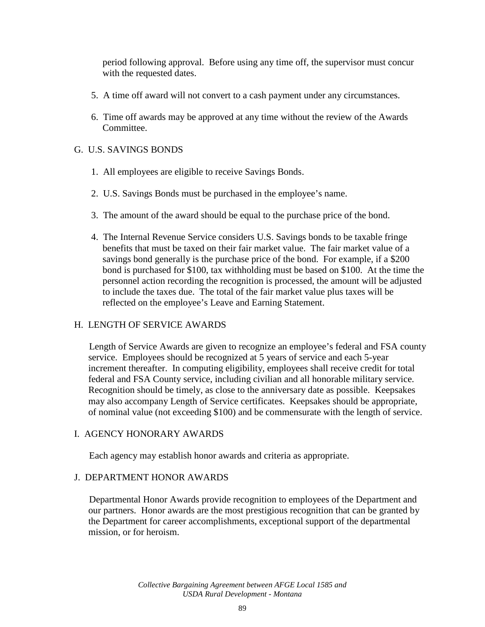period following approval. Before using any time off, the supervisor must concur with the requested dates.

- 5. A time off award will not convert to a cash payment under any circumstances.
- 6. Time off awards may be approved at any time without the review of the Awards Committee.

### G. U.S. SAVINGS BONDS

- 1. All employees are eligible to receive Savings Bonds.
- 2. U.S. Savings Bonds must be purchased in the employee's name.
- 3. The amount of the award should be equal to the purchase price of the bond.
- 4. The Internal Revenue Service considers U.S. Savings bonds to be taxable fringe benefits that must be taxed on their fair market value. The fair market value of a savings bond generally is the purchase price of the bond. For example, if a \$200 bond is purchased for \$100, tax withholding must be based on \$100. At the time the personnel action recording the recognition is processed, the amount will be adjusted to include the taxes due. The total of the fair market value plus taxes will be reflected on the employee's Leave and Earning Statement.

### H. LENGTH OF SERVICE AWARDS

Length of Service Awards are given to recognize an employee's federal and FSA county service. Employees should be recognized at 5 years of service and each 5-year increment thereafter. In computing eligibility, employees shall receive credit for total federal and FSA County service, including civilian and all honorable military service. Recognition should be timely, as close to the anniversary date as possible. Keepsakes may also accompany Length of Service certificates. Keepsakes should be appropriate, of nominal value (not exceeding \$100) and be commensurate with the length of service.

### I. AGENCY HONORARY AWARDS

Each agency may establish honor awards and criteria as appropriate.

### J. DEPARTMENT HONOR AWARDS

Departmental Honor Awards provide recognition to employees of the Department and our partners. Honor awards are the most prestigious recognition that can be granted by the Department for career accomplishments, exceptional support of the departmental mission, or for heroism.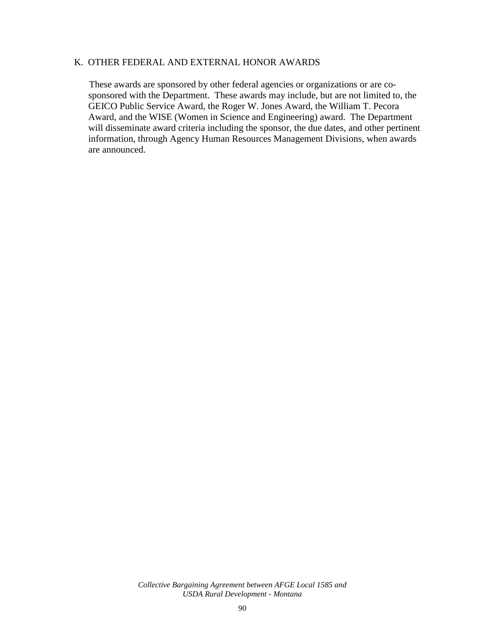### K. OTHER FEDERAL AND EXTERNAL HONOR AWARDS

These awards are sponsored by other federal agencies or organizations or are cosponsored with the Department. These awards may include, but are not limited to, the GEICO Public Service Award, the Roger W. Jones Award, the William T. Pecora Award, and the WISE (Women in Science and Engineering) award. The Department will disseminate award criteria including the sponsor, the due dates, and other pertinent information, through Agency Human Resources Management Divisions, when awards are announced.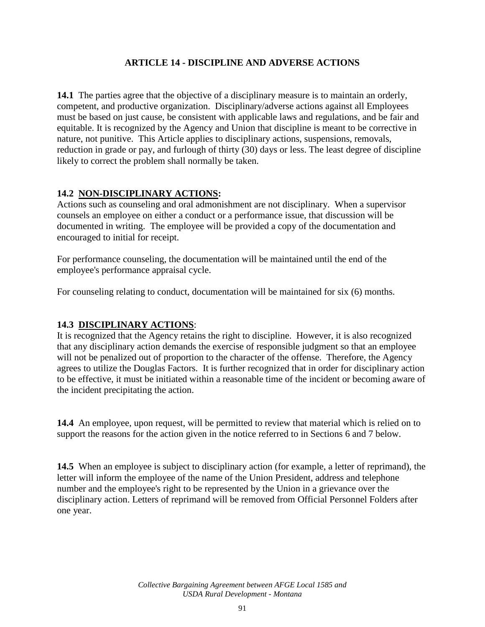## **ARTICLE 14 - DISCIPLINE AND ADVERSE ACTIONS**

**14.1** The parties agree that the objective of a disciplinary measure is to maintain an orderly, competent, and productive organization. Disciplinary/adverse actions against all Employees must be based on just cause, be consistent with applicable laws and regulations, and be fair and equitable. It is recognized by the Agency and Union that discipline is meant to be corrective in nature, not punitive. This Article applies to disciplinary actions, suspensions, removals, reduction in grade or pay, and furlough of thirty (30) days or less. The least degree of discipline likely to correct the problem shall normally be taken.

# **14.2 NON-DISCIPLINARY ACTIONS:**

Actions such as counseling and oral admonishment are not disciplinary. When a supervisor counsels an employee on either a conduct or a performance issue, that discussion will be documented in writing. The employee will be provided a copy of the documentation and encouraged to initial for receipt.

For performance counseling, the documentation will be maintained until the end of the employee's performance appraisal cycle.

For counseling relating to conduct, documentation will be maintained for six (6) months.

### **14.3 DISCIPLINARY ACTIONS**:

It is recognized that the Agency retains the right to discipline. However, it is also recognized that any disciplinary action demands the exercise of responsible judgment so that an employee will not be penalized out of proportion to the character of the offense. Therefore, the Agency agrees to utilize the Douglas Factors. It is further recognized that in order for disciplinary action to be effective, it must be initiated within a reasonable time of the incident or becoming aware of the incident precipitating the action.

**14.4** An employee, upon request, will be permitted to review that material which is relied on to support the reasons for the action given in the notice referred to in Sections 6 and 7 below.

**14.5** When an employee is subject to disciplinary action (for example, a letter of reprimand), the letter will inform the employee of the name of the Union President, address and telephone number and the employee's right to be represented by the Union in a grievance over the disciplinary action. Letters of reprimand will be removed from Official Personnel Folders after one year.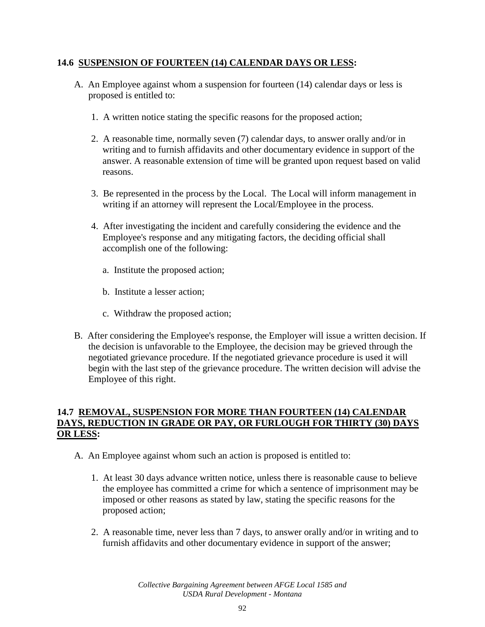### **14.6 SUSPENSION OF FOURTEEN (14) CALENDAR DAYS OR LESS:**

- A. An Employee against whom a suspension for fourteen (14) calendar days or less is proposed is entitled to:
	- 1. A written notice stating the specific reasons for the proposed action;
	- 2. A reasonable time, normally seven (7) calendar days, to answer orally and/or in writing and to furnish affidavits and other documentary evidence in support of the answer. A reasonable extension of time will be granted upon request based on valid reasons.
	- 3. Be represented in the process by the Local. The Local will inform management in writing if an attorney will represent the Local/Employee in the process.
	- 4. After investigating the incident and carefully considering the evidence and the Employee's response and any mitigating factors, the deciding official shall accomplish one of the following:
		- a. Institute the proposed action;
		- b. Institute a lesser action;
		- c. Withdraw the proposed action;
- B. After considering the Employee's response, the Employer will issue a written decision. If the decision is unfavorable to the Employee, the decision may be grieved through the negotiated grievance procedure. If the negotiated grievance procedure is used it will begin with the last step of the grievance procedure. The written decision will advise the Employee of this right.

### **14.7 REMOVAL, SUSPENSION FOR MORE THAN FOURTEEN (14) CALENDAR DAYS, REDUCTION IN GRADE OR PAY, OR FURLOUGH FOR THIRTY (30) DAYS OR LESS:**

- A. An Employee against whom such an action is proposed is entitled to:
	- 1. At least 30 days advance written notice, unless there is reasonable cause to believe the employee has committed a crime for which a sentence of imprisonment may be imposed or other reasons as stated by law, stating the specific reasons for the proposed action;
	- 2. A reasonable time, never less than 7 days, to answer orally and/or in writing and to furnish affidavits and other documentary evidence in support of the answer;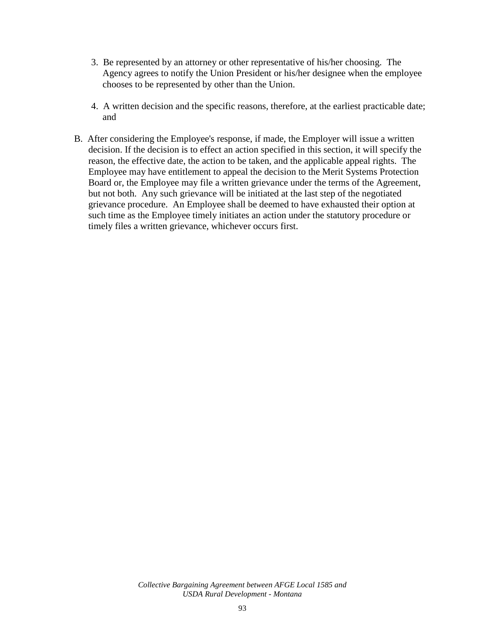- 3. Be represented by an attorney or other representative of his/her choosing. The Agency agrees to notify the Union President or his/her designee when the employee chooses to be represented by other than the Union.
- 4. A written decision and the specific reasons, therefore, at the earliest practicable date; and
- B. After considering the Employee's response, if made, the Employer will issue a written decision. If the decision is to effect an action specified in this section, it will specify the reason, the effective date, the action to be taken, and the applicable appeal rights. The Employee may have entitlement to appeal the decision to the Merit Systems Protection Board or, the Employee may file a written grievance under the terms of the Agreement, but not both. Any such grievance will be initiated at the last step of the negotiated grievance procedure. An Employee shall be deemed to have exhausted their option at such time as the Employee timely initiates an action under the statutory procedure or timely files a written grievance, whichever occurs first.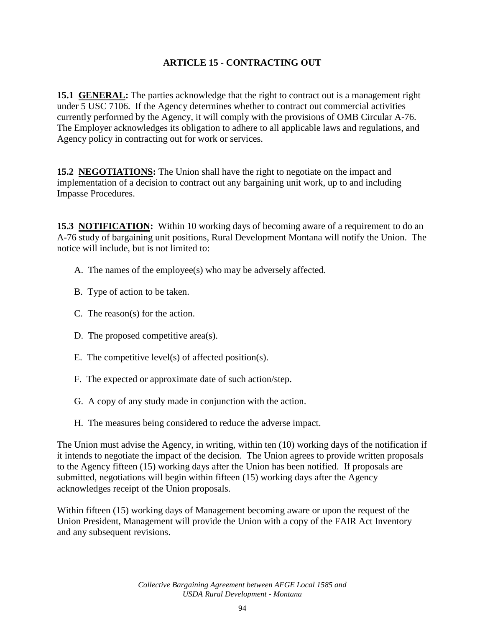# **ARTICLE 15 - CONTRACTING OUT**

**15.1 GENERAL:** The parties acknowledge that the right to contract out is a management right under 5 USC 7106. If the Agency determines whether to contract out commercial activities currently performed by the Agency, it will comply with the provisions of OMB Circular A-76. The Employer acknowledges its obligation to adhere to all applicable laws and regulations, and Agency policy in contracting out for work or services.

**15.2 NEGOTIATIONS:** The Union shall have the right to negotiate on the impact and implementation of a decision to contract out any bargaining unit work, up to and including Impasse Procedures.

**15.3 NOTIFICATION:** Within 10 working days of becoming aware of a requirement to do an A-76 study of bargaining unit positions, Rural Development Montana will notify the Union. The notice will include, but is not limited to:

- A. The names of the employee(s) who may be adversely affected.
- B. Type of action to be taken.
- C. The reason(s) for the action.
- D. The proposed competitive area(s).
- E. The competitive level(s) of affected position(s).
- F. The expected or approximate date of such action/step.
- G. A copy of any study made in conjunction with the action.
- H. The measures being considered to reduce the adverse impact.

The Union must advise the Agency, in writing, within ten (10) working days of the notification if it intends to negotiate the impact of the decision. The Union agrees to provide written proposals to the Agency fifteen (15) working days after the Union has been notified. If proposals are submitted, negotiations will begin within fifteen (15) working days after the Agency acknowledges receipt of the Union proposals.

Within fifteen (15) working days of Management becoming aware or upon the request of the Union President, Management will provide the Union with a copy of the FAIR Act Inventory and any subsequent revisions.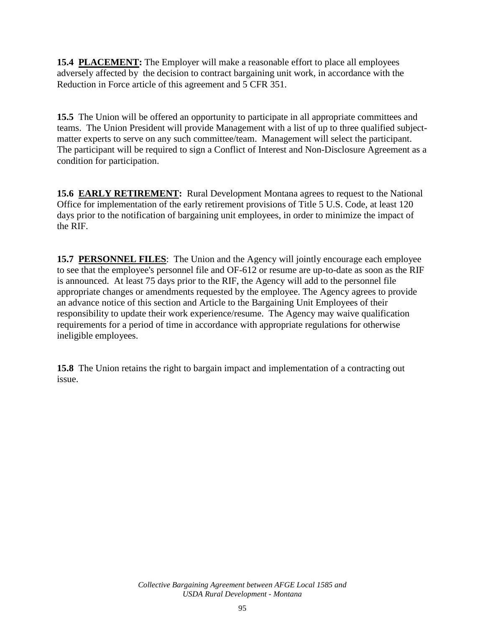**15.4 PLACEMENT:** The Employer will make a reasonable effort to place all employees adversely affected by the decision to contract bargaining unit work, in accordance with the Reduction in Force article of this agreement and 5 CFR 351.

**15.5** The Union will be offered an opportunity to participate in all appropriate committees and teams. The Union President will provide Management with a list of up to three qualified subjectmatter experts to serve on any such committee/team. Management will select the participant. The participant will be required to sign a Conflict of Interest and Non-Disclosure Agreement as a condition for participation.

**15.6 EARLY RETIREMENT:** Rural Development Montana agrees to request to the National Office for implementation of the early retirement provisions of Title 5 U.S. Code, at least 120 days prior to the notification of bargaining unit employees, in order to minimize the impact of the RIF.

**15.7 PERSONNEL FILES:** The Union and the Agency will jointly encourage each employee to see that the employee's personnel file and OF-612 or resume are up-to-date as soon as the RIF is announced. At least 75 days prior to the RIF, the Agency will add to the personnel file appropriate changes or amendments requested by the employee. The Agency agrees to provide an advance notice of this section and Article to the Bargaining Unit Employees of their responsibility to update their work experience/resume. The Agency may waive qualification requirements for a period of time in accordance with appropriate regulations for otherwise ineligible employees.

**15.8** The Union retains the right to bargain impact and implementation of a contracting out issue.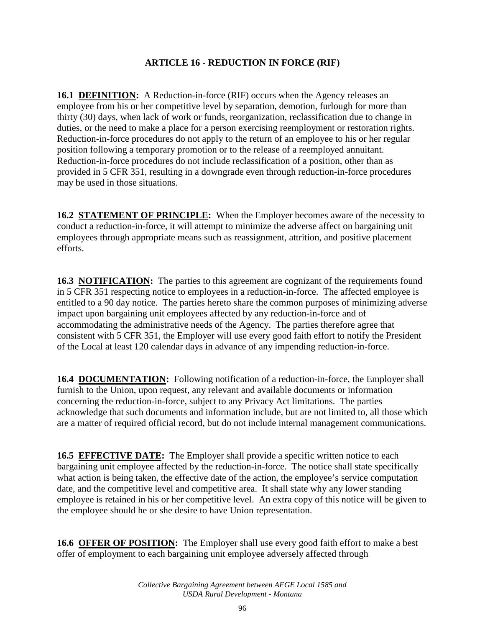### **ARTICLE 16 - REDUCTION IN FORCE (RIF)**

**16.1 DEFINITION:** A Reduction-in-force (RIF) occurs when the Agency releases an employee from his or her competitive level by separation, demotion, furlough for more than thirty (30) days, when lack of work or funds, reorganization, reclassification due to change in duties, or the need to make a place for a person exercising reemployment or restoration rights. Reduction-in-force procedures do not apply to the return of an employee to his or her regular position following a temporary promotion or to the release of a reemployed annuitant. Reduction-in-force procedures do not include reclassification of a position, other than as provided in 5 CFR 351, resulting in a downgrade even through reduction-in-force procedures may be used in those situations.

**16.2 STATEMENT OF PRINCIPLE:** When the Employer becomes aware of the necessity to conduct a reduction-in-force, it will attempt to minimize the adverse affect on bargaining unit employees through appropriate means such as reassignment, attrition, and positive placement efforts.

**16.3 NOTIFICATION:** The parties to this agreement are cognizant of the requirements found in 5 CFR 351 respecting notice to employees in a reduction-in-force. The affected employee is entitled to a 90 day notice. The parties hereto share the common purposes of minimizing adverse impact upon bargaining unit employees affected by any reduction-in-force and of accommodating the administrative needs of the Agency. The parties therefore agree that consistent with 5 CFR 351, the Employer will use every good faith effort to notify the President of the Local at least 120 calendar days in advance of any impending reduction-in-force.

**16.4 DOCUMENTATION:** Following notification of a reduction-in-force, the Employer shall furnish to the Union, upon request, any relevant and available documents or information concerning the reduction-in-force, subject to any Privacy Act limitations. The parties acknowledge that such documents and information include, but are not limited to, all those which are a matter of required official record, but do not include internal management communications.

**16.5 EFFECTIVE DATE:** The Employer shall provide a specific written notice to each bargaining unit employee affected by the reduction-in-force. The notice shall state specifically what action is being taken, the effective date of the action, the employee's service computation date, and the competitive level and competitive area. It shall state why any lower standing employee is retained in his or her competitive level. An extra copy of this notice will be given to the employee should he or she desire to have Union representation.

**16.6 OFFER OF POSITION:** The Employer shall use every good faith effort to make a best offer of employment to each bargaining unit employee adversely affected through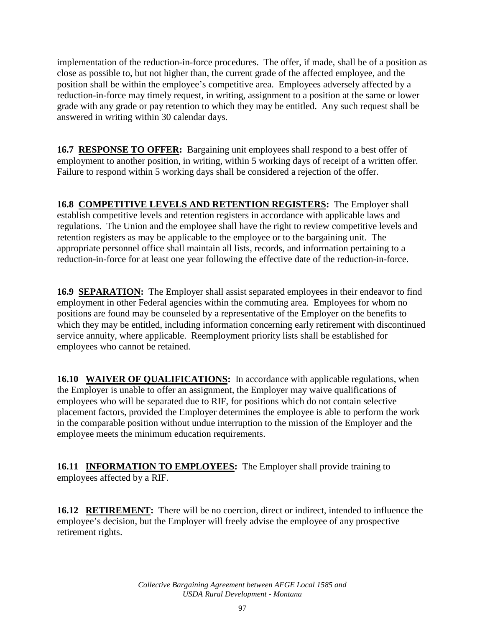implementation of the reduction-in-force procedures. The offer, if made, shall be of a position as close as possible to, but not higher than, the current grade of the affected employee, and the position shall be within the employee's competitive area. Employees adversely affected by a reduction-in-force may timely request, in writing, assignment to a position at the same or lower grade with any grade or pay retention to which they may be entitled. Any such request shall be answered in writing within 30 calendar days.

**16.7 RESPONSE TO OFFER:** Bargaining unit employees shall respond to a best offer of employment to another position, in writing, within 5 working days of receipt of a written offer. Failure to respond within 5 working days shall be considered a rejection of the offer.

**16.8 COMPETITIVE LEVELS AND RETENTION REGISTERS:** The Employer shall establish competitive levels and retention registers in accordance with applicable laws and regulations. The Union and the employee shall have the right to review competitive levels and retention registers as may be applicable to the employee or to the bargaining unit. The appropriate personnel office shall maintain all lists, records, and information pertaining to a reduction-in-force for at least one year following the effective date of the reduction-in-force.

**16.9 SEPARATION:** The Employer shall assist separated employees in their endeavor to find employment in other Federal agencies within the commuting area. Employees for whom no positions are found may be counseled by a representative of the Employer on the benefits to which they may be entitled, including information concerning early retirement with discontinued service annuity, where applicable. Reemployment priority lists shall be established for employees who cannot be retained.

**16.10 WAIVER OF QUALIFICATIONS:** In accordance with applicable regulations, when the Employer is unable to offer an assignment, the Employer may waive qualifications of employees who will be separated due to RIF, for positions which do not contain selective placement factors, provided the Employer determines the employee is able to perform the work in the comparable position without undue interruption to the mission of the Employer and the employee meets the minimum education requirements.

**16.11 INFORMATION TO EMPLOYEES:** The Employer shall provide training to employees affected by a RIF.

**16.12 RETIREMENT:** There will be no coercion, direct or indirect, intended to influence the employee's decision, but the Employer will freely advise the employee of any prospective retirement rights.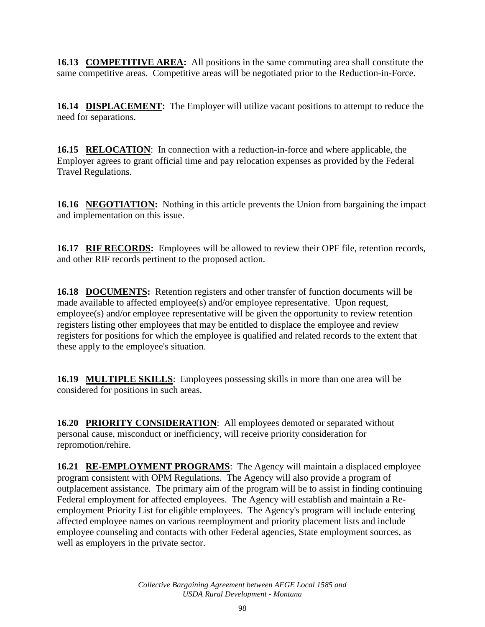**16.13 COMPETITIVE AREA:** All positions in the same commuting area shall constitute the same competitive areas. Competitive areas will be negotiated prior to the Reduction-in-Force.

**16.14 DISPLACEMENT:** The Employer will utilize vacant positions to attempt to reduce the need for separations.

**16.15 RELOCATION**: In connection with a reduction-in-force and where applicable, the Employer agrees to grant official time and pay relocation expenses as provided by the Federal Travel Regulations.

**16.16 NEGOTIATION:** Nothing in this article prevents the Union from bargaining the impact and implementation on this issue.

**16.17 RIF RECORDS:** Employees will be allowed to review their OPF file, retention records, and other RIF records pertinent to the proposed action.

**16.18 DOCUMENTS:** Retention registers and other transfer of function documents will be made available to affected employee(s) and/or employee representative. Upon request, employee(s) and/or employee representative will be given the opportunity to review retention registers listing other employees that may be entitled to displace the employee and review registers for positions for which the employee is qualified and related records to the extent that these apply to the employee's situation.

**16.19 MULTIPLE SKILLS**: Employees possessing skills in more than one area will be considered for positions in such areas.

**16.20 PRIORITY CONSIDERATION**: All employees demoted or separated without personal cause, misconduct or inefficiency, will receive priority consideration for repromotion/rehire.

**16.21 RE-EMPLOYMENT PROGRAMS**: The Agency will maintain a displaced employee program consistent with OPM Regulations. The Agency will also provide a program of outplacement assistance. The primary aim of the program will be to assist in finding continuing Federal employment for affected employees. The Agency will establish and maintain a Reemployment Priority List for eligible employees. The Agency's program will include entering affected employee names on various reemployment and priority placement lists and include employee counseling and contacts with other Federal agencies, State employment sources, as well as employers in the private sector.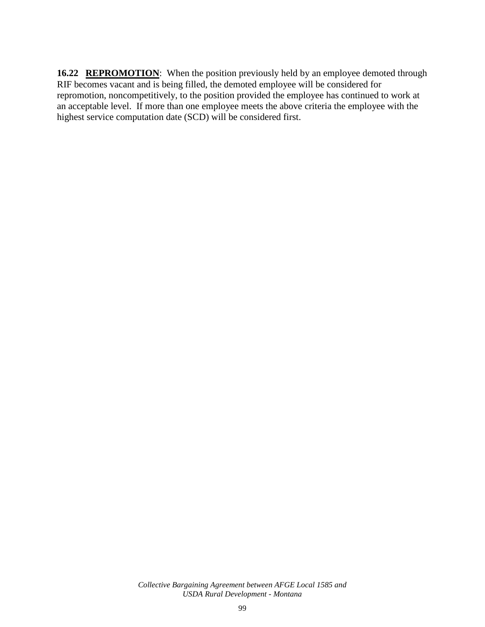**16.22 REPROMOTION:** When the position previously held by an employee demoted through RIF becomes vacant and is being filled, the demoted employee will be considered for repromotion, noncompetitively, to the position provided the employee has continued to work at an acceptable level. If more than one employee meets the above criteria the employee with the highest service computation date (SCD) will be considered first.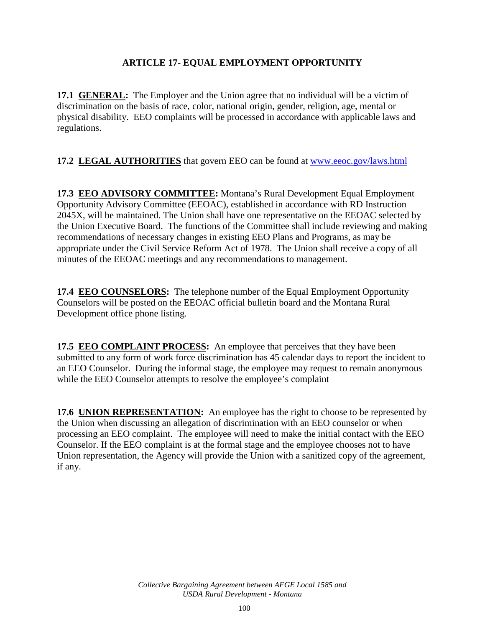## **ARTICLE 17- EQUAL EMPLOYMENT OPPORTUNITY**

**17.1 GENERAL:** The Employer and the Union agree that no individual will be a victim of discrimination on the basis of race, color, national origin, gender, religion, age, mental or physical disability. EEO complaints will be processed in accordance with applicable laws and regulations.

**17.2 LEGAL AUTHORITIES** that govern EEO can be found at [www.eeoc.gov/laws.html](http://www.eeoc.gov/laws.html)

**17.3 EEO ADVISORY COMMITTEE:** Montana's Rural Development Equal Employment Opportunity Advisory Committee (EEOAC), established in accordance with RD Instruction 2045X, will be maintained. The Union shall have one representative on the EEOAC selected by the Union Executive Board. The functions of the Committee shall include reviewing and making recommendations of necessary changes in existing EEO Plans and Programs, as may be appropriate under the Civil Service Reform Act of 1978. The Union shall receive a copy of all minutes of the EEOAC meetings and any recommendations to management.

**17.4 EEO COUNSELORS:** The telephone number of the Equal Employment Opportunity Counselors will be posted on the EEOAC official bulletin board and the Montana Rural Development office phone listing.

**17.5 EEO COMPLAINT PROCESS:** An employee that perceives that they have been submitted to any form of work force discrimination has 45 calendar days to report the incident to an EEO Counselor. During the informal stage, the employee may request to remain anonymous while the EEO Counselor attempts to resolve the employee's complaint

**17.6 UNION REPRESENTATION:** An employee has the right to choose to be represented by the Union when discussing an allegation of discrimination with an EEO counselor or when processing an EEO complaint. The employee will need to make the initial contact with the EEO Counselor. If the EEO complaint is at the formal stage and the employee chooses not to have Union representation, the Agency will provide the Union with a sanitized copy of the agreement, if any.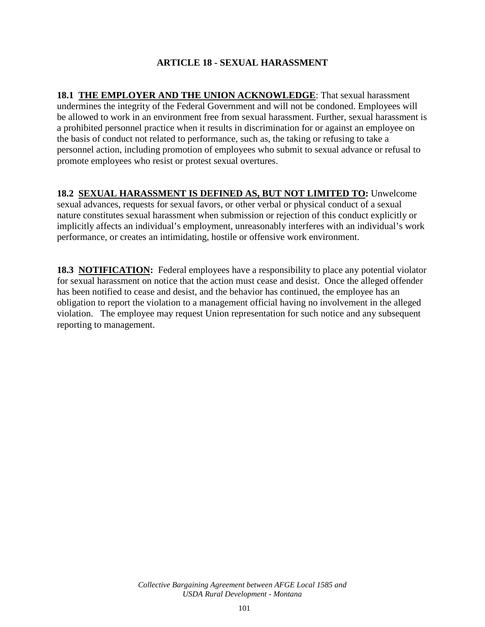## **ARTICLE 18 - SEXUAL HARASSMENT**

**18.1 THE EMPLOYER AND THE UNION ACKNOWLEDGE**: That sexual harassment undermines the integrity of the Federal Government and will not be condoned. Employees will be allowed to work in an environment free from sexual harassment. Further, sexual harassment is a prohibited personnel practice when it results in discrimination for or against an employee on the basis of conduct not related to performance, such as, the taking or refusing to take a personnel action, including promotion of employees who submit to sexual advance or refusal to promote employees who resist or protest sexual overtures.

### **18.2 SEXUAL HARASSMENT IS DEFINED AS, BUT NOT LIMITED TO:** Unwelcome

sexual advances, requests for sexual favors, or other verbal or physical conduct of a sexual nature constitutes sexual harassment when submission or rejection of this conduct explicitly or implicitly affects an individual's employment, unreasonably interferes with an individual's work performance, or creates an intimidating, hostile or offensive work environment.

**18.3 NOTIFICATION:** Federal employees have a responsibility to place any potential violator for sexual harassment on notice that the action must cease and desist. Once the alleged offender has been notified to cease and desist, and the behavior has continued, the employee has an obligation to report the violation to a management official having no involvement in the alleged violation. The employee may request Union representation for such notice and any subsequent reporting to management.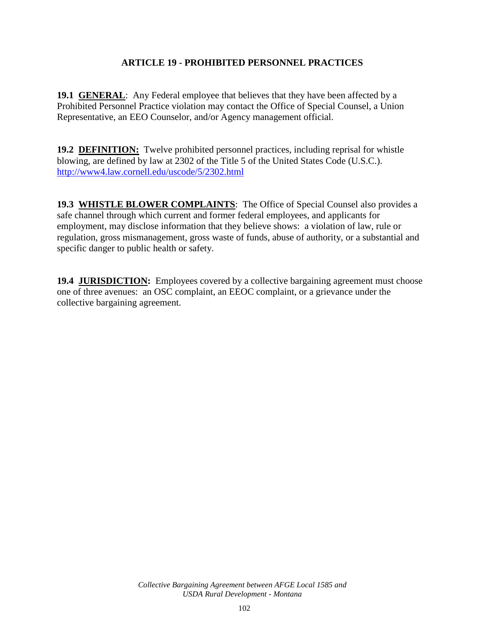### **ARTICLE 19 - PROHIBITED PERSONNEL PRACTICES**

**19.1 GENERAL:** Any Federal employee that believes that they have been affected by a Prohibited Personnel Practice violation may contact the Office of Special Counsel, a Union Representative, an EEO Counselor, and/or Agency management official.

**19.2 DEFINITION:** Twelve prohibited personnel practices, including reprisal for whistle blowing, are defined by law at 2302 of the Title 5 of the United States Code (U.S.C.). <http://www4.law.cornell.edu/uscode/5/2302.html>

**19.3 WHISTLE BLOWER COMPLAINTS**: The Office of Special Counsel also provides a safe channel through which current and former federal employees, and applicants for employment, may disclose information that they believe shows: a violation of law, rule or regulation, gross mismanagement, gross waste of funds, abuse of authority, or a substantial and specific danger to public health or safety.

**19.4 JURISDICTION:** Employees covered by a collective bargaining agreement must choose one of three avenues: an OSC complaint, an EEOC complaint, or a grievance under the collective bargaining agreement.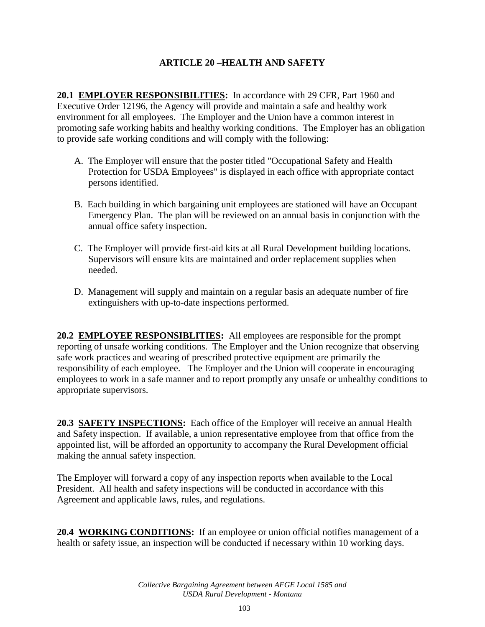## **ARTICLE 20 –HEALTH AND SAFETY**

**20.1 EMPLOYER RESPONSIBILITIES:** In accordance with 29 CFR, Part 1960 and Executive Order 12196, the Agency will provide and maintain a safe and healthy work environment for all employees. The Employer and the Union have a common interest in promoting safe working habits and healthy working conditions. The Employer has an obligation to provide safe working conditions and will comply with the following:

- A. The Employer will ensure that the poster titled "Occupational Safety and Health Protection for USDA Employees" is displayed in each office with appropriate contact persons identified.
- B. Each building in which bargaining unit employees are stationed will have an Occupant Emergency Plan. The plan will be reviewed on an annual basis in conjunction with the annual office safety inspection.
- C. The Employer will provide first-aid kits at all Rural Development building locations. Supervisors will ensure kits are maintained and order replacement supplies when needed.
- D. Management will supply and maintain on a regular basis an adequate number of fire extinguishers with up-to-date inspections performed.

**20.2 EMPLOYEE RESPONSIBLITIES:** All employees are responsible for the prompt reporting of unsafe working conditions. The Employer and the Union recognize that observing safe work practices and wearing of prescribed protective equipment are primarily the responsibility of each employee. The Employer and the Union will cooperate in encouraging employees to work in a safe manner and to report promptly any unsafe or unhealthy conditions to appropriate supervisors.

**20.3 SAFETY INSPECTIONS:** Each office of the Employer will receive an annual Health and Safety inspection. If available, a union representative employee from that office from the appointed list, will be afforded an opportunity to accompany the Rural Development official making the annual safety inspection.

The Employer will forward a copy of any inspection reports when available to the Local President. All health and safety inspections will be conducted in accordance with this Agreement and applicable laws, rules, and regulations.

**20.4 WORKING CONDITIONS:** If an employee or union official notifies management of a health or safety issue, an inspection will be conducted if necessary within 10 working days.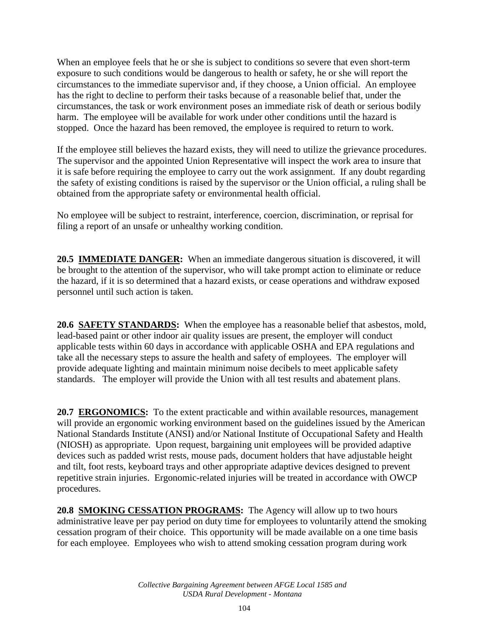When an employee feels that he or she is subject to conditions so severe that even short-term exposure to such conditions would be dangerous to health or safety, he or she will report the circumstances to the immediate supervisor and, if they choose, a Union official. An employee has the right to decline to perform their tasks because of a reasonable belief that, under the circumstances, the task or work environment poses an immediate risk of death or serious bodily harm. The employee will be available for work under other conditions until the hazard is stopped. Once the hazard has been removed, the employee is required to return to work.

If the employee still believes the hazard exists, they will need to utilize the grievance procedures. The supervisor and the appointed Union Representative will inspect the work area to insure that it is safe before requiring the employee to carry out the work assignment. If any doubt regarding the safety of existing conditions is raised by the supervisor or the Union official, a ruling shall be obtained from the appropriate safety or environmental health official.

No employee will be subject to restraint, interference, coercion, discrimination, or reprisal for filing a report of an unsafe or unhealthy working condition.

**20.5 IMMEDIATE DANGER:** When an immediate dangerous situation is discovered, it will be brought to the attention of the supervisor, who will take prompt action to eliminate or reduce the hazard, if it is so determined that a hazard exists, or cease operations and withdraw exposed personnel until such action is taken.

**20.6 SAFETY STANDARDS:** When the employee has a reasonable belief that asbestos, mold, lead-based paint or other indoor air quality issues are present, the employer will conduct applicable tests within 60 days in accordance with applicable OSHA and EPA regulations and take all the necessary steps to assure the health and safety of employees. The employer will provide adequate lighting and maintain minimum noise decibels to meet applicable safety standards. The employer will provide the Union with all test results and abatement plans.

**20.7 ERGONOMICS:** To the extent practicable and within available resources, management will provide an ergonomic working environment based on the guidelines issued by the American National Standards Institute (ANSI) and/or National Institute of Occupational Safety and Health (NIOSH) as appropriate. Upon request, bargaining unit employees will be provided adaptive devices such as padded wrist rests, mouse pads, document holders that have adjustable height and tilt, foot rests, keyboard trays and other appropriate adaptive devices designed to prevent repetitive strain injuries. Ergonomic-related injuries will be treated in accordance with OWCP procedures.

**20.8 SMOKING CESSATION PROGRAMS:** The Agency will allow up to two hours administrative leave per pay period on duty time for employees to voluntarily attend the smoking cessation program of their choice. This opportunity will be made available on a one time basis for each employee. Employees who wish to attend smoking cessation program during work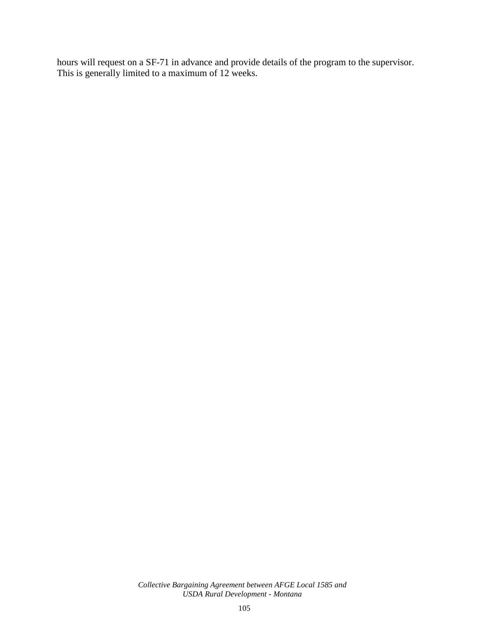hours will request on a SF-71 in advance and provide details of the program to the supervisor. This is generally limited to a maximum of 12 weeks.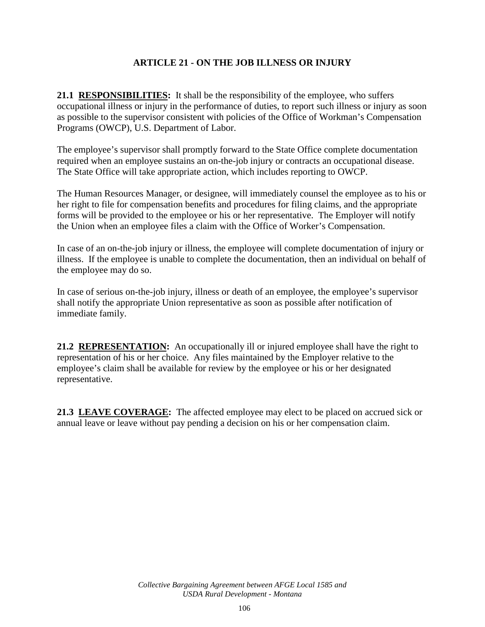### **ARTICLE 21 - ON THE JOB ILLNESS OR INJURY**

**21.1 RESPONSIBILITIES:** It shall be the responsibility of the employee, who suffers occupational illness or injury in the performance of duties, to report such illness or injury as soon as possible to the supervisor consistent with policies of the Office of Workman's Compensation Programs (OWCP), U.S. Department of Labor.

The employee's supervisor shall promptly forward to the State Office complete documentation required when an employee sustains an on-the-job injury or contracts an occupational disease. The State Office will take appropriate action, which includes reporting to OWCP.

The Human Resources Manager, or designee, will immediately counsel the employee as to his or her right to file for compensation benefits and procedures for filing claims, and the appropriate forms will be provided to the employee or his or her representative. The Employer will notify the Union when an employee files a claim with the Office of Worker's Compensation.

In case of an on-the-job injury or illness, the employee will complete documentation of injury or illness. If the employee is unable to complete the documentation, then an individual on behalf of the employee may do so.

In case of serious on-the-job injury, illness or death of an employee, the employee's supervisor shall notify the appropriate Union representative as soon as possible after notification of immediate family.

**21.2 REPRESENTATION:** An occupationally ill or injured employee shall have the right to representation of his or her choice. Any files maintained by the Employer relative to the employee's claim shall be available for review by the employee or his or her designated representative.

**21.3 LEAVE COVERAGE:** The affected employee may elect to be placed on accrued sick or annual leave or leave without pay pending a decision on his or her compensation claim.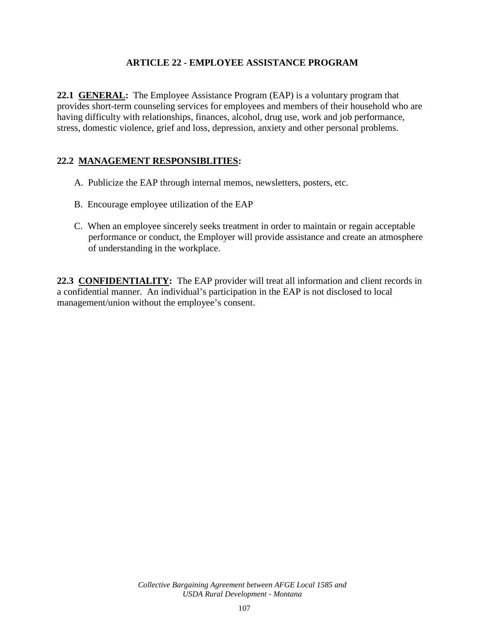### **ARTICLE 22 - EMPLOYEE ASSISTANCE PROGRAM**

**22.1 GENERAL:** The Employee Assistance Program (EAP) is a voluntary program that provides short-term counseling services for employees and members of their household who are having difficulty with relationships, finances, alcohol, drug use, work and job performance, stress, domestic violence, grief and loss, depression, anxiety and other personal problems.

## **22.2 MANAGEMENT RESPONSIBLITIES:**

- A. Publicize the EAP through internal memos, newsletters, posters, etc.
- B. Encourage employee utilization of the EAP
- C. When an employee sincerely seeks treatment in order to maintain or regain acceptable performance or conduct, the Employer will provide assistance and create an atmosphere of understanding in the workplace.

**22.3 CONFIDENTIALITY:** The EAP provider will treat all information and client records in a confidential manner. An individual's participation in the EAP is not disclosed to local management/union without the employee's consent.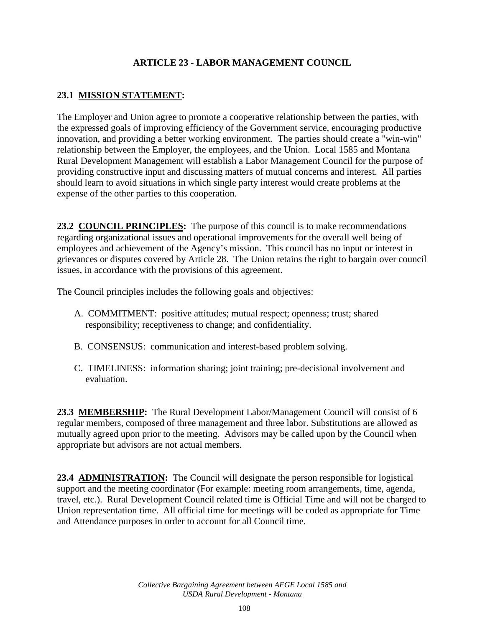# **ARTICLE 23 - LABOR MANAGEMENT COUNCIL**

# **23.1 MISSION STATEMENT:**

The Employer and Union agree to promote a cooperative relationship between the parties, with the expressed goals of improving efficiency of the Government service, encouraging productive innovation, and providing a better working environment. The parties should create a "win-win" relationship between the Employer, the employees, and the Union. Local 1585 and Montana Rural Development Management will establish a Labor Management Council for the purpose of providing constructive input and discussing matters of mutual concerns and interest. All parties should learn to avoid situations in which single party interest would create problems at the expense of the other parties to this cooperation.

**23.2 COUNCIL PRINCIPLES:** The purpose of this council is to make recommendations regarding organizational issues and operational improvements for the overall well being of employees and achievement of the Agency's mission. This council has no input or interest in grievances or disputes covered by Article 28. The Union retains the right to bargain over council issues, in accordance with the provisions of this agreement.

The Council principles includes the following goals and objectives:

- A. COMMITMENT: positive attitudes; mutual respect; openness; trust; shared responsibility; receptiveness to change; and confidentiality.
- B. CONSENSUS: communication and interest-based problem solving.
- C. TIMELINESS: information sharing; joint training; pre-decisional involvement and evaluation.

**23.3 MEMBERSHIP:** The Rural Development Labor/Management Council will consist of 6 regular members, composed of three management and three labor. Substitutions are allowed as mutually agreed upon prior to the meeting. Advisors may be called upon by the Council when appropriate but advisors are not actual members.

**23.4 ADMINISTRATION:** The Council will designate the person responsible for logistical support and the meeting coordinator (For example: meeting room arrangements, time, agenda, travel, etc.). Rural Development Council related time is Official Time and will not be charged to Union representation time. All official time for meetings will be coded as appropriate for Time and Attendance purposes in order to account for all Council time.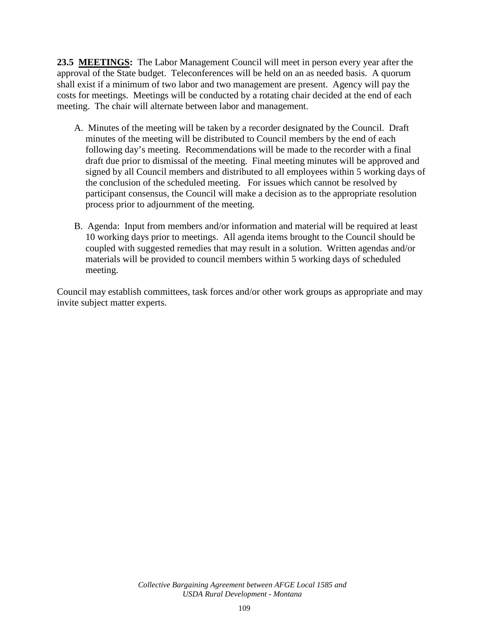**23.5 MEETINGS:** The Labor Management Council will meet in person every year after the approval of the State budget. Teleconferences will be held on an as needed basis. A quorum shall exist if a minimum of two labor and two management are present. Agency will pay the costs for meetings. Meetings will be conducted by a rotating chair decided at the end of each meeting. The chair will alternate between labor and management.

- A. Minutes of the meeting will be taken by a recorder designated by the Council. Draft minutes of the meeting will be distributed to Council members by the end of each following day's meeting. Recommendations will be made to the recorder with a final draft due prior to dismissal of the meeting. Final meeting minutes will be approved and signed by all Council members and distributed to all employees within 5 working days of the conclusion of the scheduled meeting. For issues which cannot be resolved by participant consensus, the Council will make a decision as to the appropriate resolution process prior to adjournment of the meeting.
- B. Agenda: Input from members and/or information and material will be required at least 10 working days prior to meetings. All agenda items brought to the Council should be coupled with suggested remedies that may result in a solution. Written agendas and/or materials will be provided to council members within 5 working days of scheduled meeting.

Council may establish committees, task forces and/or other work groups as appropriate and may invite subject matter experts.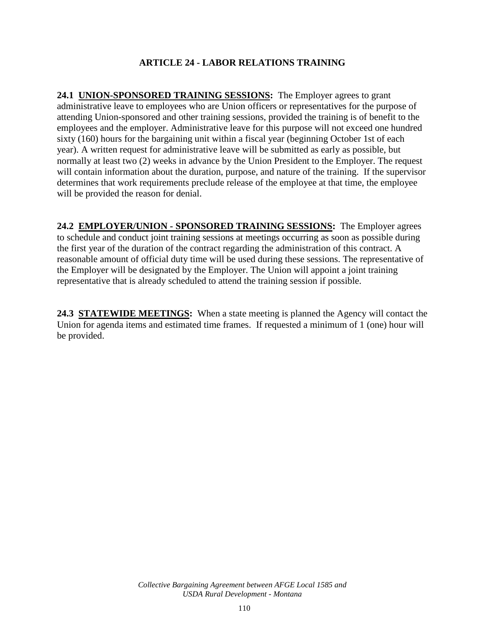### **ARTICLE 24 - LABOR RELATIONS TRAINING**

**24.1 UNION-SPONSORED TRAINING SESSIONS:** The Employer agrees to grant administrative leave to employees who are Union officers or representatives for the purpose of attending Union-sponsored and other training sessions, provided the training is of benefit to the employees and the employer. Administrative leave for this purpose will not exceed one hundred sixty (160) hours for the bargaining unit within a fiscal year (beginning October 1st of each year). A written request for administrative leave will be submitted as early as possible, but normally at least two (2) weeks in advance by the Union President to the Employer. The request will contain information about the duration, purpose, and nature of the training. If the supervisor determines that work requirements preclude release of the employee at that time, the employee will be provided the reason for denial.

**24.2 EMPLOYER/UNION - SPONSORED TRAINING SESSIONS:** The Employer agrees to schedule and conduct joint training sessions at meetings occurring as soon as possible during the first year of the duration of the contract regarding the administration of this contract. A reasonable amount of official duty time will be used during these sessions. The representative of the Employer will be designated by the Employer. The Union will appoint a joint training representative that is already scheduled to attend the training session if possible.

**24.3 STATEWIDE MEETINGS:** When a state meeting is planned the Agency will contact the Union for agenda items and estimated time frames. If requested a minimum of 1 (one) hour will be provided.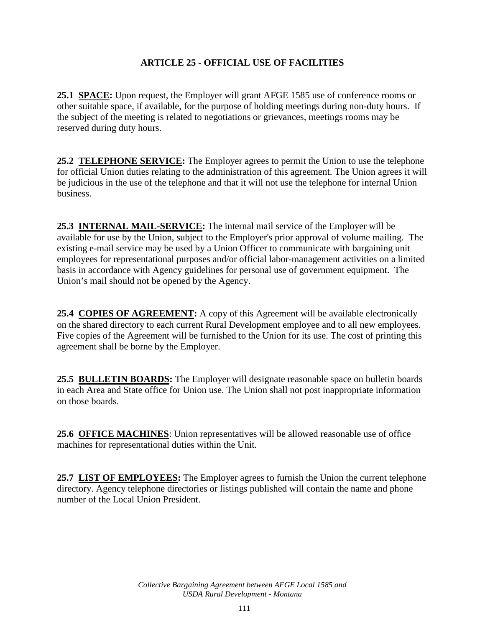# **ARTICLE 25 - OFFICIAL USE OF FACILITIES**

**25.1 SPACE:** Upon request, the Employer will grant AFGE 1585 use of conference rooms or other suitable space, if available, for the purpose of holding meetings during non-duty hours. If the subject of the meeting is related to negotiations or grievances, meetings rooms may be reserved during duty hours.

**25.2 TELEPHONE SERVICE:** The Employer agrees to permit the Union to use the telephone for official Union duties relating to the administration of this agreement. The Union agrees it will be judicious in the use of the telephone and that it will not use the telephone for internal Union business.

**25.3 INTERNAL MAIL-SERVICE:** The internal mail service of the Employer will be available for use by the Union, subject to the Employer's prior approval of volume mailing. The existing e-mail service may be used by a Union Officer to communicate with bargaining unit employees for representational purposes and/or official labor-management activities on a limited basis in accordance with Agency guidelines for personal use of government equipment. The Union's mail should not be opened by the Agency.

**25.4 COPIES OF AGREEMENT:** A copy of this Agreement will be available electronically on the shared directory to each current Rural Development employee and to all new employees. Five copies of the Agreement will be furnished to the Union for its use. The cost of printing this agreement shall be borne by the Employer.

**25.5 BULLETIN BOARDS:** The Employer will designate reasonable space on bulletin boards in each Area and State office for Union use. The Union shall not post inappropriate information on those boards.

**25.6 OFFICE MACHINES**: Union representatives will be allowed reasonable use of office machines for representational duties within the Unit.

**25.7 LIST OF EMPLOYEES:** The Employer agrees to furnish the Union the current telephone directory. Agency telephone directories or listings published will contain the name and phone number of the Local Union President.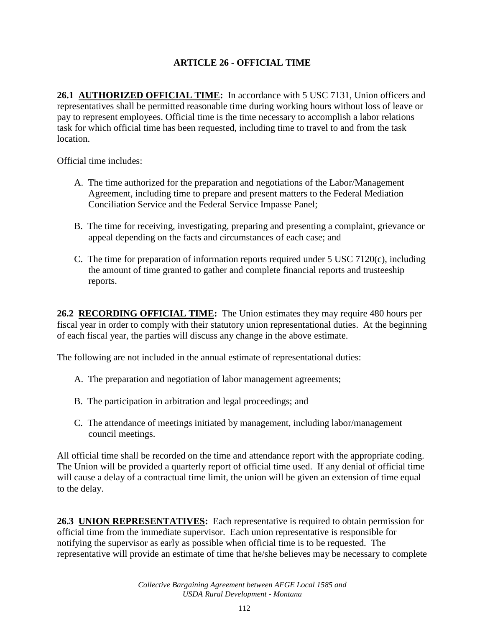# **ARTICLE 26 - OFFICIAL TIME**

**26.1 AUTHORIZED OFFICIAL TIME:** In accordance with 5 USC 7131, Union officers and representatives shall be permitted reasonable time during working hours without loss of leave or pay to represent employees. Official time is the time necessary to accomplish a labor relations task for which official time has been requested, including time to travel to and from the task location.

Official time includes:

- A. The time authorized for the preparation and negotiations of the Labor/Management Agreement, including time to prepare and present matters to the Federal Mediation Conciliation Service and the Federal Service Impasse Panel;
- B. The time for receiving, investigating, preparing and presenting a complaint, grievance or appeal depending on the facts and circumstances of each case; and
- C. The time for preparation of information reports required under 5 USC 7120(c), including the amount of time granted to gather and complete financial reports and trusteeship reports.

**26.2 RECORDING OFFICIAL TIME:** The Union estimates they may require 480 hours per fiscal year in order to comply with their statutory union representational duties. At the beginning of each fiscal year, the parties will discuss any change in the above estimate.

The following are not included in the annual estimate of representational duties:

- A. The preparation and negotiation of labor management agreements;
- B. The participation in arbitration and legal proceedings; and
- C. The attendance of meetings initiated by management, including labor/management council meetings.

All official time shall be recorded on the time and attendance report with the appropriate coding. The Union will be provided a quarterly report of official time used. If any denial of official time will cause a delay of a contractual time limit, the union will be given an extension of time equal to the delay.

**26.3 UNION REPRESENTATIVES:** Each representative is required to obtain permission for official time from the immediate supervisor. Each union representative is responsible for notifying the supervisor as early as possible when official time is to be requested. The representative will provide an estimate of time that he/she believes may be necessary to complete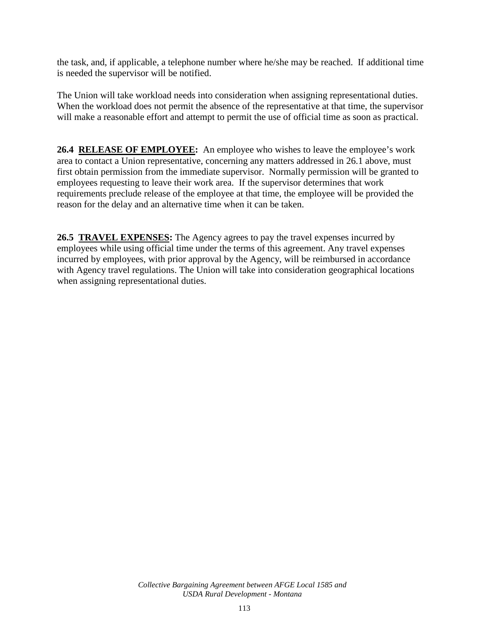the task, and, if applicable, a telephone number where he/she may be reached. If additional time is needed the supervisor will be notified.

The Union will take workload needs into consideration when assigning representational duties. When the workload does not permit the absence of the representative at that time, the supervisor will make a reasonable effort and attempt to permit the use of official time as soon as practical.

**26.4 RELEASE OF EMPLOYEE:** An employee who wishes to leave the employee's work area to contact a Union representative, concerning any matters addressed in 26.1 above, must first obtain permission from the immediate supervisor. Normally permission will be granted to employees requesting to leave their work area. If the supervisor determines that work requirements preclude release of the employee at that time, the employee will be provided the reason for the delay and an alternative time when it can be taken.

**26.5 TRAVEL EXPENSES:** The Agency agrees to pay the travel expenses incurred by employees while using official time under the terms of this agreement. Any travel expenses incurred by employees, with prior approval by the Agency, will be reimbursed in accordance with Agency travel regulations. The Union will take into consideration geographical locations when assigning representational duties.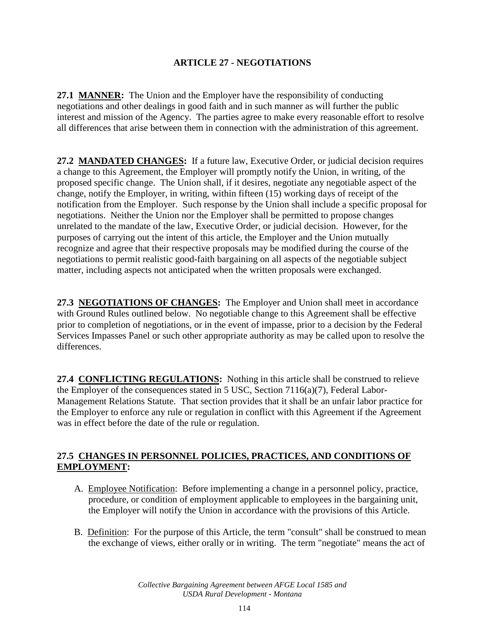# **ARTICLE 27 - NEGOTIATIONS**

**27.1 MANNER:** The Union and the Employer have the responsibility of conducting negotiations and other dealings in good faith and in such manner as will further the public interest and mission of the Agency. The parties agree to make every reasonable effort to resolve all differences that arise between them in connection with the administration of this agreement.

**27.2 MANDATED CHANGES:** If a future law, Executive Order, or judicial decision requires a change to this Agreement, the Employer will promptly notify the Union, in writing, of the proposed specific change. The Union shall, if it desires, negotiate any negotiable aspect of the change, notify the Employer, in writing, within fifteen (15) working days of receipt of the notification from the Employer. Such response by the Union shall include a specific proposal for negotiations. Neither the Union nor the Employer shall be permitted to propose changes unrelated to the mandate of the law, Executive Order, or judicial decision. However, for the purposes of carrying out the intent of this article, the Employer and the Union mutually recognize and agree that their respective proposals may be modified during the course of the negotiations to permit realistic good-faith bargaining on all aspects of the negotiable subject matter, including aspects not anticipated when the written proposals were exchanged.

**27.3 NEGOTIATIONS OF CHANGES:** The Employer and Union shall meet in accordance with Ground Rules outlined below. No negotiable change to this Agreement shall be effective prior to completion of negotiations, or in the event of impasse, prior to a decision by the Federal Services Impasses Panel or such other appropriate authority as may be called upon to resolve the differences.

**27.4 CONFLICTING REGULATIONS:** Nothing in this article shall be construed to relieve the Employer of the consequences stated in 5 USC, Section 7116(a)(7), Federal Labor-Management Relations Statute. That section provides that it shall be an unfair labor practice for the Employer to enforce any rule or regulation in conflict with this Agreement if the Agreement was in effect before the date of the rule or regulation.

# **27.5 CHANGES IN PERSONNEL POLICIES, PRACTICES, AND CONDITIONS OF EMPLOYMENT:**

- A. Employee Notification: Before implementing a change in a personnel policy, practice, procedure, or condition of employment applicable to employees in the bargaining unit, the Employer will notify the Union in accordance with the provisions of this Article.
- B. Definition: For the purpose of this Article, the term "consult" shall be construed to mean the exchange of views, either orally or in writing. The term "negotiate" means the act of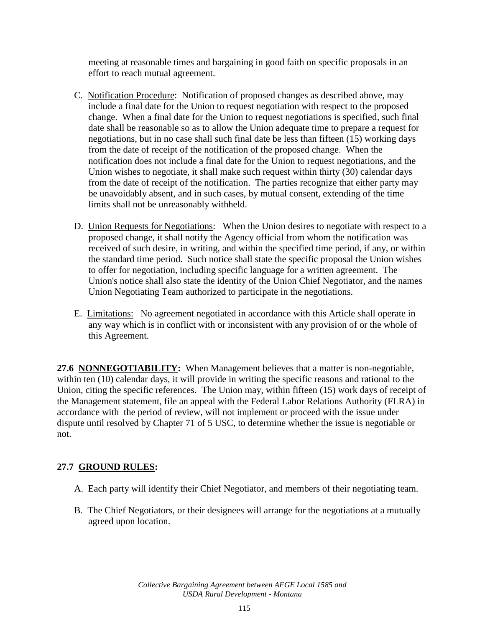meeting at reasonable times and bargaining in good faith on specific proposals in an effort to reach mutual agreement.

- C. Notification Procedure: Notification of proposed changes as described above, may include a final date for the Union to request negotiation with respect to the proposed change. When a final date for the Union to request negotiations is specified, such final date shall be reasonable so as to allow the Union adequate time to prepare a request for negotiations, but in no case shall such final date be less than fifteen (15) working days from the date of receipt of the notification of the proposed change. When the notification does not include a final date for the Union to request negotiations, and the Union wishes to negotiate, it shall make such request within thirty (30) calendar days from the date of receipt of the notification. The parties recognize that either party may be unavoidably absent, and in such cases, by mutual consent, extending of the time limits shall not be unreasonably withheld.
- D. Union Requests for Negotiations: When the Union desires to negotiate with respect to a proposed change, it shall notify the Agency official from whom the notification was received of such desire, in writing, and within the specified time period, if any, or within the standard time period. Such notice shall state the specific proposal the Union wishes to offer for negotiation, including specific language for a written agreement. The Union's notice shall also state the identity of the Union Chief Negotiator, and the names Union Negotiating Team authorized to participate in the negotiations.
- E. Limitations: No agreement negotiated in accordance with this Article shall operate in any way which is in conflict with or inconsistent with any provision of or the whole of this Agreement.

**27.6 NONNEGOTIABILITY:** When Management believes that a matter is non-negotiable, within ten (10) calendar days, it will provide in writing the specific reasons and rational to the Union, citing the specific references. The Union may, within fifteen (15) work days of receipt of the Management statement, file an appeal with the Federal Labor Relations Authority (FLRA) in accordance with the period of review, will not implement or proceed with the issue under dispute until resolved by Chapter 71 of 5 USC, to determine whether the issue is negotiable or not.

# **27.7 GROUND RULES:**

- A. Each party will identify their Chief Negotiator, and members of their negotiating team.
- B. The Chief Negotiators, or their designees will arrange for the negotiations at a mutually agreed upon location.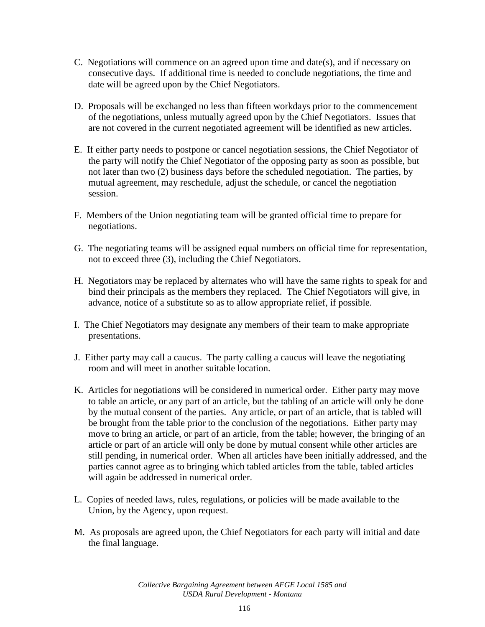- C. Negotiations will commence on an agreed upon time and date(s), and if necessary on consecutive days. If additional time is needed to conclude negotiations, the time and date will be agreed upon by the Chief Negotiators.
- D. Proposals will be exchanged no less than fifteen workdays prior to the commencement of the negotiations, unless mutually agreed upon by the Chief Negotiators. Issues that are not covered in the current negotiated agreement will be identified as new articles.
- E. If either party needs to postpone or cancel negotiation sessions, the Chief Negotiator of the party will notify the Chief Negotiator of the opposing party as soon as possible, but not later than two (2) business days before the scheduled negotiation. The parties, by mutual agreement, may reschedule, adjust the schedule, or cancel the negotiation session.
- F. Members of the Union negotiating team will be granted official time to prepare for negotiations.
- G. The negotiating teams will be assigned equal numbers on official time for representation, not to exceed three (3), including the Chief Negotiators.
- H. Negotiators may be replaced by alternates who will have the same rights to speak for and bind their principals as the members they replaced. The Chief Negotiators will give, in advance, notice of a substitute so as to allow appropriate relief, if possible.
- I. The Chief Negotiators may designate any members of their team to make appropriate presentations.
- J. Either party may call a caucus. The party calling a caucus will leave the negotiating room and will meet in another suitable location.
- K. Articles for negotiations will be considered in numerical order. Either party may move to table an article, or any part of an article, but the tabling of an article will only be done by the mutual consent of the parties. Any article, or part of an article, that is tabled will be brought from the table prior to the conclusion of the negotiations. Either party may move to bring an article, or part of an article, from the table; however, the bringing of an article or part of an article will only be done by mutual consent while other articles are still pending, in numerical order. When all articles have been initially addressed, and the parties cannot agree as to bringing which tabled articles from the table, tabled articles will again be addressed in numerical order.
- L. Copies of needed laws, rules, regulations, or policies will be made available to the Union, by the Agency, upon request.
- M. As proposals are agreed upon, the Chief Negotiators for each party will initial and date the final language.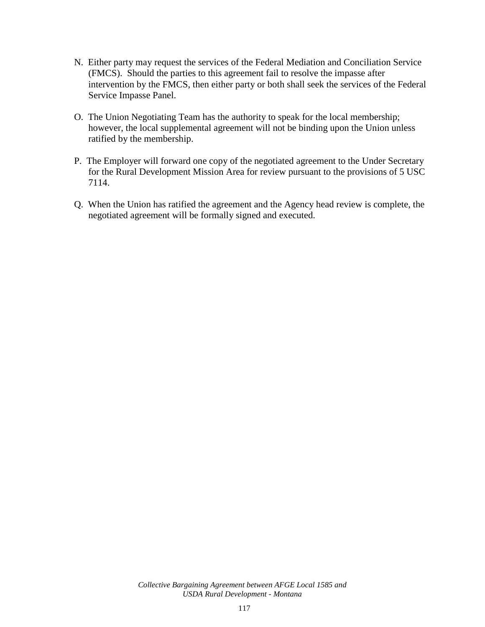- N. Either party may request the services of the Federal Mediation and Conciliation Service (FMCS). Should the parties to this agreement fail to resolve the impasse after intervention by the FMCS, then either party or both shall seek the services of the Federal Service Impasse Panel.
- O. The Union Negotiating Team has the authority to speak for the local membership; however, the local supplemental agreement will not be binding upon the Union unless ratified by the membership.
- P. The Employer will forward one copy of the negotiated agreement to the Under Secretary for the Rural Development Mission Area for review pursuant to the provisions of 5 USC 7114.
- Q. When the Union has ratified the agreement and the Agency head review is complete, the negotiated agreement will be formally signed and executed.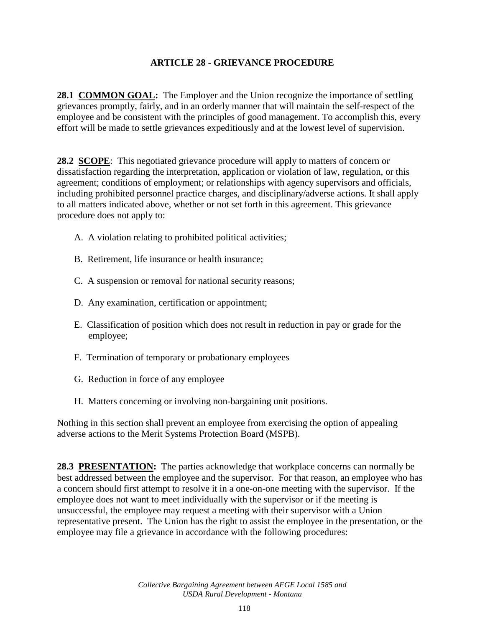### **ARTICLE 28 - GRIEVANCE PROCEDURE**

**28.1 COMMON GOAL:** The Employer and the Union recognize the importance of settling grievances promptly, fairly, and in an orderly manner that will maintain the self-respect of the employee and be consistent with the principles of good management. To accomplish this, every effort will be made to settle grievances expeditiously and at the lowest level of supervision.

**28.2 SCOPE**: This negotiated grievance procedure will apply to matters of concern or dissatisfaction regarding the interpretation, application or violation of law, regulation, or this agreement; conditions of employment; or relationships with agency supervisors and officials, including prohibited personnel practice charges, and disciplinary/adverse actions. It shall apply to all matters indicated above, whether or not set forth in this agreement. This grievance procedure does not apply to:

- A. A violation relating to prohibited political activities;
- B. Retirement, life insurance or health insurance;
- C. A suspension or removal for national security reasons;
- D. Any examination, certification or appointment;
- E. Classification of position which does not result in reduction in pay or grade for the employee;
- F. Termination of temporary or probationary employees
- G. Reduction in force of any employee
- H. Matters concerning or involving non-bargaining unit positions.

Nothing in this section shall prevent an employee from exercising the option of appealing adverse actions to the Merit Systems Protection Board (MSPB).

**28.3 PRESENTATION:** The parties acknowledge that workplace concerns can normally be best addressed between the employee and the supervisor. For that reason, an employee who has a concern should first attempt to resolve it in a one-on-one meeting with the supervisor. If the employee does not want to meet individually with the supervisor or if the meeting is unsuccessful, the employee may request a meeting with their supervisor with a Union representative present. The Union has the right to assist the employee in the presentation, or the employee may file a grievance in accordance with the following procedures:

> *Collective Bargaining Agreement between AFGE Local 1585 and USDA Rural Development - Montana*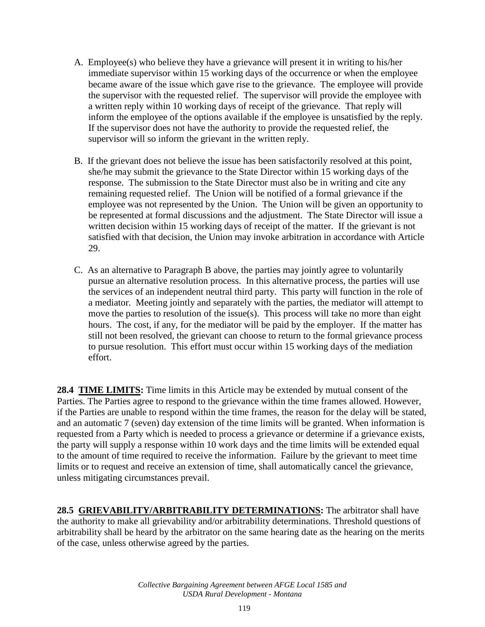- A. Employee(s) who believe they have a grievance will present it in writing to his/her immediate supervisor within 15 working days of the occurrence or when the employee became aware of the issue which gave rise to the grievance. The employee will provide the supervisor with the requested relief. The supervisor will provide the employee with a written reply within 10 working days of receipt of the grievance. That reply will inform the employee of the options available if the employee is unsatisfied by the reply. If the supervisor does not have the authority to provide the requested relief, the supervisor will so inform the grievant in the written reply.
- B. If the grievant does not believe the issue has been satisfactorily resolved at this point, she/he may submit the grievance to the State Director within 15 working days of the response. The submission to the State Director must also be in writing and cite any remaining requested relief. The Union will be notified of a formal grievance if the employee was not represented by the Union. The Union will be given an opportunity to be represented at formal discussions and the adjustment. The State Director will issue a written decision within 15 working days of receipt of the matter. If the grievant is not satisfied with that decision, the Union may invoke arbitration in accordance with Article 29.
- C. As an alternative to Paragraph B above, the parties may jointly agree to voluntarily pursue an alternative resolution process. In this alternative process, the parties will use the services of an independent neutral third party. This party will function in the role of a mediator. Meeting jointly and separately with the parties, the mediator will attempt to move the parties to resolution of the issue(s). This process will take no more than eight hours. The cost, if any, for the mediator will be paid by the employer. If the matter has still not been resolved, the grievant can choose to return to the formal grievance process to pursue resolution. This effort must occur within 15 working days of the mediation effort.

**28.4 TIME LIMITS:** Time limits in this Article may be extended by mutual consent of the Parties. The Parties agree to respond to the grievance within the time frames allowed. However, if the Parties are unable to respond within the time frames, the reason for the delay will be stated, and an automatic 7 (seven) day extension of the time limits will be granted. When information is requested from a Party which is needed to process a grievance or determine if a grievance exists, the party will supply a response within 10 work days and the time limits will be extended equal to the amount of time required to receive the information. Failure by the grievant to meet time limits or to request and receive an extension of time, shall automatically cancel the grievance, unless mitigating circumstances prevail.

28.5 **GRIEVABILITY/ARBITRABILITY DETERMINATIONS:** The arbitrator shall have the authority to make all grievability and/or arbitrability determinations. Threshold questions of arbitrability shall be heard by the arbitrator on the same hearing date as the hearing on the merits of the case, unless otherwise agreed by the parties.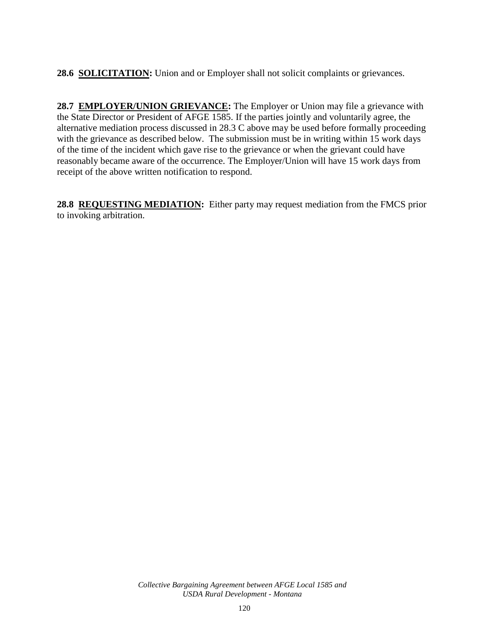**28.6 SOLICITATION:** Union and or Employer shall not solicit complaints or grievances.

28.7 **EMPLOYER/UNION GRIEVANCE:** The Employer or Union may file a grievance with the State Director or President of AFGE 1585. If the parties jointly and voluntarily agree, the alternative mediation process discussed in 28.3 C above may be used before formally proceeding with the grievance as described below. The submission must be in writing within 15 work days of the time of the incident which gave rise to the grievance or when the grievant could have reasonably became aware of the occurrence. The Employer/Union will have 15 work days from receipt of the above written notification to respond.

**28.8 REQUESTING MEDIATION:** Either party may request mediation from the FMCS prior to invoking arbitration.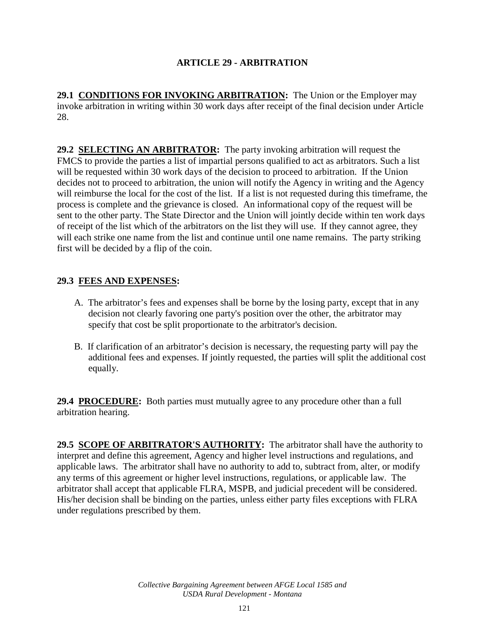# **ARTICLE 29 - ARBITRATION**

**29.1 CONDITIONS FOR INVOKING ARBITRATION:** The Union or the Employer may invoke arbitration in writing within 30 work days after receipt of the final decision under Article 28.

**29.2 SELECTING AN ARBITRATOR:** The party invoking arbitration will request the FMCS to provide the parties a list of impartial persons qualified to act as arbitrators. Such a list will be requested within 30 work days of the decision to proceed to arbitration. If the Union decides not to proceed to arbitration, the union will notify the Agency in writing and the Agency will reimburse the local for the cost of the list. If a list is not requested during this timeframe, the process is complete and the grievance is closed. An informational copy of the request will be sent to the other party. The State Director and the Union will jointly decide within ten work days of receipt of the list which of the arbitrators on the list they will use. If they cannot agree, they will each strike one name from the list and continue until one name remains. The party striking first will be decided by a flip of the coin.

#### **29.3 FEES AND EXPENSES:**

- A. The arbitrator's fees and expenses shall be borne by the losing party, except that in any decision not clearly favoring one party's position over the other, the arbitrator may specify that cost be split proportionate to the arbitrator's decision.
- B. If clarification of an arbitrator's decision is necessary, the requesting party will pay the additional fees and expenses. If jointly requested, the parties will split the additional cost equally.

**29.4 PROCEDURE:** Both parties must mutually agree to any procedure other than a full arbitration hearing.

**29.5 SCOPE OF ARBITRATOR'S AUTHORITY:** The arbitrator shall have the authority to interpret and define this agreement, Agency and higher level instructions and regulations, and applicable laws. The arbitrator shall have no authority to add to, subtract from, alter, or modify any terms of this agreement or higher level instructions, regulations, or applicable law. The arbitrator shall accept that applicable FLRA, MSPB, and judicial precedent will be considered. His/her decision shall be binding on the parties, unless either party files exceptions with FLRA under regulations prescribed by them.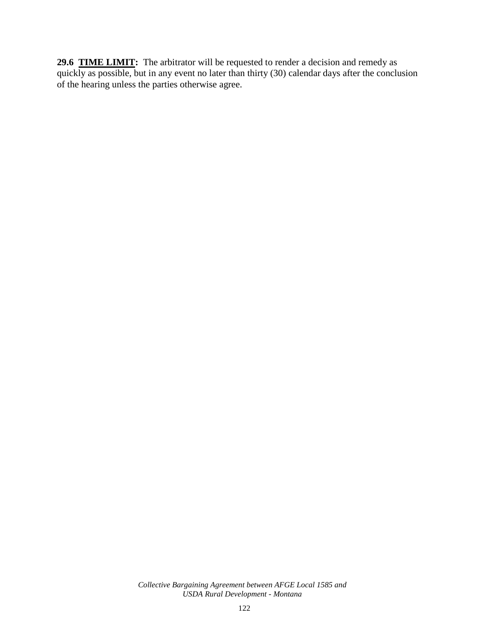**29.6 TIME LIMIT:** The arbitrator will be requested to render a decision and remedy as quickly as possible, but in any event no later than thirty (30) calendar days after the conclusion of the hearing unless the parties otherwise agree.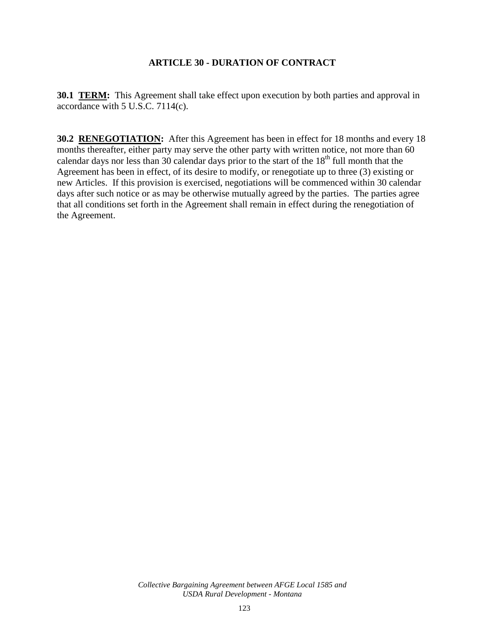# **ARTICLE 30 - DURATION OF CONTRACT**

**30.1 TERM:** This Agreement shall take effect upon execution by both parties and approval in accordance with 5 U.S.C. 7114(c).

**30.2 RENEGOTIATION:** After this Agreement has been in effect for 18 months and every 18 months thereafter, either party may serve the other party with written notice, not more than 60 calendar days nor less than 30 calendar days prior to the start of the  $18<sup>th</sup>$  full month that the Agreement has been in effect, of its desire to modify, or renegotiate up to three (3) existing or new Articles. If this provision is exercised, negotiations will be commenced within 30 calendar days after such notice or as may be otherwise mutually agreed by the parties. The parties agree that all conditions set forth in the Agreement shall remain in effect during the renegotiation of the Agreement.